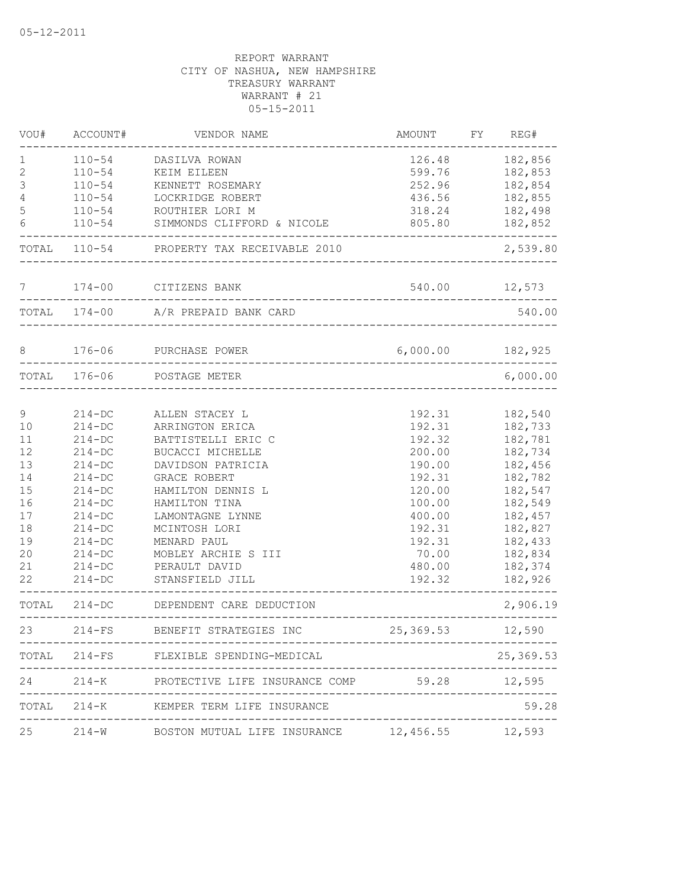| VOU#         | ACCOUNT#     | VENDOR NAME                                                             | AMOUNT                                | FY | REG#      |
|--------------|--------------|-------------------------------------------------------------------------|---------------------------------------|----|-----------|
| 1            | $110 - 54$   | DASILVA ROWAN                                                           | 126.48                                |    | 182,856   |
| $\mathbf{2}$ | $110 - 54$   | KEIM EILEEN                                                             | 599.76                                |    | 182,853   |
| 3            | $110 - 54$   | KENNETT ROSEMARY                                                        | 252.96                                |    | 182,854   |
| 4            | $110 - 54$   | LOCKRIDGE ROBERT                                                        | 436.56                                |    | 182,855   |
| 5            | $110 - 54$   | ROUTHIER LORI M                                                         | 318.24                                |    | 182,498   |
| 6            | $110 - 54$   | SIMMONDS CLIFFORD & NICOLE                                              | 805.80                                |    | 182,852   |
|              | TOTAL 110-54 | PROPERTY TAX RECEIVABLE 2010                                            |                                       |    | 2,539.80  |
| 7            |              | 174-00 CITIZENS BANK                                                    | 540.00 12,573                         |    |           |
|              |              | TOTAL 174-00 A/R PREPAID BANK CARD                                      |                                       |    | 540.00    |
| 8            | $176 - 06$   | PURCHASE POWER                                                          | 6,000.00 182,925                      |    |           |
|              | TOTAL 176-06 | POSTAGE METER                                                           |                                       |    | 6,000.00  |
|              |              |                                                                         |                                       |    |           |
| 9            | $214 - DC$   | ALLEN STACEY L                                                          | 192.31                                |    | 182,540   |
| 10           | $214 - DC$   | ARRINGTON ERICA                                                         | 192.31                                |    | 182,733   |
| 11           | $214 - DC$   | BATTISTELLI ERIC C                                                      | 192.32                                |    | 182,781   |
| 12           | $214-DC$     | <b>BUCACCI MICHELLE</b>                                                 | 200.00                                |    | 182,734   |
| 13           | $214-DC$     | DAVIDSON PATRICIA                                                       | 190.00                                |    | 182,456   |
| 14           | $214-DC$     | GRACE ROBERT                                                            | 192.31                                |    | 182,782   |
| 15           | $214-DC$     | HAMILTON DENNIS L                                                       | 120.00                                |    | 182,547   |
| 16           | $214-DC$     | HAMILTON TINA                                                           | 100.00                                |    | 182,549   |
| 17           | $214 - DC$   | LAMONTAGNE LYNNE                                                        | 400.00                                |    | 182,457   |
| 18           | $214-DC$     | MCINTOSH LORI                                                           | 192.31                                |    | 182,827   |
| 19           | $214 - DC$   | MENARD PAUL                                                             | 192.31                                |    | 182,433   |
| 20           | $214-DC$     | MOBLEY ARCHIE S III                                                     | 70.00                                 |    | 182,834   |
| 21           | $214 - DC$   | PERAULT DAVID                                                           | 480.00                                |    | 182,374   |
| 22           | $214-DC$     | STANSFIELD JILL                                                         | 192.32                                |    | 182,926   |
| TOTAL        | $214 - DC$   | DEPENDENT CARE DEDUCTION                                                |                                       |    | 2,906.19  |
| 23           | $214-FS$     | BENEFIT STRATEGIES INC                                                  | 25,369.53                             |    | 12,590    |
|              |              | . _ _ _ _ _ _ _ _ _ _ _ _ _ _<br>TOTAL 214-FS FLEXIBLE SPENDING-MEDICAL |                                       |    | 25,369.53 |
| 24           |              | 214-K PROTECTIVE LIFE INSURANCE COMP 59.28                              |                                       |    | 12,595    |
|              |              | TOTAL 214-K KEMPER TERM LIFE INSURANCE                                  | ------------------------------------- |    | 59.28     |
| 25           |              | 214-W BOSTON MUTUAL LIFE INSURANCE 12,456.55 12,593                     |                                       |    |           |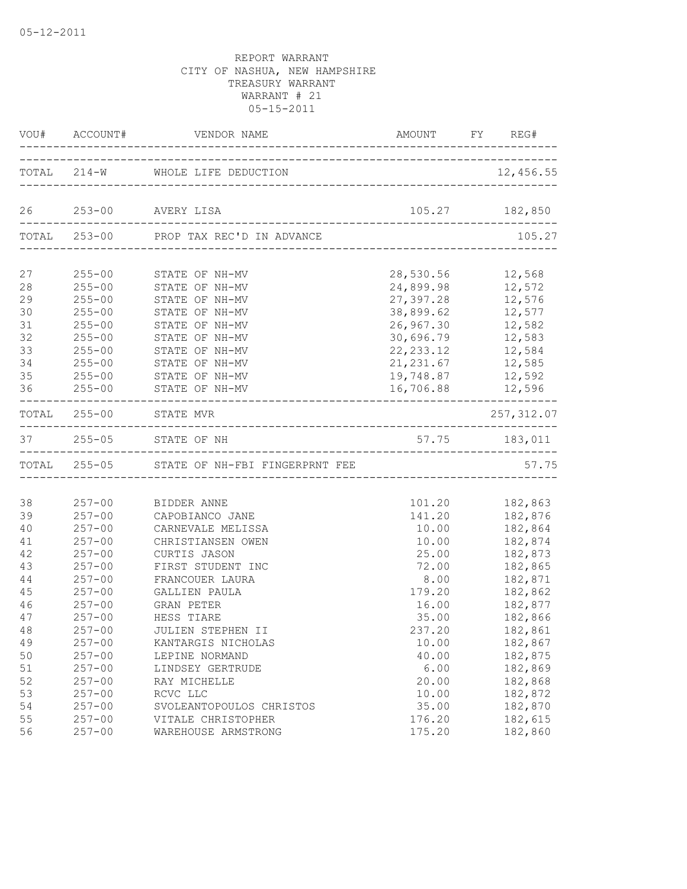|                            | VOU# ACCOUNT#                                                      | VENDOR NAME                                                                                    |                                                               | AMOUNT FY REG#                                                                   |
|----------------------------|--------------------------------------------------------------------|------------------------------------------------------------------------------------------------|---------------------------------------------------------------|----------------------------------------------------------------------------------|
|                            |                                                                    | TOTAL 214-W WHOLE LIFE DEDUCTION                                                               |                                                               | 12,456.55                                                                        |
|                            |                                                                    | 26 253-00 AVERY LISA                                                                           |                                                               | 105.27 182,850                                                                   |
|                            |                                                                    | TOTAL 253-00 PROP TAX REC'D IN ADVANCE                                                         |                                                               | 105.27                                                                           |
| 27<br>28<br>29<br>30<br>31 | $255 - 00$<br>$255 - 00$<br>$255 - 00$<br>$255 - 00$               | 255-00 STATE OF NH-MV<br>STATE OF NH-MV<br>STATE OF NH-MV<br>STATE OF NH-MV<br>STATE OF NH-MV  | 28,530.56<br>24,899.98<br>27,397.28<br>38,899.62<br>26,967.30 | 12,568<br>12,572<br>12,576<br>12,577<br>12,582                                   |
| 32<br>33<br>34<br>35<br>36 | $255 - 00$<br>$255 - 00$<br>$255 - 00$<br>$255 - 00$               | STATE OF NH-MV<br>STATE OF NH-MV<br>STATE OF NH-MV<br>STATE OF NH-MV<br>255-00 STATE OF NH-MV  | 30,696.79<br>19,748.87                                        | 12,583<br>22, 233.12 12, 584<br>21, 231.67 12, 585<br>12,592<br>16,706.88 12,596 |
|                            | TOTAL 255-00                                                       | STATE MVR                                                                                      |                                                               | 257, 312.07                                                                      |
|                            |                                                                    | 37 255-05 STATE OF NH                                                                          |                                                               | 57.75 183,011                                                                    |
|                            |                                                                    | TOTAL 255-05 STATE OF NH-FBI FINGERPRNT FEE                                                    |                                                               | 57.75                                                                            |
| 38<br>39                   | $257 - 00$<br>$257 - 00$                                           | BIDDER ANNE<br>CAPOBIANCO JANE                                                                 | 101.20<br>141.20                                              | 182,863<br>182,876                                                               |
| 40<br>41<br>42<br>43<br>44 | $257 - 00$<br>$257 - 00$<br>$257 - 00$<br>$257 - 00$<br>$257 - 00$ | CARNEVALE MELISSA<br>CHRISTIANSEN OWEN<br>CURTIS JASON<br>FIRST STUDENT INC<br>FRANCOUER LAURA | 10.00<br>10.00<br>25.00<br>72.00<br>8.00                      | 182,864<br>182,874<br>182,873<br>182,865<br>182,871                              |
| 45<br>46<br>47<br>48       | $257 - 00$<br>$257 - 00$<br>$257 - 00$<br>$257 - 00$               | GALLIEN PAULA<br>GRAN PETER<br>HESS TIARE<br>JULIEN STEPHEN II                                 | 179.20<br>16.00<br>35.00<br>237.20                            | 182,862<br>182,877<br>182,866<br>182,861                                         |
| 49<br>50<br>51<br>52<br>53 | $257 - 00$<br>$257 - 00$<br>$257 - 00$<br>$257 - 00$<br>$257 - 00$ | KANTARGIS NICHOLAS<br>LEPINE NORMAND<br>LINDSEY GERTRUDE<br>RAY MICHELLE<br>RCVC LLC           | 10.00<br>40.00<br>6.00<br>20.00<br>10.00                      | 182,867<br>182,875<br>182,869<br>182,868<br>182,872                              |
| 54<br>55<br>56             | $257 - 00$<br>$257 - 00$<br>$257 - 00$                             | SVOLEANTOPOULOS CHRISTOS<br>VITALE CHRISTOPHER<br>WAREHOUSE ARMSTRONG                          | 35.00<br>176.20<br>175.20                                     | 182,870<br>182,615<br>182,860                                                    |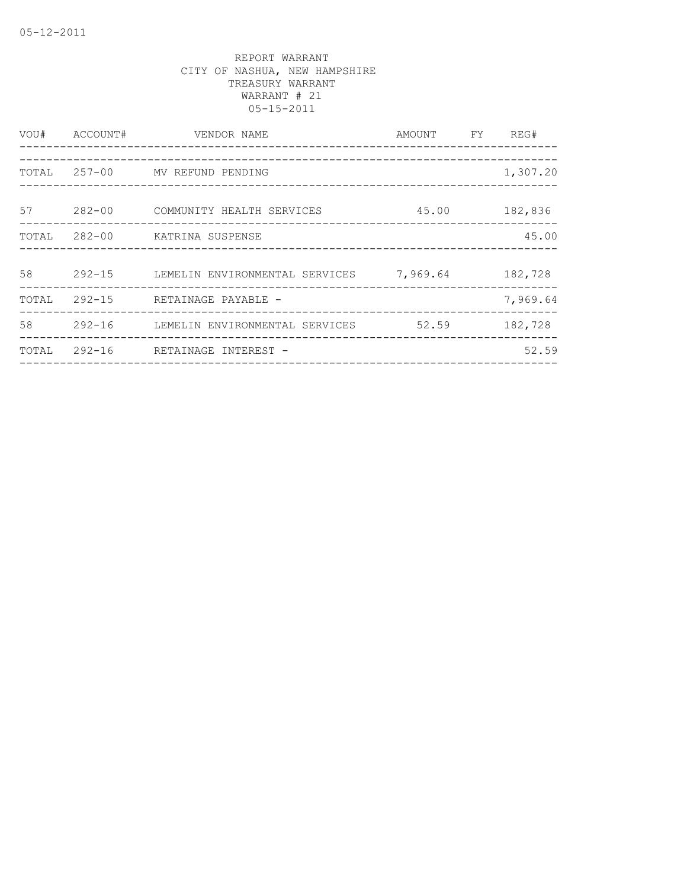| VOU#  | ACCOUNT#   | VENDOR NAME<br>___________________                           | AMOUNT FY | REG#     |
|-------|------------|--------------------------------------------------------------|-----------|----------|
| TOTAL |            | 257-00 MV REFUND PENDING                                     |           | 1,307.20 |
| 57    | $282 - 00$ | COMMUNITY HEALTH SERVICES<br>_______________________________ | 45.00     | 182,836  |
| TOTAL |            | 282-00 KATRINA SUSPENSE                                      |           | 45.00    |
| 58    | $292 - 15$ | LEMELIN ENVIRONMENTAL SERVICES                               | 7,969.64  | 182,728  |
| TOTAL | 292-15     | RETAINAGE PAYABLE -                                          |           | 7,969.64 |
| 58    | $292 - 16$ | LEMELIN ENVIRONMENTAL SERVICES                               | 52.59     | 182,728  |
| TOTAL | $292 - 16$ | RETAINAGE INTEREST -                                         |           | 52.59    |
|       |            |                                                              |           |          |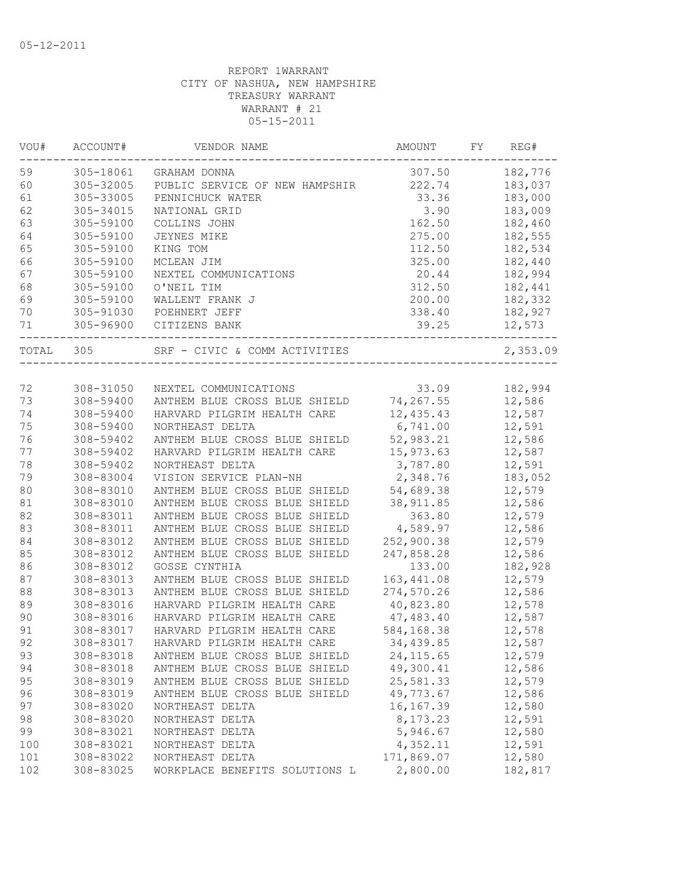| VOU#  | ACCOUNT#  | VENDOR NAME                    | AMOUNT      | FY. | REG#     |
|-------|-----------|--------------------------------|-------------|-----|----------|
| 59    | 305-18061 | GRAHAM DONNA                   | 307.50      |     | 182,776  |
| 60    | 305-32005 | PUBLIC SERVICE OF NEW HAMPSHIR | 222.74      |     | 183,037  |
| 61    | 305-33005 | PENNICHUCK WATER               | 33.36       |     | 183,000  |
| 62    | 305-34015 | NATIONAL GRID                  | 3.90        |     | 183,009  |
| 63    | 305-59100 | COLLINS JOHN                   | 162.50      |     | 182,460  |
| 64    | 305-59100 | <b>JEYNES MIKE</b>             | 275.00      |     | 182,555  |
| 65    | 305-59100 | KING TOM                       | 112.50      |     | 182,534  |
| 66    | 305-59100 | MCLEAN JIM                     | 325.00      |     | 182,440  |
| 67    | 305-59100 | NEXTEL COMMUNICATIONS          | 20.44       |     | 182,994  |
| 68    | 305-59100 | O'NEIL TIM                     | 312.50      |     | 182,441  |
| 69    | 305-59100 | WALLENT FRANK J                | 200.00      |     | 182,332  |
| 70    | 305-91030 | POEHNERT JEFF                  | 338.40      |     | 182,927  |
| 71    | 305-96900 | CITIZENS BANK                  | 39.25       |     | 12,573   |
| TOTAL | 305       | SRF - CIVIC & COMM ACTIVITIES  |             |     | 2,353.09 |
|       |           |                                |             |     |          |
| 72    | 308-31050 | NEXTEL COMMUNICATIONS          | 33.09       |     | 182,994  |
| 73    | 308-59400 | ANTHEM BLUE CROSS BLUE SHIELD  | 74,267.55   |     | 12,586   |
| 74    | 308-59400 | HARVARD PILGRIM HEALTH CARE    | 12,435.43   |     | 12,587   |
| 75    | 308-59400 | NORTHEAST DELTA                | 6,741.00    |     | 12,591   |
| 76    | 308-59402 | ANTHEM BLUE CROSS BLUE SHIELD  | 52,983.21   |     | 12,586   |
| 77    | 308-59402 | HARVARD PILGRIM HEALTH CARE    | 15,973.63   |     | 12,587   |
| 78    | 308-59402 | NORTHEAST DELTA                | 3,787.80    |     | 12,591   |
| 79    | 308-83004 | VISION SERVICE PLAN-NH         | 2,348.76    |     | 183,052  |
| 80    | 308-83010 | ANTHEM BLUE CROSS BLUE SHIELD  | 54,689.38   |     | 12,579   |
| 81    | 308-83010 | ANTHEM BLUE CROSS BLUE SHIELD  | 38, 911.85  |     | 12,586   |
| 82    | 308-83011 | ANTHEM BLUE CROSS BLUE SHIELD  | 363.80      |     | 12,579   |
| 83    | 308-83011 | ANTHEM BLUE CROSS BLUE SHIELD  | 4,589.97    |     | 12,586   |
| 84    | 308-83012 | ANTHEM BLUE CROSS BLUE SHIELD  | 252,900.38  |     | 12,579   |
| 85    | 308-83012 | ANTHEM BLUE CROSS BLUE SHIELD  | 247,858.28  |     | 12,586   |
| 86    | 308-83012 | GOSSE CYNTHIA                  | 133.00      |     | 182,928  |
| 87    | 308-83013 | ANTHEM BLUE CROSS BLUE SHIELD  | 163, 441.08 |     | 12,579   |
| 88    | 308-83013 | ANTHEM BLUE CROSS BLUE SHIELD  | 274,570.26  |     | 12,586   |
| 89    | 308-83016 | HARVARD PILGRIM HEALTH CARE    | 40,823.80   |     | 12,578   |
| 90    | 308-83016 | HARVARD PILGRIM HEALTH CARE    | 47,483.40   |     | 12,587   |
| 91    | 308-83017 | HARVARD PILGRIM HEALTH CARE    | 584,168.38  |     | 12,578   |
|       |           |                                |             |     |          |
| 92    | 308-83017 | HARVARD PILGRIM HEALTH CARE    | 34,439.85   |     | 12,587   |
| 93    | 308-83018 | ANTHEM BLUE CROSS BLUE SHIELD  | 24, 115.65  |     | 12,579   |
| 94    | 308-83018 | ANTHEM BLUE CROSS BLUE SHIELD  | 49,300.41   |     | 12,586   |
| 95    | 308-83019 | ANTHEM BLUE CROSS BLUE SHIELD  | 25,581.33   |     | 12,579   |
| 96    | 308-83019 | ANTHEM BLUE CROSS BLUE SHIELD  | 49,773.67   |     | 12,586   |
| 97    | 308-83020 | NORTHEAST DELTA                | 16, 167.39  |     | 12,580   |
| 98    | 308-83020 | NORTHEAST DELTA                | 8,173.23    |     | 12,591   |
| 99    | 308-83021 | NORTHEAST DELTA                | 5,946.67    |     | 12,580   |
| 100   | 308-83021 | NORTHEAST DELTA                | 4,352.11    |     | 12,591   |
| 101   | 308-83022 | NORTHEAST DELTA                | 171,869.07  |     | 12,580   |
| 102   | 308-83025 | WORKPLACE BENEFITS SOLUTIONS L | 2,800.00    |     | 182,817  |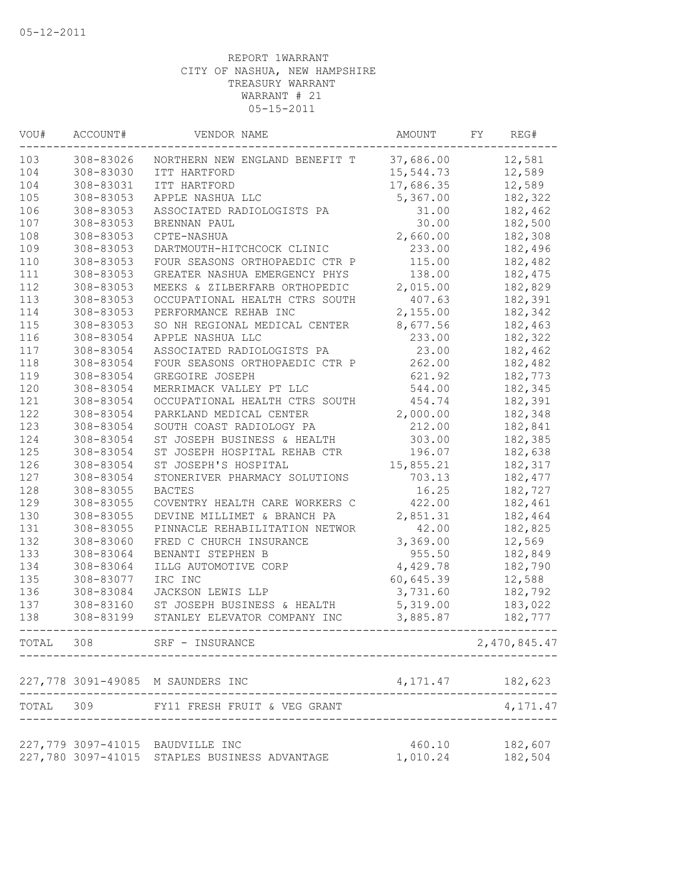| VOU#      | ACCOUNT#  | VENDOR NAME                                                                       | AMOUNT             | FY. | REG#               |
|-----------|-----------|-----------------------------------------------------------------------------------|--------------------|-----|--------------------|
| 103       | 308-83026 | NORTHERN NEW ENGLAND BENEFIT T                                                    | 37,686.00          |     | 12,581             |
| 104       | 308-83030 | ITT HARTFORD                                                                      | 15,544.73          |     | 12,589             |
| 104       | 308-83031 | ITT HARTFORD                                                                      | 17,686.35          |     | 12,589             |
| 105       | 308-83053 | APPLE NASHUA LLC                                                                  | 5,367.00           |     | 182,322            |
| 106       | 308-83053 | ASSOCIATED RADIOLOGISTS PA                                                        | 31.00              |     | 182,462            |
| 107       | 308-83053 | BRENNAN PAUL                                                                      | 30.00              |     | 182,500            |
| 108       | 308-83053 | CPTE-NASHUA                                                                       | 2,660.00           |     | 182,308            |
| 109       | 308-83053 | DARTMOUTH-HITCHCOCK CLINIC                                                        | 233.00             |     | 182,496            |
| 110       | 308-83053 | FOUR SEASONS ORTHOPAEDIC CTR P                                                    | 115.00             |     | 182,482            |
| 111       | 308-83053 | GREATER NASHUA EMERGENCY PHYS                                                     | 138.00             |     | 182,475            |
| 112       | 308-83053 | MEEKS & ZILBERFARB ORTHOPEDIC                                                     | 2,015.00           |     | 182,829            |
| 113       | 308-83053 | OCCUPATIONAL HEALTH CTRS SOUTH                                                    | 407.63             |     | 182,391            |
| 114       | 308-83053 | PERFORMANCE REHAB INC                                                             | 2,155.00           |     | 182,342            |
| 115       | 308-83053 | SO NH REGIONAL MEDICAL CENTER                                                     | 8,677.56           |     | 182,463            |
| 116       | 308-83054 | APPLE NASHUA LLC                                                                  | 233.00             |     | 182,322            |
| 117       | 308-83054 | ASSOCIATED RADIOLOGISTS PA                                                        | 23.00              |     | 182,462            |
| 118       | 308-83054 | FOUR SEASONS ORTHOPAEDIC CTR P                                                    | 262.00             |     | 182,482            |
| 119       | 308-83054 | GREGOIRE JOSEPH                                                                   | 621.92             |     | 182,773            |
| 120       | 308-83054 | MERRIMACK VALLEY PT LLC                                                           | 544.00             |     | 182,345            |
| 121       | 308-83054 | OCCUPATIONAL HEALTH CTRS SOUTH                                                    | 454.74             |     | 182,391            |
| 122       | 308-83054 | PARKLAND MEDICAL CENTER                                                           | 2,000.00           |     | 182,348            |
| 123       | 308-83054 | SOUTH COAST RADIOLOGY PA                                                          | 212.00             |     | 182,841            |
| 124       | 308-83054 | ST JOSEPH BUSINESS & HEALTH                                                       | 303.00             |     | 182,385            |
| 125       | 308-83054 | ST JOSEPH HOSPITAL REHAB CTR                                                      | 196.07             |     | 182,638            |
| 126       | 308-83054 |                                                                                   | 15,855.21          |     | 182,317            |
|           |           | ST JOSEPH'S HOSPITAL                                                              |                    |     |                    |
| 127       | 308-83054 | STONERIVER PHARMACY SOLUTIONS                                                     | 703.13             |     | 182, 477           |
| 128       | 308-83055 | <b>BACTES</b>                                                                     | 16.25              |     | 182,727            |
| 129       | 308-83055 | COVENTRY HEALTH CARE WORKERS C                                                    | 422.00             |     | 182,461            |
| 130       | 308-83055 | DEVINE MILLIMET & BRANCH PA                                                       | 2,851.31           |     | 182,464            |
| 131       | 308-83055 | PINNACLE REHABILITATION NETWOR                                                    | 42.00              |     | 182,825            |
| 132       | 308-83060 | FRED C CHURCH INSURANCE                                                           | 3,369.00           |     | 12,569             |
| 133       | 308-83064 | BENANTI STEPHEN B                                                                 | 955.50             |     | 182,849            |
| 134       | 308-83064 | ILLG AUTOMOTIVE CORP                                                              | 4,429.78           |     | 182,790            |
| 135       | 308-83077 | IRC INC                                                                           | 60,645.39          |     | 12,588             |
| 136       | 308-83084 | JACKSON LEWIS LLP                                                                 | 3,731.60           |     | 182,792            |
| 137       | 308-83160 | ST JOSEPH BUSINESS & HEALTH                                                       | 5,319.00           |     | 183,022            |
| 138       | 308-83199 | STANLEY ELEVATOR COMPANY INC                                                      | 3,885.87           |     | 182,777            |
| TOTAL 308 |           | SRF - INSURANCE                                                                   |                    |     | 2,470,845.47       |
|           |           | 227,778 3091-49085 M SAUNDERS INC                                                 | 4, 171. 47         |     | 182,623            |
| TOTAL 309 |           | FY11 FRESH FRUIT & VEG GRANT                                                      |                    |     | 4,171.47           |
|           |           |                                                                                   |                    |     |                    |
|           |           | 227,779 3097-41015 BAUDVILLE INC<br>227,780 3097-41015 STAPLES BUSINESS ADVANTAGE | 460.10<br>1,010.24 |     | 182,607<br>182,504 |
|           |           |                                                                                   |                    |     |                    |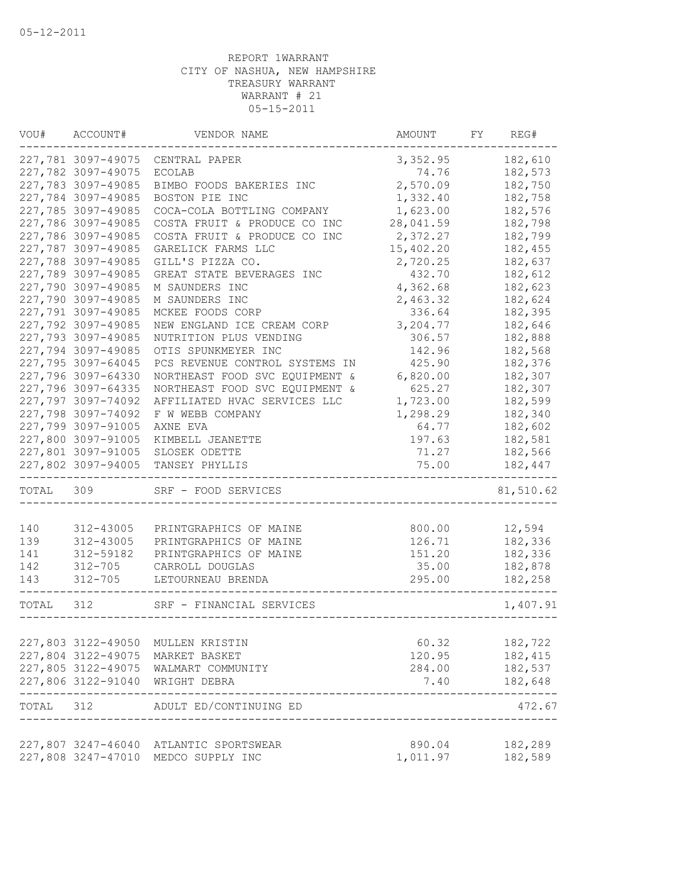| VOU#  | ACCOUNT#           | VENDOR NAME                                                           | AMOUNT    | FY | REG#      |
|-------|--------------------|-----------------------------------------------------------------------|-----------|----|-----------|
|       | 227,781 3097-49075 | CENTRAL PAPER                                                         | 3,352.95  |    | 182,610   |
|       | 227,782 3097-49075 | <b>ECOLAB</b>                                                         | 74.76     |    | 182,573   |
|       | 227,783 3097-49085 | BIMBO FOODS BAKERIES INC                                              | 2,570.09  |    | 182,750   |
|       | 227,784 3097-49085 | BOSTON PIE INC                                                        | 1,332.40  |    | 182,758   |
|       | 227,785 3097-49085 | COCA-COLA BOTTLING COMPANY                                            | 1,623.00  |    | 182,576   |
|       | 227,786 3097-49085 | COSTA FRUIT & PRODUCE CO INC                                          | 28,041.59 |    | 182,798   |
|       | 227,786 3097-49085 | COSTA FRUIT & PRODUCE CO INC                                          | 2,372.27  |    | 182,799   |
|       | 227,787 3097-49085 | GARELICK FARMS LLC                                                    | 15,402.20 |    | 182,455   |
|       | 227,788 3097-49085 | GILL'S PIZZA CO.                                                      | 2,720.25  |    | 182,637   |
|       | 227,789 3097-49085 | GREAT STATE BEVERAGES INC                                             | 432.70    |    | 182,612   |
|       | 227,790 3097-49085 | M SAUNDERS INC                                                        | 4,362.68  |    | 182,623   |
|       | 227,790 3097-49085 | M SAUNDERS INC                                                        | 2,463.32  |    | 182,624   |
|       | 227,791 3097-49085 | MCKEE FOODS CORP                                                      | 336.64    |    | 182,395   |
|       | 227,792 3097-49085 | NEW ENGLAND ICE CREAM CORP                                            | 3,204.77  |    | 182,646   |
|       | 227,793 3097-49085 | NUTRITION PLUS VENDING                                                | 306.57    |    | 182,888   |
|       | 227,794 3097-49085 | OTIS SPUNKMEYER INC                                                   | 142.96    |    | 182,568   |
|       | 227,795 3097-64045 | PCS REVENUE CONTROL SYSTEMS IN                                        | 425.90    |    | 182,376   |
|       | 227,796 3097-64330 | NORTHEAST FOOD SVC EQUIPMENT &                                        | 6,820.00  |    | 182,307   |
|       | 227,796 3097-64335 | NORTHEAST FOOD SVC EQUIPMENT &                                        | 625.27    |    | 182,307   |
|       | 227,797 3097-74092 | AFFILIATED HVAC SERVICES LLC                                          | 1,723.00  |    | 182,599   |
|       | 227,798 3097-74092 | F W WEBB COMPANY                                                      | 1,298.29  |    | 182,340   |
|       | 227,799 3097-91005 | AXNE EVA                                                              | 64.77     |    | 182,602   |
|       | 227,800 3097-91005 | KIMBELL JEANETTE                                                      | 197.63    |    | 182,581   |
|       | 227,801 3097-91005 | SLOSEK ODETTE                                                         | 71.27     |    | 182,566   |
|       | 227,802 3097-94005 | TANSEY PHYLLIS                                                        | 75.00     |    | 182,447   |
| TOTAL | 309                | SRF - FOOD SERVICES                                                   |           |    | 81,510.62 |
|       |                    |                                                                       |           |    |           |
| 140   | 312-43005          | PRINTGRAPHICS OF MAINE                                                | 800.00    |    | 12,594    |
| 139   | 312-43005          | PRINTGRAPHICS OF MAINE                                                | 126.71    |    | 182,336   |
| 141   | 312-59182          | PRINTGRAPHICS OF MAINE                                                | 151.20    |    | 182,336   |
| 142   | $312 - 705$        | CARROLL DOUGLAS                                                       | 35.00     |    | 182,878   |
| 143   | $312 - 705$        | LETOURNEAU BRENDA                                                     | 295.00    |    | 182,258   |
| TOTAL | 312                | SRF - FINANCIAL SERVICES                                              |           |    | 1,407.91  |
|       |                    |                                                                       |           |    |           |
|       | 227,803 3122-49050 | MULLEN KRISTIN                                                        | 60.32     |    | 182,722   |
|       | 227,804 3122-49075 | MARKET BASKET                                                         | 120.95    |    | 182,415   |
|       |                    | 227,805 3122-49075 WALMART COMMUNITY                                  | 284.00    |    | 182,537   |
|       |                    | 227,806 3122-91040 WRIGHT DEBRA                                       | 7.40      |    | 182,648   |
|       |                    | TOTAL 312 ADULT ED/CONTINUING ED<br>_________________________________ |           |    | 472.67    |
|       |                    | 227,807 3247-46040 ATLANTIC SPORTSWEAR                                | 890.04    |    | 182,289   |
|       |                    | 227,808 3247-47010 MEDCO SUPPLY INC                                   | 1,011.97  |    | 182,589   |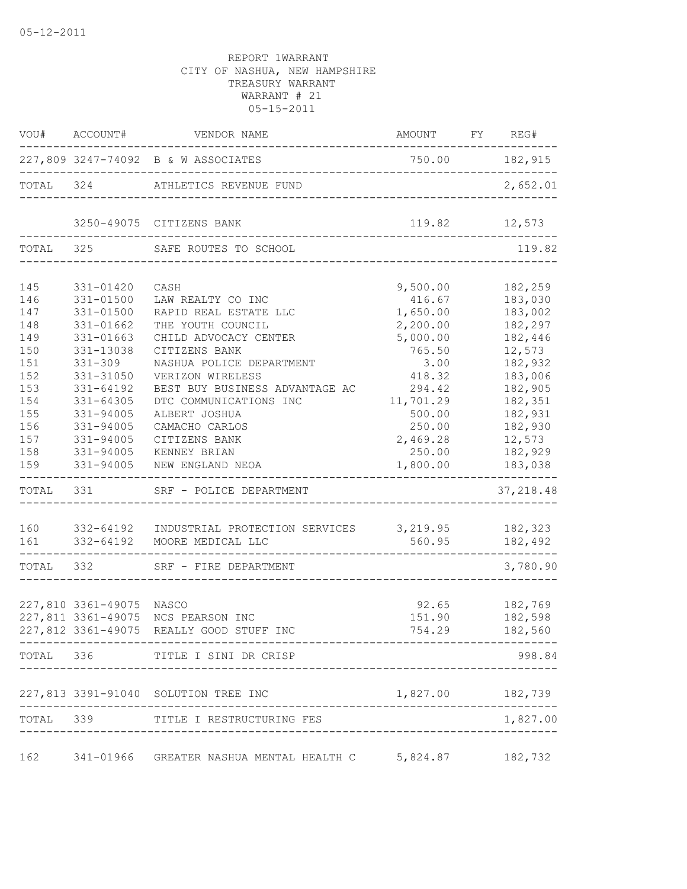|       |                          | VOU# ACCOUNT# VENDOR NAME                                     | AMOUNT FY REG#                                       | $- - -$                    |
|-------|--------------------------|---------------------------------------------------------------|------------------------------------------------------|----------------------------|
|       |                          | 227,809 3247-74092 B & W ASSOCIATES                           | 750.00 182,915                                       |                            |
|       |                          | TOTAL 324 ATHLETICS REVENUE FUND                              | ----------------------------------                   | 2,652.01                   |
|       |                          | 3250-49075 CITIZENS BANK                                      | 119.82 12,573<br>___________________________________ |                            |
|       | TOTAL 325                | SAFE ROUTES TO SCHOOL                                         | -------------------------------------                | 119.82                     |
| 145   | 331-01420                | CASH                                                          | 9,500.00                                             | 182,259                    |
| 146   | 331-01500                | LAW REALTY CO INC                                             | 416.67                                               | 183,030                    |
| 147   | 331-01500                | RAPID REAL ESTATE LLC                                         | 1,650.00                                             | 183,002                    |
| 148   | 331-01662                | THE YOUTH COUNCIL                                             | 2,200.00                                             | 182,297                    |
| 149   | 331-01663                | CHILD ADVOCACY CENTER                                         | 5,000.00                                             | 182,446                    |
| 150   | 331-13038                | CITIZENS BANK                                                 | 765.50                                               | 12,573                     |
| 151   | $331 - 309$              | NASHUA POLICE DEPARTMENT                                      | 3.00                                                 | 182,932                    |
| 152   | 331-31050                | VERIZON WIRELESS                                              | 418.32                                               | 183,006                    |
| 153   | 331-64192                | BEST BUY BUSINESS ADVANTAGE AC                                | 294.42                                               | 182,905                    |
| 154   | $331 - 64305$            | DTC COMMUNICATIONS INC                                        | 11,701.29                                            | 182,351                    |
| 155   | 331-94005                | ALBERT JOSHUA                                                 | 500.00                                               | 182,931                    |
| 156   | 331-94005                | CAMACHO CARLOS                                                | 250.00                                               | 182,930                    |
| 157   | 331-94005                | CITIZENS BANK                                                 | 2,469.28 12,573                                      |                            |
| 158   | 331-94005                | KENNEY BRIAN                                                  |                                                      | 250.00 182,929             |
| 159   | 331-94005                | NEW ENGLAND NEOA                                              | 1,800.00                                             | 183,038<br>--------------- |
| TOTAL | 331                      | SRF - POLICE DEPARTMENT                                       |                                                      | 37, 218.48                 |
|       |                          |                                                               |                                                      |                            |
|       |                          | 160 332-64192 INDUSTRIAL PROTECTION SERVICES 3,219.95 182,323 |                                                      |                            |
|       |                          | 161 332-64192 MOORE MEDICAL LLC                               | 560.95                                               | 182,492                    |
|       |                          | TOTAL 332 SRF - FIRE DEPARTMENT                               |                                                      | 3,780.90                   |
|       |                          |                                                               |                                                      |                            |
|       | 227,810 3361-49075 NASCO |                                                               |                                                      | $92.65$ $182,769$          |
|       |                          | 227,811 3361-49075 NCS PEARSON INC                            | 151.90                                               | 182,598                    |
|       |                          | 227,812 3361-49075 REALLY GOOD STUFF INC                      | 754.29                                               | 182,560                    |
|       |                          | TOTAL 336 TITLE I SINI DR CRISP                               |                                                      | 998.84                     |
|       |                          | 227,813 3391-91040 SOLUTION TREE INC                          | 1,827.00 182,739                                     |                            |
| TOTAL |                          | 339 TITLE I RESTRUCTURING FES                                 |                                                      | 1,827.00                   |
|       |                          |                                                               |                                                      |                            |
| 162   |                          | 341-01966 GREATER NASHUA MENTAL HEALTH C 5,824.87 182,732     |                                                      |                            |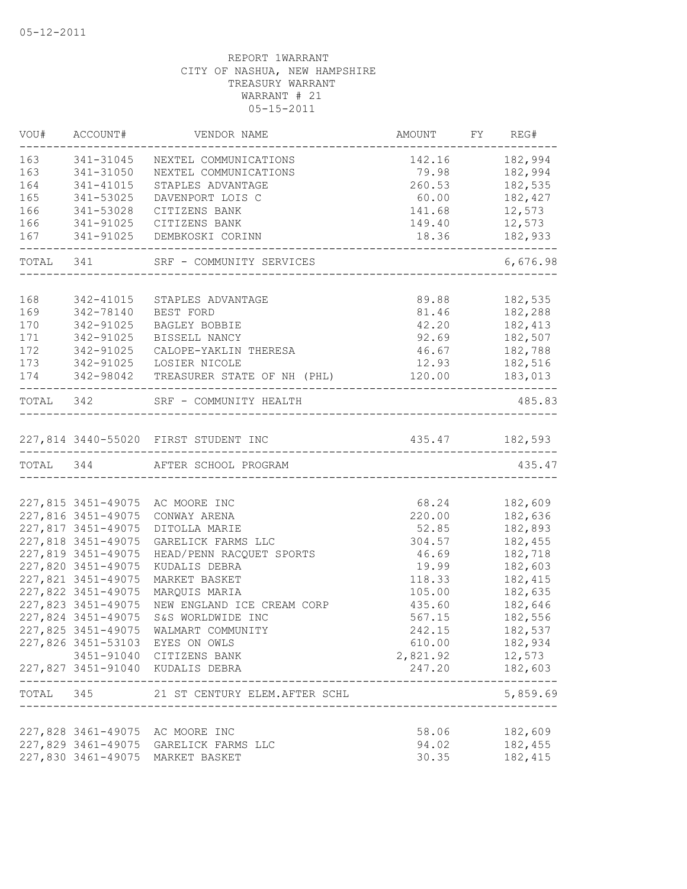|     | VOU# ACCOUNT#      | VENDOR NAME                               | AMOUNT FY REG#           |                       |
|-----|--------------------|-------------------------------------------|--------------------------|-----------------------|
| 163 | 341-31045          | NEXTEL COMMUNICATIONS                     | 142.16                   | 182,994               |
| 163 | 341-31050          | NEXTEL COMMUNICATIONS                     | 79.98                    | 182,994               |
| 164 | 341-41015          | STAPLES ADVANTAGE                         | 260.53                   | 182,535               |
| 165 | 341-53025          | DAVENPORT LOIS C                          | 60.00                    | 182,427               |
| 166 | 341-53028          | CITIZENS BANK                             | 141.68                   | 12,573                |
| 166 | 341-91025          | CITIZENS BANK                             | 149.40                   | 12,573                |
| 167 |                    | 341-91025 DEMBKOSKI CORINN<br>___________ | 18.36<br>_______________ | 182,933               |
|     |                    | TOTAL 341 SRF - COMMUNITY SERVICES        |                          | 6,676.98              |
|     |                    |                                           |                          |                       |
| 168 | 342-41015          | STAPLES ADVANTAGE                         | 89.88                    | 182,535               |
| 169 | 342-78140          | BEST FORD                                 | 81.46                    | 182,288               |
| 170 | 342-91025          | BAGLEY BOBBIE                             | 42.20                    | 182,413               |
| 171 | 342-91025          | BISSELL NANCY                             | 92.69                    | 182,507               |
| 172 | 342-91025          | CALOPE-YAKLIN THERESA                     | 46.67                    | 182,788               |
| 173 | 342-91025          | LOSIER NICOLE                             | 12.93                    | 182,516               |
| 174 | 342-98042          | TREASURER STATE OF NH (PHL)               | 120.00                   | 183,013               |
|     |                    | TOTAL 342 SRF - COMMUNITY HEALTH          |                          | 485.83                |
|     |                    | 227,814 3440-55020 FIRST STUDENT INC      | 435.47 182,593           |                       |
|     |                    | TOTAL 344 AFTER SCHOOL PROGRAM            |                          | 435.47                |
|     |                    |                                           |                          |                       |
|     |                    | 227,815 3451-49075 AC MOORE INC           | 68.24                    | 182,609               |
|     | 227,816 3451-49075 | CONWAY ARENA                              | 220.00                   | 182,636               |
|     | 227,817 3451-49075 | DITOLLA MARIE                             | 52.85                    | 182,893               |
|     | 227,818 3451-49075 | GARELICK FARMS LLC                        | 304.57                   | 182,455               |
|     | 227,819 3451-49075 | HEAD/PENN RACQUET SPORTS                  | 46.69                    | 182,718               |
|     | 227,820 3451-49075 | KUDALIS DEBRA                             | 19.99                    | 182,603               |
|     | 227,821 3451-49075 | MARKET BASKET                             | 118.33                   | 182,415               |
|     | 227,822 3451-49075 | MARQUIS MARIA                             | 105.00                   | 182,635               |
|     | 227,823 3451-49075 | NEW ENGLAND ICE CREAM CORP                | 435.60                   | 182,646               |
|     | 227,824 3451-49075 | S&S WORLDWIDE INC                         | 567.15                   | 182,556               |
|     | 227,825 3451-49075 | WALMART COMMUNITY                         | 242.15                   | 182,537               |
|     |                    | 227,826 3451-53103 EYES ON OWLS           | 610.00                   | 182,934               |
|     |                    | 3451-91040 CITIZENS BANK                  | 2,821.92 12,573          |                       |
|     |                    | 227,827 3451-91040 KUDALIS DEBRA          | 247.20                   | 182,603<br>---------- |
|     |                    | TOTAL 345 21 ST CENTURY ELEM. AFTER SCHL  |                          | 5,859.69              |
|     |                    |                                           |                          |                       |
|     |                    | 227,828 3461-49075 AC MOORE INC           | 58.06                    | 182,609               |
|     |                    | 227,829 3461-49075 GARELICK FARMS LLC     | 94.02                    | 182,455               |
|     |                    | 227,830 3461-49075 MARKET BASKET          | 30.35                    | 182,415               |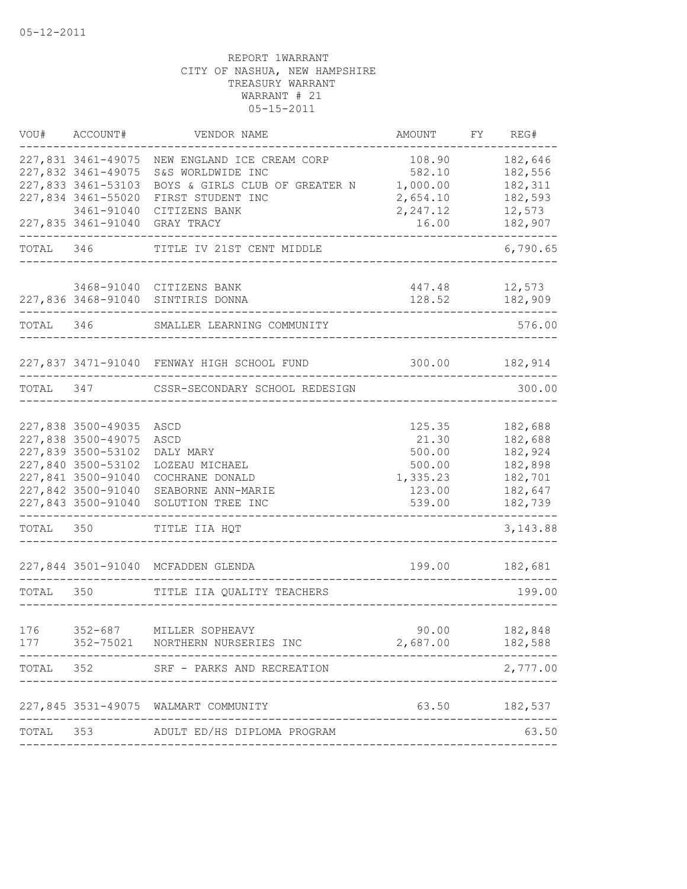| VOU#       | ACCOUNT#                                                                                                                                               | VENDOR NAME                                                                                                             | AMOUNT                                                              | FΥ | REG#                                                                      |
|------------|--------------------------------------------------------------------------------------------------------------------------------------------------------|-------------------------------------------------------------------------------------------------------------------------|---------------------------------------------------------------------|----|---------------------------------------------------------------------------|
|            | 227,831 3461-49075<br>227,832 3461-49075<br>227,833 3461-53103<br>227,834 3461-55020<br>3461-91040                                                     | NEW ENGLAND ICE CREAM CORP<br>S&S WORLDWIDE INC<br>BOYS & GIRLS CLUB OF GREATER N<br>FIRST STUDENT INC<br>CITIZENS BANK | 108.90<br>582.10<br>1,000.00<br>2,654.10<br>2,247.12                |    | 182,646<br>182,556<br>182,311<br>182,593<br>12,573                        |
|            | 227,835 3461-91040                                                                                                                                     | GRAY TRACY                                                                                                              | 16.00<br>_____________                                              |    | 182,907                                                                   |
| TOTAL 346  |                                                                                                                                                        | TITLE IV 21ST CENT MIDDLE                                                                                               |                                                                     |    | 6,790.65                                                                  |
|            |                                                                                                                                                        | 3468-91040 CITIZENS BANK<br>227,836 3468-91040 SINTIRIS DONNA                                                           | 447.48<br>128.52                                                    |    | 12,573<br>182,909                                                         |
| TOTAL 346  |                                                                                                                                                        | SMALLER LEARNING COMMUNITY                                                                                              |                                                                     |    | 576.00                                                                    |
|            |                                                                                                                                                        | 227,837 3471-91040 FENWAY HIGH SCHOOL FUND                                                                              |                                                                     |    | 300.00 182,914                                                            |
|            |                                                                                                                                                        | TOTAL 347 CSSR-SECONDARY SCHOOL REDESIGN                                                                                |                                                                     |    | 300.00                                                                    |
|            | 227,838 3500-49035<br>227,838 3500-49075<br>227,839 3500-53102<br>227,840 3500-53102<br>227,841 3500-91040<br>227,842 3500-91040<br>227,843 3500-91040 | ASCD<br>ASCD<br>DALY MARY<br>LOZEAU MICHAEL<br>COCHRANE DONALD<br>SEABORNE ANN-MARIE<br>SOLUTION TREE INC               | 125.35<br>21.30<br>500.00<br>500.00<br>1,335.23<br>123.00<br>539.00 |    | 182,688<br>182,688<br>182,924<br>182,898<br>182,701<br>182,647<br>182,739 |
| TOTAL 350  |                                                                                                                                                        | TITLE IIA HQT                                                                                                           |                                                                     |    | 3,143.88                                                                  |
|            |                                                                                                                                                        | 227,844 3501-91040 MCFADDEN GLENDA                                                                                      | 199.00                                                              |    | 182,681                                                                   |
| TOTAL 350  |                                                                                                                                                        | TITLE IIA QUALITY TEACHERS                                                                                              | -----------------------------                                       |    | 199.00                                                                    |
| 176<br>177 | $352 - 687$                                                                                                                                            | MILLER SOPHEAVY<br>352-75021 NORTHERN NURSERIES INC                                                                     | 90.00<br>2,687.00                                                   |    | 182,848<br>182,588                                                        |
| TOTAL      | 352                                                                                                                                                    | SRF - PARKS AND RECREATION                                                                                              |                                                                     |    | 2,777.00                                                                  |
|            |                                                                                                                                                        | 227,845 3531-49075 WALMART COMMUNITY<br>---------------------                                                           |                                                                     |    | 63.50 182,537                                                             |
| TOTAL      |                                                                                                                                                        | 353 ADULT ED/HS DIPLOMA PROGRAM                                                                                         |                                                                     |    | 63.50                                                                     |
|            |                                                                                                                                                        |                                                                                                                         |                                                                     |    |                                                                           |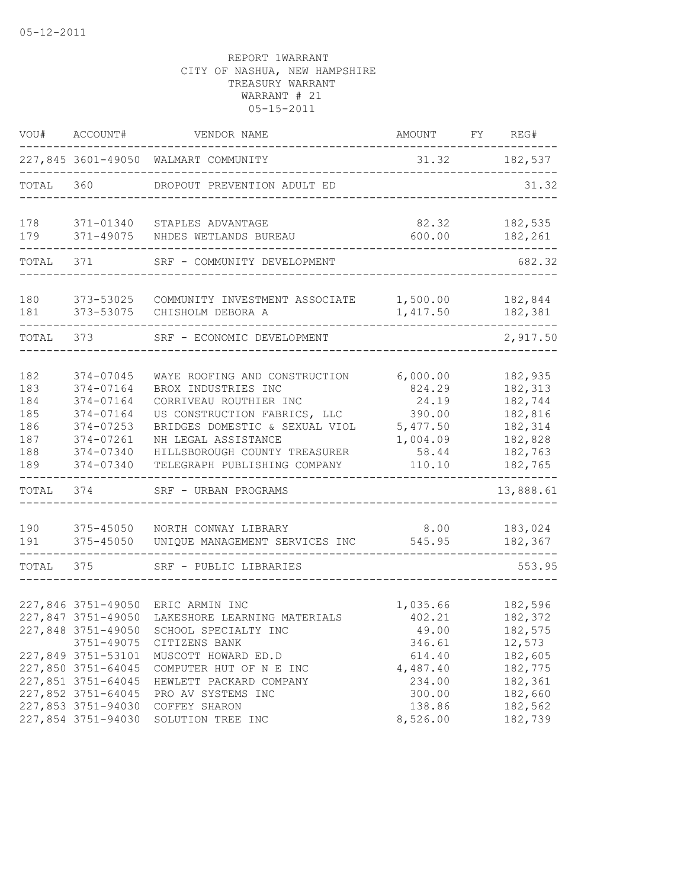| VOU#       | ACCOUNT#                                 | VENDOR NAME                                          | AMOUNT             | FY | REG#               |
|------------|------------------------------------------|------------------------------------------------------|--------------------|----|--------------------|
|            |                                          | 227,845 3601-49050 WALMART COMMUNITY                 | 31.32              |    | 182,537            |
| TOTAL      | 360                                      | DROPOUT PREVENTION ADULT ED                          |                    |    | 31.32              |
| 178<br>179 | 371-01340<br>371-49075                   | STAPLES ADVANTAGE<br>NHDES WETLANDS BUREAU           | 82.32<br>600.00    |    | 182,535<br>182,261 |
| TOTAL      | 371                                      | SRF - COMMUNITY DEVELOPMENT                          |                    |    | 682.32             |
| 180        | 373-53025                                | COMMUNITY INVESTMENT ASSOCIATE                       | 1,500.00           |    | 182,844            |
| 181        | 373-53075                                | CHISHOLM DEBORA A                                    | 1,417.50           |    | 182,381            |
| TOTAL      | 373                                      | SRF - ECONOMIC DEVELOPMENT                           |                    |    | 2,917.50           |
| 182        | 374-07045                                | WAYE ROOFING AND CONSTRUCTION                        | 6,000.00           |    | 182,935            |
| 183<br>184 | 374-07164<br>374-07164                   | BROX INDUSTRIES INC<br>CORRIVEAU ROUTHIER INC        | 824.29<br>24.19    |    | 182,313<br>182,744 |
| 185        | 374-07164                                | US CONSTRUCTION FABRICS, LLC                         | 390.00             |    | 182,816            |
| 186        | 374-07253                                | BRIDGES DOMESTIC & SEXUAL VIOL                       | 5,477.50           |    | 182,314            |
| 187        | 374-07261                                | NH LEGAL ASSISTANCE                                  | 1,004.09           |    | 182,828            |
| 188        | 374-07340                                | HILLSBOROUGH COUNTY TREASURER                        | 58.44              |    | 182,763            |
| 189        | 374-07340                                | TELEGRAPH PUBLISHING COMPANY                         | 110.10             |    | 182,765            |
| TOTAL      | 374                                      | SRF - URBAN PROGRAMS                                 |                    |    | 13,888.61          |
| 190        | $375 - 45050$                            | NORTH CONWAY LIBRARY                                 | 8.00               |    | 183,024            |
| 191        | $375 - 45050$                            | UNIQUE MANAGEMENT SERVICES INC                       | 545.95             |    | 182,367            |
| TOTAL      | 375                                      | SRF - PUBLIC LIBRARIES                               |                    |    | 553.95             |
|            |                                          |                                                      |                    |    |                    |
|            | 227,846 3751-49050<br>227,847 3751-49050 | ERIC ARMIN INC                                       | 1,035.66<br>402.21 |    | 182,596            |
|            | 227,848 3751-49050                       | LAKESHORE LEARNING MATERIALS<br>SCHOOL SPECIALTY INC | 49.00              |    | 182,372<br>182,575 |
|            | 3751-49075                               | CITIZENS BANK                                        | 346.61             |    | 12,573             |
|            | 227,849 3751-53101                       | MUSCOTT HOWARD ED.D                                  | 614.40             |    | 182,605            |
|            | 227,850 3751-64045                       | COMPUTER HUT OF N E INC                              | 4,487.40           |    | 182,775            |
|            | 227,851 3751-64045                       | HEWLETT PACKARD COMPANY                              | 234.00             |    | 182,361            |
|            | 227,852 3751-64045                       | PRO AV SYSTEMS INC                                   | 300.00             |    | 182,660            |
|            | 227,853 3751-94030                       | COFFEY SHARON                                        | 138.86             |    | 182,562            |
|            | 227,854 3751-94030                       | SOLUTION TREE INC                                    | 8,526.00           |    | 182,739            |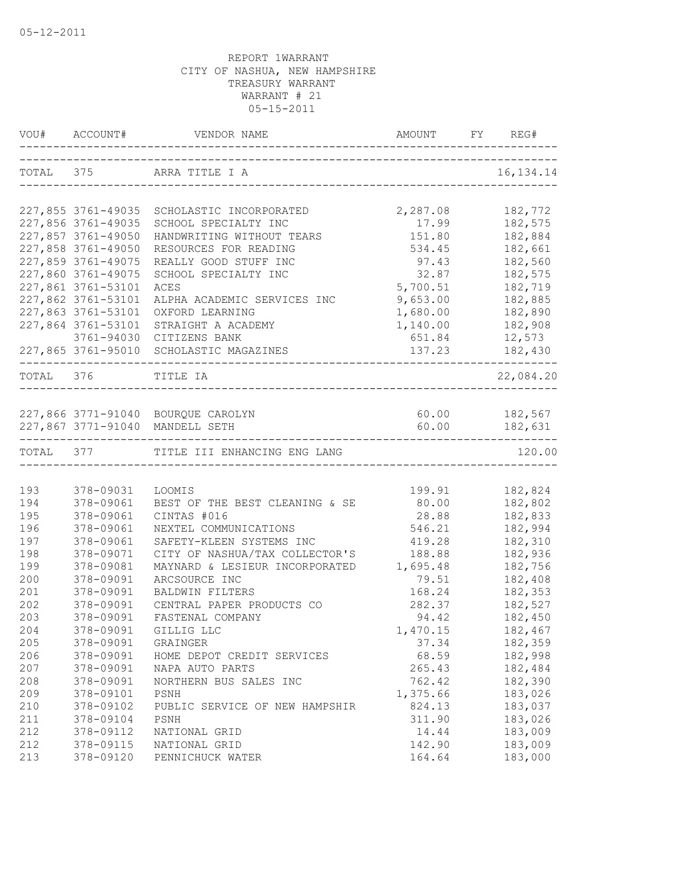| TOTAL 375 ARRA TITLE I A<br>16, 134. 14<br>227,855 3761-49035<br>2,287.08<br>182,772<br>SCHOLASTIC INCORPORATED<br>227,856 3761-49035<br>17.99<br>182,575<br>SCHOOL SPECIALTY INC<br>227,857 3761-49050<br>HANDWRITING WITHOUT TEARS<br>151.80<br>182,884<br>227,858 3761-49050<br>182,661<br>RESOURCES FOR READING<br>534.45<br>227,859 3761-49075<br>182,560<br>REALLY GOOD STUFF INC<br>97.43<br>32.87<br>227,860 3761-49075<br>182,575<br>SCHOOL SPECIALTY INC<br>227,861 3761-53101<br>5,700.51<br>182,719<br>ACES<br>227,862 3761-53101<br>9,653.00<br>182,885<br>ALPHA ACADEMIC SERVICES INC<br>227,863 3761-53101<br>1,680.00<br>182,890<br>OXFORD LEARNING<br>227,864 3761-53101<br>STRAIGHT A ACADEMY<br>1,140.00<br>182,908<br>3761-94030 CITIZENS BANK<br>651.84<br>12,573<br>227,865 3761-95010 SCHOLASTIC MAGAZINES<br>137.23<br>182,430<br>----------------------------------<br>22,084.20<br>TOTAL 376<br>TITLE IA<br>60.00 182,567<br>227,866 3771-91040 BOURQUE CAROLYN<br>60.00 182,631<br>227,867 3771-91040 MANDELL SETH<br>TOTAL 377 TITLE III ENHANCING ENG LANG<br>120.00<br>193<br>378-09031<br>199.91<br>182,824<br>LOOMIS<br>BEST OF THE BEST CLEANING & SE<br>194<br>378-09061<br>80.00<br>182,802<br>195<br>378-09061<br>CINTAS #016<br>28.88<br>182,833<br>196<br>378-09061<br>546.21<br>182,994<br>NEXTEL COMMUNICATIONS<br>197<br>378-09061<br>SAFETY-KLEEN SYSTEMS INC<br>419.28<br>182,310<br>198<br>CITY OF NASHUA/TAX COLLECTOR'S<br>378-09071<br>188.88<br>182,936<br>199<br>MAYNARD & LESIEUR INCORPORATED<br>1,695.48<br>182,756<br>378-09081<br>200<br>378-09091<br>ARCSOURCE INC<br>79.51<br>182,408<br>201<br>378-09091<br>168.24<br>182,353<br>BALDWIN FILTERS<br>202<br>182,527<br>378-09091<br>CENTRAL PAPER PRODUCTS CO<br>282.37<br>203<br>378-09091<br>FASTENAL COMPANY<br>94.42<br>182,450<br>204<br>378-09091<br>GILLIG LLC<br>1,470.15<br>182,467<br>205<br>378-09091<br>37.34<br>182,359<br>GRAINGER<br>206<br>68.59<br>378-09091<br>HOME DEPOT CREDIT SERVICES<br>182,998<br>207<br>378-09091<br>NAPA AUTO PARTS<br>265.43<br>182,484<br>208<br>762.42<br>182,390<br>378-09091<br>NORTHERN BUS SALES INC<br>209<br>378-09101<br>PSNH<br>1,375.66<br>183,026<br>824.13<br>183,037<br>210<br>378-09102<br>PUBLIC SERVICE OF NEW HAMPSHIR<br>183,026<br>211<br>378-09104<br>PSNH<br>311.90<br>183,009<br>212<br>378-09112<br>14.44<br>NATIONAL GRID<br>183,009<br>212<br>378-09115<br>NATIONAL GRID<br>142.90<br>183,000<br>213<br>378-09120<br>PENNICHUCK WATER<br>164.64 | VOU# ACCOUNT# | AMOUNT FY REG# |  |
|------------------------------------------------------------------------------------------------------------------------------------------------------------------------------------------------------------------------------------------------------------------------------------------------------------------------------------------------------------------------------------------------------------------------------------------------------------------------------------------------------------------------------------------------------------------------------------------------------------------------------------------------------------------------------------------------------------------------------------------------------------------------------------------------------------------------------------------------------------------------------------------------------------------------------------------------------------------------------------------------------------------------------------------------------------------------------------------------------------------------------------------------------------------------------------------------------------------------------------------------------------------------------------------------------------------------------------------------------------------------------------------------------------------------------------------------------------------------------------------------------------------------------------------------------------------------------------------------------------------------------------------------------------------------------------------------------------------------------------------------------------------------------------------------------------------------------------------------------------------------------------------------------------------------------------------------------------------------------------------------------------------------------------------------------------------------------------------------------------------------------------------------------------------------------------------------------------------------------------------------------------------------------------------------------------------------------------------------------------------------------------------------------------------------------------------------------------------------------------------------------------------------------|---------------|----------------|--|
|                                                                                                                                                                                                                                                                                                                                                                                                                                                                                                                                                                                                                                                                                                                                                                                                                                                                                                                                                                                                                                                                                                                                                                                                                                                                                                                                                                                                                                                                                                                                                                                                                                                                                                                                                                                                                                                                                                                                                                                                                                                                                                                                                                                                                                                                                                                                                                                                                                                                                                                              |               |                |  |
|                                                                                                                                                                                                                                                                                                                                                                                                                                                                                                                                                                                                                                                                                                                                                                                                                                                                                                                                                                                                                                                                                                                                                                                                                                                                                                                                                                                                                                                                                                                                                                                                                                                                                                                                                                                                                                                                                                                                                                                                                                                                                                                                                                                                                                                                                                                                                                                                                                                                                                                              |               |                |  |
|                                                                                                                                                                                                                                                                                                                                                                                                                                                                                                                                                                                                                                                                                                                                                                                                                                                                                                                                                                                                                                                                                                                                                                                                                                                                                                                                                                                                                                                                                                                                                                                                                                                                                                                                                                                                                                                                                                                                                                                                                                                                                                                                                                                                                                                                                                                                                                                                                                                                                                                              |               |                |  |
|                                                                                                                                                                                                                                                                                                                                                                                                                                                                                                                                                                                                                                                                                                                                                                                                                                                                                                                                                                                                                                                                                                                                                                                                                                                                                                                                                                                                                                                                                                                                                                                                                                                                                                                                                                                                                                                                                                                                                                                                                                                                                                                                                                                                                                                                                                                                                                                                                                                                                                                              |               |                |  |
|                                                                                                                                                                                                                                                                                                                                                                                                                                                                                                                                                                                                                                                                                                                                                                                                                                                                                                                                                                                                                                                                                                                                                                                                                                                                                                                                                                                                                                                                                                                                                                                                                                                                                                                                                                                                                                                                                                                                                                                                                                                                                                                                                                                                                                                                                                                                                                                                                                                                                                                              |               |                |  |
|                                                                                                                                                                                                                                                                                                                                                                                                                                                                                                                                                                                                                                                                                                                                                                                                                                                                                                                                                                                                                                                                                                                                                                                                                                                                                                                                                                                                                                                                                                                                                                                                                                                                                                                                                                                                                                                                                                                                                                                                                                                                                                                                                                                                                                                                                                                                                                                                                                                                                                                              |               |                |  |
|                                                                                                                                                                                                                                                                                                                                                                                                                                                                                                                                                                                                                                                                                                                                                                                                                                                                                                                                                                                                                                                                                                                                                                                                                                                                                                                                                                                                                                                                                                                                                                                                                                                                                                                                                                                                                                                                                                                                                                                                                                                                                                                                                                                                                                                                                                                                                                                                                                                                                                                              |               |                |  |
|                                                                                                                                                                                                                                                                                                                                                                                                                                                                                                                                                                                                                                                                                                                                                                                                                                                                                                                                                                                                                                                                                                                                                                                                                                                                                                                                                                                                                                                                                                                                                                                                                                                                                                                                                                                                                                                                                                                                                                                                                                                                                                                                                                                                                                                                                                                                                                                                                                                                                                                              |               |                |  |
|                                                                                                                                                                                                                                                                                                                                                                                                                                                                                                                                                                                                                                                                                                                                                                                                                                                                                                                                                                                                                                                                                                                                                                                                                                                                                                                                                                                                                                                                                                                                                                                                                                                                                                                                                                                                                                                                                                                                                                                                                                                                                                                                                                                                                                                                                                                                                                                                                                                                                                                              |               |                |  |
|                                                                                                                                                                                                                                                                                                                                                                                                                                                                                                                                                                                                                                                                                                                                                                                                                                                                                                                                                                                                                                                                                                                                                                                                                                                                                                                                                                                                                                                                                                                                                                                                                                                                                                                                                                                                                                                                                                                                                                                                                                                                                                                                                                                                                                                                                                                                                                                                                                                                                                                              |               |                |  |
|                                                                                                                                                                                                                                                                                                                                                                                                                                                                                                                                                                                                                                                                                                                                                                                                                                                                                                                                                                                                                                                                                                                                                                                                                                                                                                                                                                                                                                                                                                                                                                                                                                                                                                                                                                                                                                                                                                                                                                                                                                                                                                                                                                                                                                                                                                                                                                                                                                                                                                                              |               |                |  |
|                                                                                                                                                                                                                                                                                                                                                                                                                                                                                                                                                                                                                                                                                                                                                                                                                                                                                                                                                                                                                                                                                                                                                                                                                                                                                                                                                                                                                                                                                                                                                                                                                                                                                                                                                                                                                                                                                                                                                                                                                                                                                                                                                                                                                                                                                                                                                                                                                                                                                                                              |               |                |  |
|                                                                                                                                                                                                                                                                                                                                                                                                                                                                                                                                                                                                                                                                                                                                                                                                                                                                                                                                                                                                                                                                                                                                                                                                                                                                                                                                                                                                                                                                                                                                                                                                                                                                                                                                                                                                                                                                                                                                                                                                                                                                                                                                                                                                                                                                                                                                                                                                                                                                                                                              |               |                |  |
|                                                                                                                                                                                                                                                                                                                                                                                                                                                                                                                                                                                                                                                                                                                                                                                                                                                                                                                                                                                                                                                                                                                                                                                                                                                                                                                                                                                                                                                                                                                                                                                                                                                                                                                                                                                                                                                                                                                                                                                                                                                                                                                                                                                                                                                                                                                                                                                                                                                                                                                              |               |                |  |
|                                                                                                                                                                                                                                                                                                                                                                                                                                                                                                                                                                                                                                                                                                                                                                                                                                                                                                                                                                                                                                                                                                                                                                                                                                                                                                                                                                                                                                                                                                                                                                                                                                                                                                                                                                                                                                                                                                                                                                                                                                                                                                                                                                                                                                                                                                                                                                                                                                                                                                                              |               |                |  |
|                                                                                                                                                                                                                                                                                                                                                                                                                                                                                                                                                                                                                                                                                                                                                                                                                                                                                                                                                                                                                                                                                                                                                                                                                                                                                                                                                                                                                                                                                                                                                                                                                                                                                                                                                                                                                                                                                                                                                                                                                                                                                                                                                                                                                                                                                                                                                                                                                                                                                                                              |               |                |  |
|                                                                                                                                                                                                                                                                                                                                                                                                                                                                                                                                                                                                                                                                                                                                                                                                                                                                                                                                                                                                                                                                                                                                                                                                                                                                                                                                                                                                                                                                                                                                                                                                                                                                                                                                                                                                                                                                                                                                                                                                                                                                                                                                                                                                                                                                                                                                                                                                                                                                                                                              |               |                |  |
|                                                                                                                                                                                                                                                                                                                                                                                                                                                                                                                                                                                                                                                                                                                                                                                                                                                                                                                                                                                                                                                                                                                                                                                                                                                                                                                                                                                                                                                                                                                                                                                                                                                                                                                                                                                                                                                                                                                                                                                                                                                                                                                                                                                                                                                                                                                                                                                                                                                                                                                              |               |                |  |
|                                                                                                                                                                                                                                                                                                                                                                                                                                                                                                                                                                                                                                                                                                                                                                                                                                                                                                                                                                                                                                                                                                                                                                                                                                                                                                                                                                                                                                                                                                                                                                                                                                                                                                                                                                                                                                                                                                                                                                                                                                                                                                                                                                                                                                                                                                                                                                                                                                                                                                                              |               |                |  |
|                                                                                                                                                                                                                                                                                                                                                                                                                                                                                                                                                                                                                                                                                                                                                                                                                                                                                                                                                                                                                                                                                                                                                                                                                                                                                                                                                                                                                                                                                                                                                                                                                                                                                                                                                                                                                                                                                                                                                                                                                                                                                                                                                                                                                                                                                                                                                                                                                                                                                                                              |               |                |  |
|                                                                                                                                                                                                                                                                                                                                                                                                                                                                                                                                                                                                                                                                                                                                                                                                                                                                                                                                                                                                                                                                                                                                                                                                                                                                                                                                                                                                                                                                                                                                                                                                                                                                                                                                                                                                                                                                                                                                                                                                                                                                                                                                                                                                                                                                                                                                                                                                                                                                                                                              |               |                |  |
|                                                                                                                                                                                                                                                                                                                                                                                                                                                                                                                                                                                                                                                                                                                                                                                                                                                                                                                                                                                                                                                                                                                                                                                                                                                                                                                                                                                                                                                                                                                                                                                                                                                                                                                                                                                                                                                                                                                                                                                                                                                                                                                                                                                                                                                                                                                                                                                                                                                                                                                              |               |                |  |
|                                                                                                                                                                                                                                                                                                                                                                                                                                                                                                                                                                                                                                                                                                                                                                                                                                                                                                                                                                                                                                                                                                                                                                                                                                                                                                                                                                                                                                                                                                                                                                                                                                                                                                                                                                                                                                                                                                                                                                                                                                                                                                                                                                                                                                                                                                                                                                                                                                                                                                                              |               |                |  |
|                                                                                                                                                                                                                                                                                                                                                                                                                                                                                                                                                                                                                                                                                                                                                                                                                                                                                                                                                                                                                                                                                                                                                                                                                                                                                                                                                                                                                                                                                                                                                                                                                                                                                                                                                                                                                                                                                                                                                                                                                                                                                                                                                                                                                                                                                                                                                                                                                                                                                                                              |               |                |  |
|                                                                                                                                                                                                                                                                                                                                                                                                                                                                                                                                                                                                                                                                                                                                                                                                                                                                                                                                                                                                                                                                                                                                                                                                                                                                                                                                                                                                                                                                                                                                                                                                                                                                                                                                                                                                                                                                                                                                                                                                                                                                                                                                                                                                                                                                                                                                                                                                                                                                                                                              |               |                |  |
|                                                                                                                                                                                                                                                                                                                                                                                                                                                                                                                                                                                                                                                                                                                                                                                                                                                                                                                                                                                                                                                                                                                                                                                                                                                                                                                                                                                                                                                                                                                                                                                                                                                                                                                                                                                                                                                                                                                                                                                                                                                                                                                                                                                                                                                                                                                                                                                                                                                                                                                              |               |                |  |
|                                                                                                                                                                                                                                                                                                                                                                                                                                                                                                                                                                                                                                                                                                                                                                                                                                                                                                                                                                                                                                                                                                                                                                                                                                                                                                                                                                                                                                                                                                                                                                                                                                                                                                                                                                                                                                                                                                                                                                                                                                                                                                                                                                                                                                                                                                                                                                                                                                                                                                                              |               |                |  |
|                                                                                                                                                                                                                                                                                                                                                                                                                                                                                                                                                                                                                                                                                                                                                                                                                                                                                                                                                                                                                                                                                                                                                                                                                                                                                                                                                                                                                                                                                                                                                                                                                                                                                                                                                                                                                                                                                                                                                                                                                                                                                                                                                                                                                                                                                                                                                                                                                                                                                                                              |               |                |  |
|                                                                                                                                                                                                                                                                                                                                                                                                                                                                                                                                                                                                                                                                                                                                                                                                                                                                                                                                                                                                                                                                                                                                                                                                                                                                                                                                                                                                                                                                                                                                                                                                                                                                                                                                                                                                                                                                                                                                                                                                                                                                                                                                                                                                                                                                                                                                                                                                                                                                                                                              |               |                |  |
|                                                                                                                                                                                                                                                                                                                                                                                                                                                                                                                                                                                                                                                                                                                                                                                                                                                                                                                                                                                                                                                                                                                                                                                                                                                                                                                                                                                                                                                                                                                                                                                                                                                                                                                                                                                                                                                                                                                                                                                                                                                                                                                                                                                                                                                                                                                                                                                                                                                                                                                              |               |                |  |
|                                                                                                                                                                                                                                                                                                                                                                                                                                                                                                                                                                                                                                                                                                                                                                                                                                                                                                                                                                                                                                                                                                                                                                                                                                                                                                                                                                                                                                                                                                                                                                                                                                                                                                                                                                                                                                                                                                                                                                                                                                                                                                                                                                                                                                                                                                                                                                                                                                                                                                                              |               |                |  |
|                                                                                                                                                                                                                                                                                                                                                                                                                                                                                                                                                                                                                                                                                                                                                                                                                                                                                                                                                                                                                                                                                                                                                                                                                                                                                                                                                                                                                                                                                                                                                                                                                                                                                                                                                                                                                                                                                                                                                                                                                                                                                                                                                                                                                                                                                                                                                                                                                                                                                                                              |               |                |  |
|                                                                                                                                                                                                                                                                                                                                                                                                                                                                                                                                                                                                                                                                                                                                                                                                                                                                                                                                                                                                                                                                                                                                                                                                                                                                                                                                                                                                                                                                                                                                                                                                                                                                                                                                                                                                                                                                                                                                                                                                                                                                                                                                                                                                                                                                                                                                                                                                                                                                                                                              |               |                |  |
|                                                                                                                                                                                                                                                                                                                                                                                                                                                                                                                                                                                                                                                                                                                                                                                                                                                                                                                                                                                                                                                                                                                                                                                                                                                                                                                                                                                                                                                                                                                                                                                                                                                                                                                                                                                                                                                                                                                                                                                                                                                                                                                                                                                                                                                                                                                                                                                                                                                                                                                              |               |                |  |
|                                                                                                                                                                                                                                                                                                                                                                                                                                                                                                                                                                                                                                                                                                                                                                                                                                                                                                                                                                                                                                                                                                                                                                                                                                                                                                                                                                                                                                                                                                                                                                                                                                                                                                                                                                                                                                                                                                                                                                                                                                                                                                                                                                                                                                                                                                                                                                                                                                                                                                                              |               |                |  |
|                                                                                                                                                                                                                                                                                                                                                                                                                                                                                                                                                                                                                                                                                                                                                                                                                                                                                                                                                                                                                                                                                                                                                                                                                                                                                                                                                                                                                                                                                                                                                                                                                                                                                                                                                                                                                                                                                                                                                                                                                                                                                                                                                                                                                                                                                                                                                                                                                                                                                                                              |               |                |  |
|                                                                                                                                                                                                                                                                                                                                                                                                                                                                                                                                                                                                                                                                                                                                                                                                                                                                                                                                                                                                                                                                                                                                                                                                                                                                                                                                                                                                                                                                                                                                                                                                                                                                                                                                                                                                                                                                                                                                                                                                                                                                                                                                                                                                                                                                                                                                                                                                                                                                                                                              |               |                |  |
|                                                                                                                                                                                                                                                                                                                                                                                                                                                                                                                                                                                                                                                                                                                                                                                                                                                                                                                                                                                                                                                                                                                                                                                                                                                                                                                                                                                                                                                                                                                                                                                                                                                                                                                                                                                                                                                                                                                                                                                                                                                                                                                                                                                                                                                                                                                                                                                                                                                                                                                              |               |                |  |
|                                                                                                                                                                                                                                                                                                                                                                                                                                                                                                                                                                                                                                                                                                                                                                                                                                                                                                                                                                                                                                                                                                                                                                                                                                                                                                                                                                                                                                                                                                                                                                                                                                                                                                                                                                                                                                                                                                                                                                                                                                                                                                                                                                                                                                                                                                                                                                                                                                                                                                                              |               |                |  |
|                                                                                                                                                                                                                                                                                                                                                                                                                                                                                                                                                                                                                                                                                                                                                                                                                                                                                                                                                                                                                                                                                                                                                                                                                                                                                                                                                                                                                                                                                                                                                                                                                                                                                                                                                                                                                                                                                                                                                                                                                                                                                                                                                                                                                                                                                                                                                                                                                                                                                                                              |               |                |  |
|                                                                                                                                                                                                                                                                                                                                                                                                                                                                                                                                                                                                                                                                                                                                                                                                                                                                                                                                                                                                                                                                                                                                                                                                                                                                                                                                                                                                                                                                                                                                                                                                                                                                                                                                                                                                                                                                                                                                                                                                                                                                                                                                                                                                                                                                                                                                                                                                                                                                                                                              |               |                |  |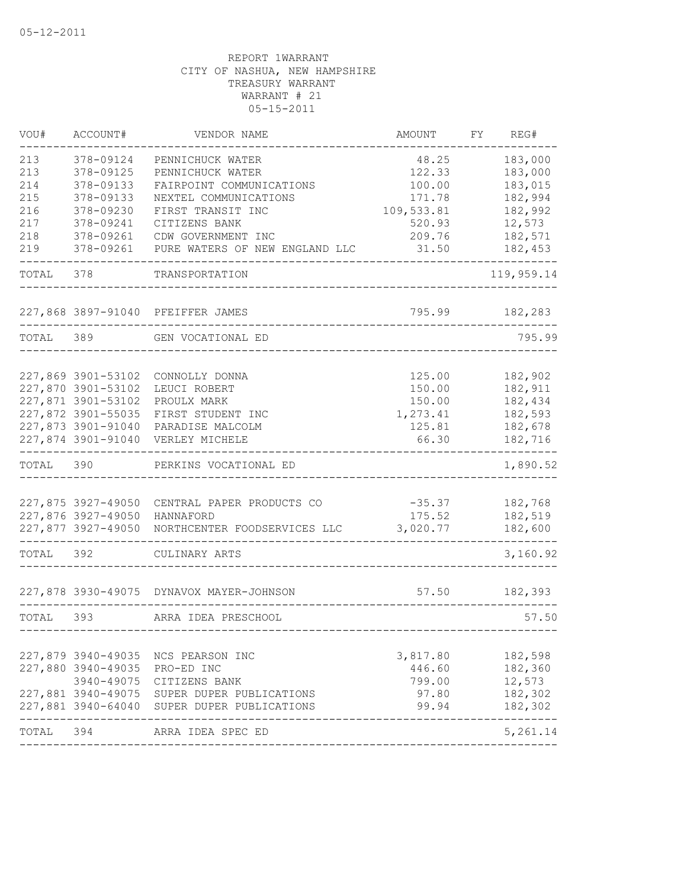| VOU#  | ACCOUNT#                                 | VENDOR NAME                                 | AMOUNT     | FY. | REG#       |
|-------|------------------------------------------|---------------------------------------------|------------|-----|------------|
| 213   | 378-09124                                | PENNICHUCK WATER                            | 48.25      |     | 183,000    |
| 213   | 378-09125                                | PENNICHUCK WATER                            | 122.33     |     | 183,000    |
| 214   | 378-09133                                | FAIRPOINT COMMUNICATIONS                    | 100.00     |     | 183,015    |
| 215   | 378-09133                                | NEXTEL COMMUNICATIONS                       | 171.78     |     | 182,994    |
| 216   | 378-09230                                | FIRST TRANSIT INC                           | 109,533.81 |     | 182,992    |
| 217   | 378-09241                                | CITIZENS BANK                               | 520.93     |     | 12,573     |
| 218   | 378-09261                                | CDW GOVERNMENT INC                          | 209.76     |     | 182,571    |
| 219   | 378-09261                                | PURE WATERS OF NEW ENGLAND LLC              | 31.50      |     | 182,453    |
| TOTAL | 378                                      | TRANSPORTATION                              |            |     | 119,959.14 |
|       |                                          | 227,868 3897-91040 PFEIFFER JAMES           | 795.99     |     | 182,283    |
| TOTAL | 389                                      | GEN VOCATIONAL ED                           |            |     | 795.99     |
|       |                                          |                                             |            |     |            |
|       | 227,869 3901-53102                       | CONNOLLY DONNA                              | 125.00     |     | 182,902    |
|       | 227,870 3901-53102                       | LEUCI ROBERT                                | 150.00     |     | 182,911    |
|       | 227,871 3901-53102                       | PROULX MARK                                 | 150.00     |     | 182,434    |
|       | 227,872 3901-55035                       | FIRST STUDENT INC                           | 1,273.41   |     | 182,593    |
|       | 227,873 3901-91040<br>227,874 3901-91040 | PARADISE MALCOLM                            | 125.81     |     | 182,678    |
|       |                                          | VERLEY MICHELE                              | 66.30      |     | 182,716    |
| TOTAL | 390                                      | PERKINS VOCATIONAL ED                       |            |     | 1,890.52   |
|       |                                          |                                             |            |     |            |
|       | 227,875 3927-49050                       | CENTRAL PAPER PRODUCTS CO                   | $-35.37$   |     | 182,768    |
|       | 227,876 3927-49050                       | HANNAFORD                                   | 175.52     |     | 182,519    |
|       | 227,877 3927-49050                       | NORTHCENTER FOODSERVICES LLC                | 3,020.77   |     | 182,600    |
| TOTAL | 392                                      | CULINARY ARTS                               |            |     | 3,160.92   |
|       |                                          | 227,878 3930-49075 DYNAVOX MAYER-JOHNSON    | 57.50      |     | 182,393    |
| TOTAL | 393                                      | ARRA IDEA PRESCHOOL                         |            |     | 57.50      |
|       |                                          |                                             |            |     |            |
|       |                                          | 227,879 3940-49035 NCS PEARSON INC          | 3,817.80   |     | 182,598    |
|       | 227,880 3940-49035                       | PRO-ED INC                                  | 446.60     |     | 182,360    |
|       |                                          | 3940-49075 CITIZENS BANK                    | 799.00     |     | 12,573     |
|       |                                          | 227,881 3940-49075 SUPER DUPER PUBLICATIONS | 97.80      |     | 182,302    |
|       |                                          | 227,881 3940-64040 SUPER DUPER PUBLICATIONS | 99.94      |     | 182,302    |
| TOTAL | 394                                      | ARRA IDEA SPEC ED                           |            |     | 5,261.14   |
|       |                                          |                                             |            |     |            |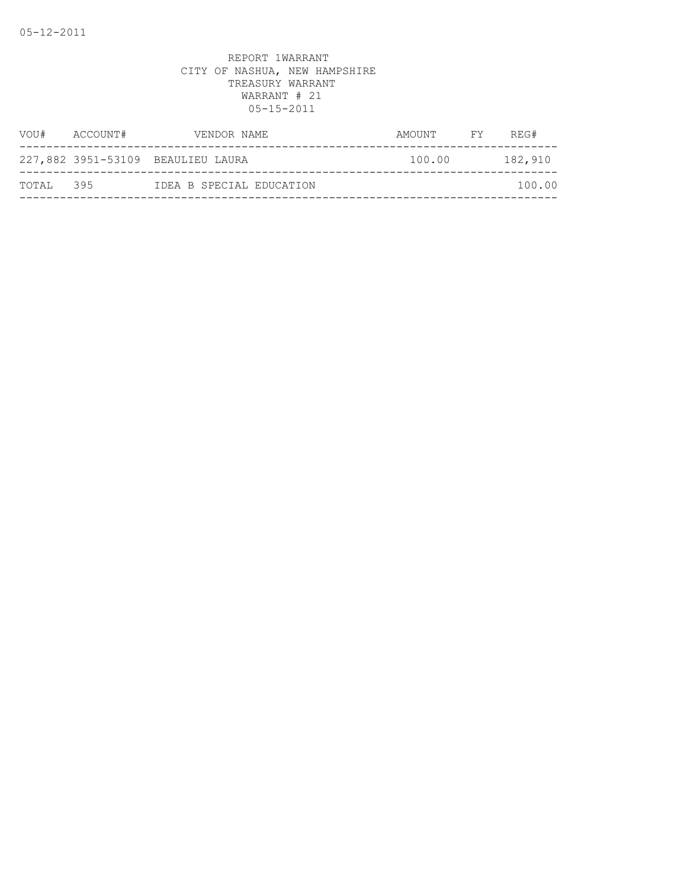| VOU#      | ACCOUNT# | VENDOR NAME                       | AMOUNT | FY | REG#    |
|-----------|----------|-----------------------------------|--------|----|---------|
|           |          | 227,882 3951-53109 BEAULIEU LAURA | 100.00 |    | 182,910 |
| TOTAL 395 |          | IDEA B SPECIAL EDUCATION          |        |    | 100.00  |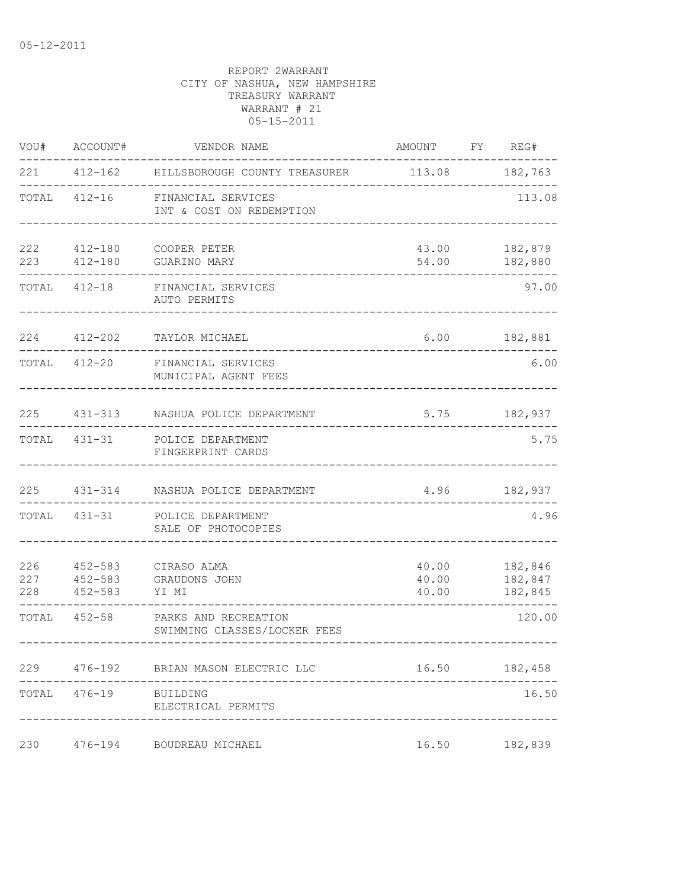|            | VOU# ACCOUNT#         | VENDOR NAME                                                  | AMOUNT FY REG#          |                                |
|------------|-----------------------|--------------------------------------------------------------|-------------------------|--------------------------------|
|            |                       | 221  412-162  HILLSBOROUGH COUNTY TREASURER  113.08  182,763 |                         |                                |
|            |                       | TOTAL 412-16 FINANCIAL SERVICES<br>INT & COST ON REDEMPTION  |                         | 113.08                         |
|            |                       | 222 412-180 COOPER PETER<br>223   412-180   GUARINO MARY     |                         | 43.00 182,879<br>54.00 182,880 |
|            |                       | TOTAL 412-18 FINANCIAL SERVICES<br>AUTO PERMITS              |                         | 97.00                          |
|            | 224 412-202           | TAYLOR MICHAEL                                               |                         | $6.00$ 182,881                 |
|            |                       | TOTAL 412-20 FINANCIAL SERVICES<br>MUNICIPAL AGENT FEES      |                         | 6.00                           |
|            |                       | 225 431-313 NASHUA POLICE DEPARTMENT                         |                         | 5.75 182,937                   |
|            |                       | TOTAL 431-31 POLICE DEPARTMENT<br>FINGERPRINT CARDS          |                         | 5.75                           |
|            |                       | 225 431-314 NASHUA POLICE DEPARTMENT                         |                         | 4.96 182,937                   |
|            |                       | TOTAL 431-31 POLICE DEPARTMENT<br>SALE OF PHOTOCOPIES        |                         | 4.96                           |
| 227<br>228 | 452-583 YI MI         | 226  452-583  CIRASO ALMA<br>452-583 GRAUDONS JOHN           | 40.00<br>40.00<br>40.00 | 182,846<br>182,847<br>182,845  |
|            | TOTAL 452-58          | PARKS AND RECREATION<br>SWIMMING CLASSES/LOCKER FEES         |                         | 120.00                         |
|            |                       | 229 476-192 BRIAN MASON ELECTRIC LLC                         |                         | 16.50 182,458                  |
|            | TOTAL 476-19 BUILDING | ELECTRICAL PERMITS                                           |                         | 16.50                          |
| 230        |                       | 476-194 BOUDREAU MICHAEL                                     | 16.50                   | 182,839                        |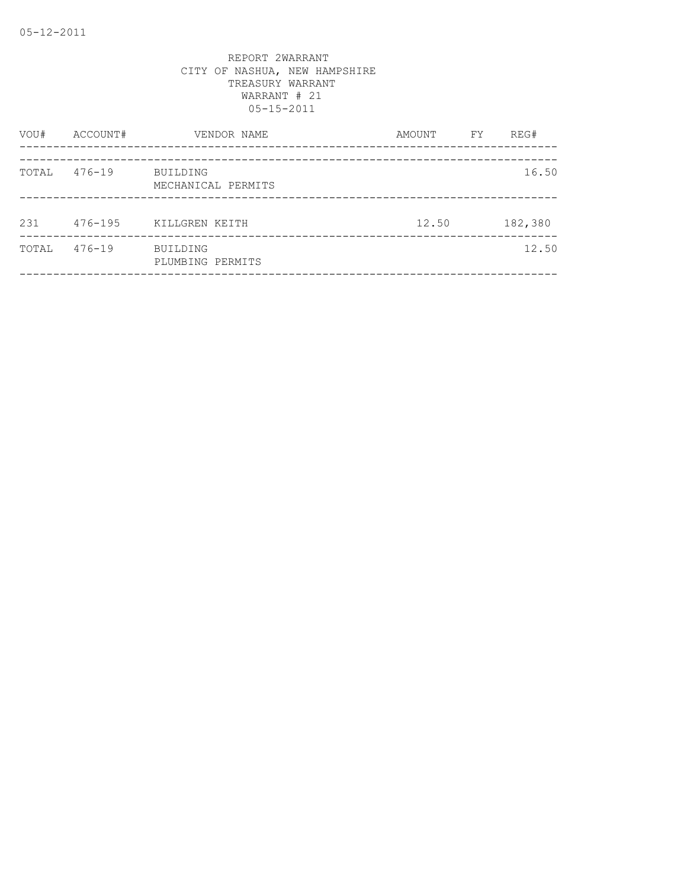| VOU#  | ACCOUNT#   | VENDOR NAME                    | AMOUNT | FΥ | REG#    |
|-------|------------|--------------------------------|--------|----|---------|
| TOTAL | $476 - 19$ | BUILDING<br>MECHANICAL PERMITS |        |    | 16.50   |
| 231   | 476-195    | KILLGREN KEITH                 | 12.50  |    | 182,380 |
| TOTAL | $476 - 19$ | BUILDING<br>PLUMBING PERMITS   |        |    | 12.50   |
|       |            |                                |        |    |         |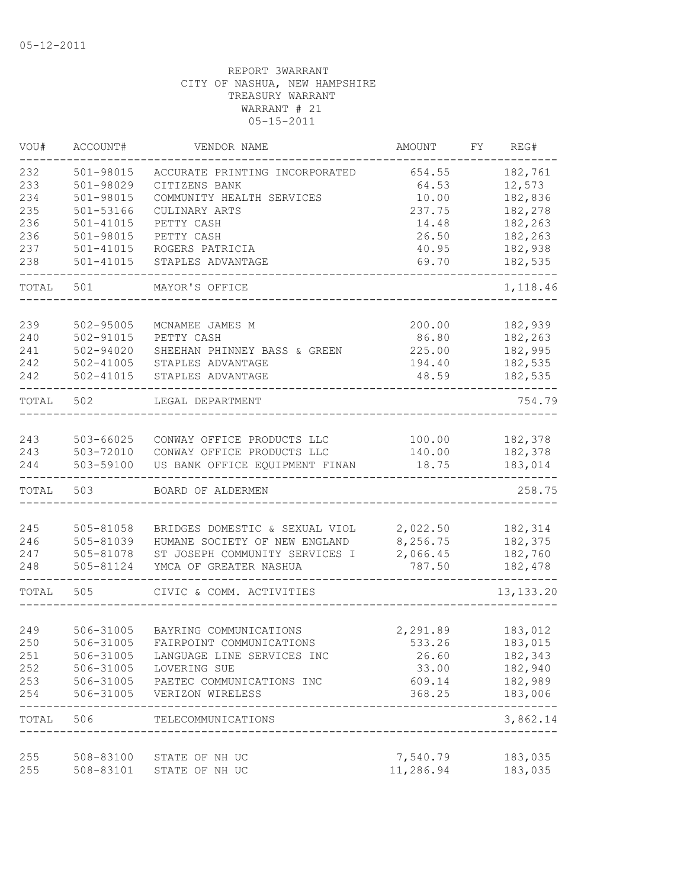| VOU#  | ACCOUNT#      | VENDOR NAME                                | AMOUNT    | FY. | REG#                 |
|-------|---------------|--------------------------------------------|-----------|-----|----------------------|
| 232   | 501-98015     | ACCURATE PRINTING INCORPORATED             | 654.55    |     | 182,761              |
| 233   | 501-98029     | CITIZENS BANK                              | 64.53     |     | 12,573               |
| 234   | 501-98015     | COMMUNITY HEALTH SERVICES                  | 10.00     |     | 182,836              |
| 235   | $501 - 53166$ | CULINARY ARTS                              | 237.75    |     | 182,278              |
| 236   | $501 - 41015$ | PETTY CASH                                 | 14.48     |     | 182,263              |
| 236   | 501-98015     | PETTY CASH                                 | 26.50     |     | 182,263              |
| 237   | $501 - 41015$ | ROGERS PATRICIA                            | 40.95     |     | 182,938              |
| 238   | $501 - 41015$ | STAPLES ADVANTAGE                          | 69.70     |     | 182,535              |
| TOTAL | 501           | MAYOR'S OFFICE                             |           |     | 1,118.46             |
|       |               |                                            |           |     |                      |
| 239   | 502-95005     | MCNAMEE JAMES M                            | 200.00    |     | 182,939              |
| 240   | 502-91015     | PETTY CASH                                 | 86.80     |     | 182,263              |
| 241   | 502-94020     | SHEEHAN PHINNEY BASS & GREEN               | 225.00    |     | 182,995              |
| 242   | 502-41005     | STAPLES ADVANTAGE                          | 194.40    |     | 182,535              |
| 242   | $502 - 41015$ | STAPLES ADVANTAGE                          | 48.59     |     | 182,535              |
| TOTAL | 502           | LEGAL DEPARTMENT                           |           |     | 754.79               |
| 243   | 503-66025     | CONWAY OFFICE PRODUCTS LLC                 | 100.00    |     | 182,378              |
| 243   | 503-72010     | CONWAY OFFICE PRODUCTS LLC                 | 140.00    |     | 182,378              |
| 244   | 503-59100     | US BANK OFFICE EQUIPMENT FINAN             | 18.75     |     | 183,014              |
| TOTAL | 503           | BOARD OF ALDERMEN                          |           |     | 258.75               |
|       |               |                                            |           |     |                      |
| 245   | 505-81058     | BRIDGES DOMESTIC & SEXUAL VIOL             | 2,022.50  |     | 182,314              |
| 246   | 505-81039     | HUMANE SOCIETY OF NEW ENGLAND              | 8,256.75  |     | 182,375              |
| 247   | 505-81078     | ST JOSEPH COMMUNITY SERVICES I             | 2,066.45  |     | 182,760              |
| 248   | 505-81124     | YMCA OF GREATER NASHUA                     | 787.50    |     | 182,478              |
| TOTAL | 505           | CIVIC & COMM. ACTIVITIES                   |           |     | 13, 133. 20          |
|       |               |                                            |           |     |                      |
| 249   | 506-31005     | BAYRING COMMUNICATIONS                     | 2,291.89  |     | 183,012              |
| 250   | 506-31005     | FAIRPOINT COMMUNICATIONS                   | 533.26    |     | 183,015              |
| 251   | 506-31005     | LANGUAGE LINE SERVICES INC                 | 26.60     |     | 182,343              |
| 252   | 506-31005     | LOVERING SUE                               | 33.00     |     | 182,940              |
| 253   |               | 506-31005 PAETEC COMMUNICATIONS INC        | 609.14    |     | 182,989              |
| 254   | 506-31005     | VERIZON WIRELESS                           | 368.25    |     | 183,006              |
|       | TOTAL 506     | TELECOMMUNICATIONS<br>____________________ |           |     | --------<br>3,862.14 |
| 255   |               | 508-83100 STATE OF NH UC                   | 7,540.79  |     | 183,035              |
| 255   |               | STATE OF NH UC                             | 11,286.94 |     |                      |
|       | 508-83101     |                                            |           |     | 183,035              |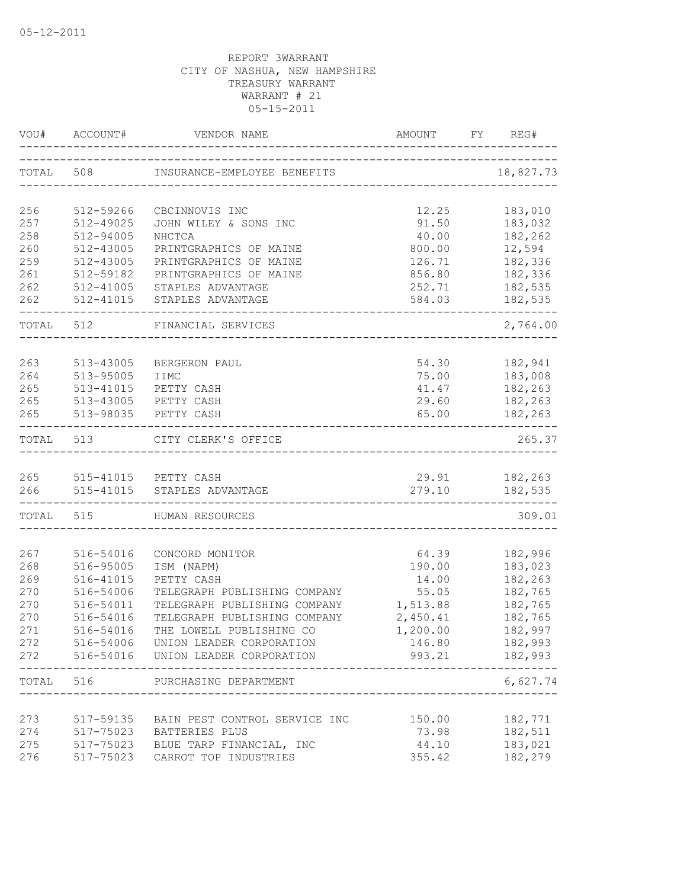| VOU#       | ACCOUNT#               | VENDOR NAME                                                          | AMOUNT           | FY | REG#                    |
|------------|------------------------|----------------------------------------------------------------------|------------------|----|-------------------------|
| TOTAL      | 508                    | INSURANCE-EMPLOYEE BENEFITS<br>_____________________________________ |                  |    | 18,827.73               |
| 256        | 512-59266              | CBCINNOVIS INC                                                       | 12.25            |    | 183,010                 |
| 257        | 512-49025              | JOHN WILEY & SONS INC                                                | 91.50            |    | 183,032                 |
| 258        | 512-94005              | NHCTCA                                                               | 40.00            |    | 182,262                 |
| 260        | 512-43005              | PRINTGRAPHICS OF MAINE                                               | 800.00           |    | 12,594                  |
| 259        | 512-43005              | PRINTGRAPHICS OF MAINE                                               | 126.71           |    | 182,336                 |
| 261        | 512-59182              | PRINTGRAPHICS OF MAINE                                               | 856.80           |    | 182,336                 |
| 262        | 512-41005              | STAPLES ADVANTAGE                                                    | 252.71           |    | 182,535                 |
| 262        | 512-41015              | STAPLES ADVANTAGE                                                    | 584.03           |    | 182,535                 |
| TOTAL 512  |                        | FINANCIAL SERVICES                                                   |                  |    | 2,764.00                |
|            |                        |                                                                      |                  |    |                         |
| 263<br>264 | 513-43005<br>513-95005 | BERGERON PAUL<br>IIMC                                                | 54.30<br>75.00   |    | 182,941<br>183,008      |
| 265        | 513-41015              | PETTY CASH                                                           | 41.47            |    | 182,263                 |
| 265        |                        | 513-43005 PETTY CASH                                                 | 29.60            |    | 182,263                 |
| 265        | 513-98035              | PETTY CASH                                                           | 65.00            |    | 182,263                 |
| TOTAL 513  |                        | CITY CLERK'S OFFICE                                                  |                  |    | 265.37                  |
|            |                        |                                                                      |                  |    |                         |
|            |                        | 265 515-41015 PETTY CASH                                             | 29.91            |    | 182,263                 |
| 266        |                        | 515-41015 STAPLES ADVANTAGE                                          | 279.10           |    | 182,535                 |
| TOTAL 515  |                        | HUMAN RESOURCES                                                      |                  |    | 309.01                  |
| 267        | 516-54016              | CONCORD MONITOR                                                      | 64.39            |    | 182,996                 |
| 268        | 516-95005              | ISM (NAPM)                                                           | 190.00           |    | 183,023                 |
| 269        | 516-41015              | PETTY CASH                                                           | 14.00            |    | 182,263                 |
| 270        | 516-54006              | TELEGRAPH PUBLISHING COMPANY                                         | 55.05            |    | 182,765                 |
| 270        | 516-54011              | TELEGRAPH PUBLISHING COMPANY                                         | 1,513.88         |    | 182,765                 |
| 270        | 516-54016              | TELEGRAPH PUBLISHING COMPANY                                         | 2,450.41         |    | 182,765                 |
| 271        | 516-54016              | THE LOWELL PUBLISHING CO                                             | 1,200.00         |    | 182,997                 |
| 272        |                        | 516-54006 UNION LEADER CORPORATION                                   | 146.80           |    | 182,993                 |
| 272        |                        | 516-54016 UNION LEADER CORPORATION                                   |                  |    | 993.21 182,993<br>----- |
|            | TOTAL 516              | PURCHASING DEPARTMENT                                                | ________________ |    | 6,627.74                |
|            |                        |                                                                      |                  |    |                         |
| 273        | 517-59135              | BAIN PEST CONTROL SERVICE INC                                        | 150.00           |    | 182,771                 |
| 274        |                        | 517-75023 BATTERIES PLUS                                             | 73.98            |    | 182,511                 |
| 275<br>276 | 517-75023              | 517-75023 BLUE TARP FINANCIAL, INC                                   | 44.10            |    | 183,021<br>182,279      |
|            |                        | CARROT TOP INDUSTRIES                                                | 355.42           |    |                         |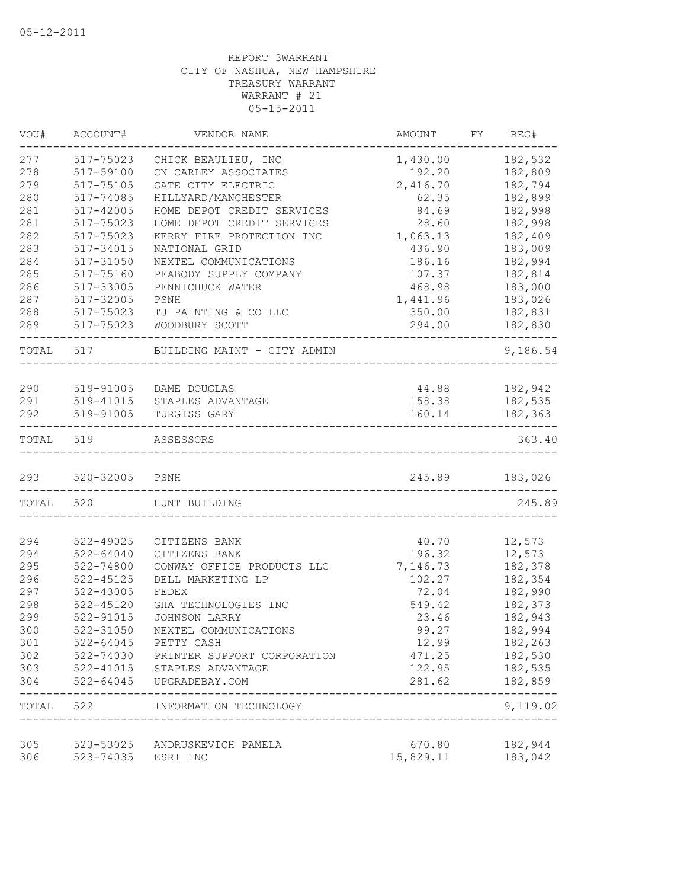| VOU#       | ACCOUNT#               | VENDOR NAME                         | AMOUNT                              | FY.<br>REG#        |
|------------|------------------------|-------------------------------------|-------------------------------------|--------------------|
| 277        | 517-75023              | CHICK BEAULIEU, INC                 | 1,430.00                            | 182,532            |
| 278        | 517-59100              | CN CARLEY ASSOCIATES                | 192.20                              | 182,809            |
| 279        | 517-75105              | GATE CITY ELECTRIC                  | 2,416.70                            | 182,794            |
| 280        | 517-74085              | HILLYARD/MANCHESTER                 | 62.35                               | 182,899            |
| 281        | 517-42005              | HOME DEPOT CREDIT SERVICES          | 84.69                               | 182,998            |
| 281        | 517-75023              | HOME DEPOT CREDIT SERVICES          | 28.60                               | 182,998            |
| 282        | 517-75023              | KERRY FIRE PROTECTION INC           | 1,063.13                            | 182,409            |
| 283        | 517-34015              | NATIONAL GRID                       | 436.90                              | 183,009            |
| 284        | 517-31050              | NEXTEL COMMUNICATIONS               | 186.16                              | 182,994            |
| 285        | 517-75160              | PEABODY SUPPLY COMPANY              | 107.37                              | 182,814            |
| 286        | 517-33005              | PENNICHUCK WATER                    | 468.98                              | 183,000            |
| 287        | 517-32005              | PSNH                                | 1,441.96                            | 183,026            |
| 288        | 517-75023              | TJ PAINTING & CO LLC                | 350.00                              | 182,831            |
| 289        | 517-75023              | WOODBURY SCOTT                      | 294.00                              | 182,830<br>$---$   |
| TOTAL 517  |                        | BUILDING MAINT - CITY ADMIN         |                                     | 9,186.54           |
|            |                        |                                     |                                     |                    |
| 290        | 519-91005              | DAME DOUGLAS                        |                                     | 44.88 182,942      |
| 291        | 519-41015              | STAPLES ADVANTAGE                   | 158.38                              | 182,535            |
| 292        | 519-91005              | TURGISS GARY                        | 160.14                              | 182,363            |
| TOTAL      | 519                    | ASSESSORS                           |                                     | 363.40             |
| 293        | 520-32005 PSNH         |                                     |                                     | 245.89 183,026     |
| TOTAL      | 520                    | HUNT BUILDING                       |                                     | 245.89             |
|            |                        |                                     |                                     |                    |
| 294        | 522-49025              | CITIZENS BANK                       | 40.70                               | 12,573             |
| 294        | $522 - 64040$          | CITIZENS BANK                       | 196.32                              | 12,573             |
| 295        | 522-74800              | CONWAY OFFICE PRODUCTS LLC          | 7,146.73                            | 182,378            |
| 296        | $522 - 45125$          | DELL MARKETING LP                   | 102.27                              | 182,354            |
| 297        | 522-43005              | FEDEX                               | 72.04                               | 182,990            |
| 298        | $522 - 45120$          | GHA TECHNOLOGIES INC                | 549.42                              | 182,373            |
| 299        | 522-91015              | <b>JOHNSON LARRY</b>                | 23.46                               | 182,943            |
| 300        | 522-31050              | NEXTEL COMMUNICATIONS               | 99.27                               | 182,994            |
| 301        | 522-64045              | PETTY CASH                          | 12.99                               | 182,263            |
| 302        | 522-74030              | PRINTER SUPPORT CORPORATION         | 471.25                              | 182,530            |
| 303<br>304 | 522-41015<br>522-64045 | STAPLES ADVANTAGE<br>UPGRADEBAY.COM | 122.95<br>281.62                    | 182,535<br>182,859 |
| TOTAL 522  |                        | INFORMATION TECHNOLOGY              |                                     | 9,119.02           |
|            |                        |                                     | ___________________________________ |                    |
| 305        | 523-53025              | ANDRUSKEVICH PAMELA                 | 670.80                              | 182,944            |
| 306        | 523-74035              | ESRI INC                            | 15,829.11                           | 183,042            |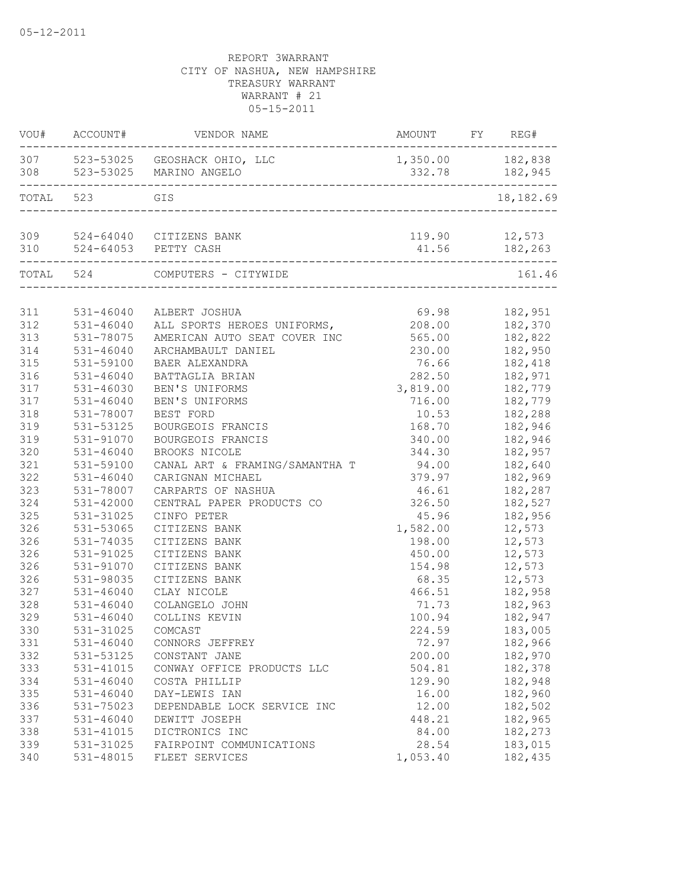|           | VOU# ACCOUNT#          | VENDOR NAME                                                     | AMOUNT           | FY REG#        |
|-----------|------------------------|-----------------------------------------------------------------|------------------|----------------|
|           |                        | 307 523-53025 GEOSHACK OHIO, LLC<br>308 523-53025 MARINO ANGELO | 1,350.00 182,838 | 332.78 182,945 |
| TOTAL 523 |                        | GIS                                                             |                  | 18,182.69      |
|           |                        | 309 524-64040 CITIZENS BANK                                     | 119.90 12,573    |                |
|           | ______________________ | 310 524-64053 PETTY CASH                                        |                  | 41.56 182,263  |
|           |                        | TOTAL 524 COMPUTERS - CITYWIDE                                  |                  | 161.46         |
|           |                        |                                                                 |                  |                |
| 311       | $531 - 46040$          | ALBERT JOSHUA                                                   | 69.98            | 182,951        |
| 312       | 531-46040              | ALL SPORTS HEROES UNIFORMS,                                     | 208.00           | 182,370        |
| 313       | 531-78075              | AMERICAN AUTO SEAT COVER INC                                    | 565.00           | 182,822        |
| 314       | $531 - 46040$          | ARCHAMBAULT DANIEL                                              | 230.00           | 182,950        |
| 315       | 531-59100              | BAER ALEXANDRA                                                  | 76.66            | 182,418        |
| 316       | 531-46040              | BATTAGLIA BRIAN                                                 | 282.50           | 182,971        |
| 317       | 531-46030              | BEN'S UNIFORMS                                                  | 3,819.00         | 182,779        |
| 317       | 531-46040              | BEN'S UNIFORMS                                                  | 716.00           | 182,779        |
| 318       | 531-78007              | BEST FORD                                                       | 10.53            | 182,288        |
| 319       | 531-53125              | BOURGEOIS FRANCIS                                               | 168.70           | 182,946        |
| 319       | 531-91070              | BOURGEOIS FRANCIS                                               | 340.00           | 182,946        |
| 320       | 531-46040              | BROOKS NICOLE                                                   | 344.30           | 182,957        |
| 321       | 531-59100              | CANAL ART & FRAMING/SAMANTHA T                                  | 94.00            | 182,640        |
| 322       | $531 - 46040$          | CARIGNAN MICHAEL                                                | 379.97           | 182,969        |
| 323       | 531-78007              | CARPARTS OF NASHUA                                              | 46.61            | 182,287        |
| 324       | 531-42000              | CENTRAL PAPER PRODUCTS CO                                       | 326.50           | 182,527        |
| 325       | 531-31025              | CINFO PETER                                                     | 45.96            | 182,956        |
| 326       | 531-53065              | CITIZENS BANK                                                   | 1,582.00         | 12,573         |
| 326       | 531-74035              | CITIZENS BANK                                                   | 198.00           | 12,573         |
| 326       | 531-91025              | CITIZENS BANK                                                   | 450.00           | 12,573         |
| 326       | 531-91070              | CITIZENS BANK                                                   | 154.98           | 12,573         |
| 326       | 531-98035              | CITIZENS BANK                                                   | 68.35            | 12,573         |
| 327       | $531 - 46040$          | CLAY NICOLE                                                     | 466.51           | 182,958        |
| 328       | 531-46040              | COLANGELO JOHN                                                  | 71.73            | 182,963        |
| 329       | $531 - 46040$          | COLLINS KEVIN                                                   | 100.94           | 182,947        |
| 330       | 531-31025              | COMCAST                                                         | 224.59           | 183,005        |
| 331       | $531 - 46040$          | CONNORS JEFFREY                                                 | 72.97            | 182,966        |
| 332       | 531-53125              | CONSTANT JANE                                                   | 200.00           | 182,970        |
| 333       | 531-41015              | CONWAY OFFICE PRODUCTS LLC                                      | 504.81           | 182,378        |
| 334       | 531-46040              | COSTA PHILLIP                                                   | 129.90           | 182,948        |
| 335       | 531-46040              | DAY-LEWIS IAN                                                   | 16.00            | 182,960        |
| 336       | 531-75023              | DEPENDABLE LOCK SERVICE INC                                     | 12.00            | 182,502        |
| 337       | 531-46040              | DEWITT JOSEPH                                                   | 448.21           | 182,965        |
| 338       | 531-41015              | DICTRONICS INC                                                  | 84.00            | 182,273        |
| 339       | 531-31025              | FAIRPOINT COMMUNICATIONS                                        | 28.54            | 183,015        |
| 340       | 531-48015              | FLEET SERVICES                                                  | 1,053.40         | 182,435        |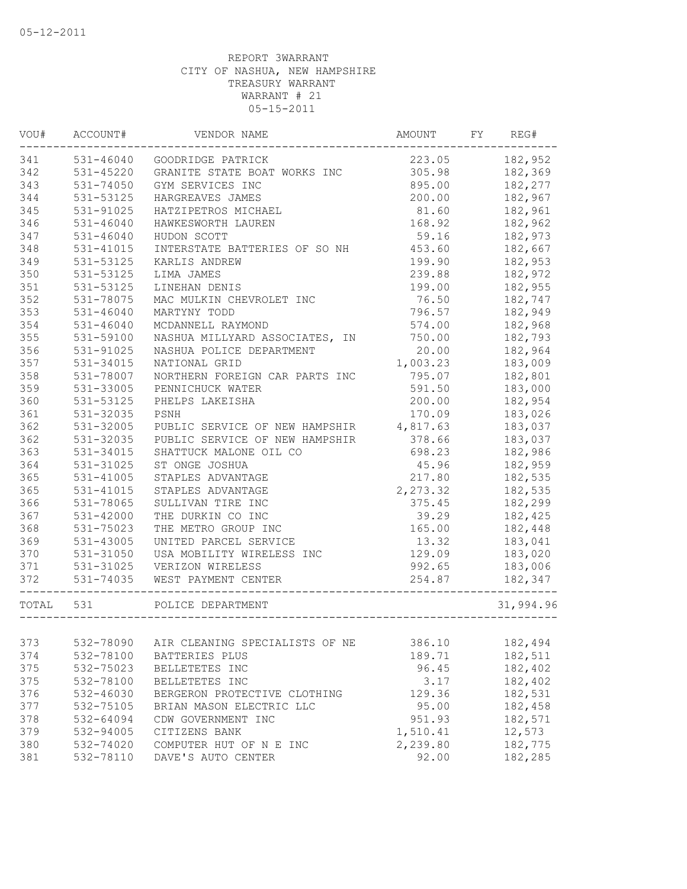| WOU#      | ACCOUNT#      | VENDOR NAME                    | AMOUNT   | FY | REG#      |
|-----------|---------------|--------------------------------|----------|----|-----------|
| 341       | 531-46040     | GOODRIDGE PATRICK              | 223.05   |    | 182,952   |
| 342       | 531-45220     | GRANITE STATE BOAT WORKS INC   | 305.98   |    | 182,369   |
| 343       | 531-74050     | GYM SERVICES INC               | 895.00   |    | 182,277   |
| 344       | 531-53125     | HARGREAVES JAMES               | 200.00   |    | 182,967   |
| 345       | 531-91025     | HATZIPETROS MICHAEL            | 81.60    |    | 182,961   |
| 346       | $531 - 46040$ | HAWKESWORTH LAUREN             | 168.92   |    | 182,962   |
| 347       | $531 - 46040$ | HUDON SCOTT                    | 59.16    |    | 182,973   |
| 348       | 531-41015     | INTERSTATE BATTERIES OF SO NH  | 453.60   |    | 182,667   |
| 349       | 531-53125     | KARLIS ANDREW                  | 199.90   |    | 182,953   |
| 350       | 531-53125     | LIMA JAMES                     | 239.88   |    | 182,972   |
| 351       | 531-53125     | LINEHAN DENIS                  | 199.00   |    | 182,955   |
| 352       | 531-78075     | MAC MULKIN CHEVROLET INC       | 76.50    |    | 182,747   |
| 353       | $531 - 46040$ | MARTYNY TODD                   | 796.57   |    | 182,949   |
| 354       | $531 - 46040$ | MCDANNELL RAYMOND              | 574.00   |    | 182,968   |
| 355       | 531-59100     | NASHUA MILLYARD ASSOCIATES, IN | 750.00   |    | 182,793   |
| 356       | 531-91025     | NASHUA POLICE DEPARTMENT       | 20.00    |    | 182,964   |
| 357       | 531-34015     | NATIONAL GRID                  | 1,003.23 |    | 183,009   |
| 358       | 531-78007     | NORTHERN FOREIGN CAR PARTS INC | 795.07   |    | 182,801   |
| 359       | 531-33005     | PENNICHUCK WATER               | 591.50   |    | 183,000   |
| 360       | 531-53125     | PHELPS LAKEISHA                | 200.00   |    | 182,954   |
| 361       | 531-32035     | PSNH                           | 170.09   |    | 183,026   |
| 362       | 531-32005     | PUBLIC SERVICE OF NEW HAMPSHIR | 4,817.63 |    | 183,037   |
| 362       | 531-32035     | PUBLIC SERVICE OF NEW HAMPSHIR | 378.66   |    | 183,037   |
| 363       | 531-34015     | SHATTUCK MALONE OIL CO         | 698.23   |    | 182,986   |
| 364       | 531-31025     | ST ONGE JOSHUA                 | 45.96    |    | 182,959   |
| 365       | 531-41005     | STAPLES ADVANTAGE              | 217.80   |    | 182,535   |
| 365       | 531-41015     | STAPLES ADVANTAGE              | 2,273.32 |    | 182,535   |
| 366       | 531-78065     | SULLIVAN TIRE INC              | 375.45   |    | 182,299   |
| 367       | 531-42000     | THE DURKIN CO INC              | 39.29    |    | 182,425   |
| 368       | 531-75023     | THE METRO GROUP INC            | 165.00   |    | 182,448   |
| 369       | 531-43005     | UNITED PARCEL SERVICE          | 13.32    |    | 183,041   |
| 370       | 531-31050     | USA MOBILITY WIRELESS INC      | 129.09   |    | 183,020   |
| 371       | 531-31025     | VERIZON WIRELESS               | 992.65   |    | 183,006   |
| 372       | 531-74035     | WEST PAYMENT CENTER            | 254.87   |    | 182,347   |
| TOTAL 531 |               | POLICE DEPARTMENT              |          |    | 31,994.96 |
|           |               |                                |          |    |           |
| 373       | 532-78090     | AIR CLEANING SPECIALISTS OF NE | 386.10   |    | 182,494   |
| 374       | 532-78100     | BATTERIES PLUS                 | 189.71   |    | 182,511   |
| 375       | 532-75023     | BELLETETES INC                 | 96.45    |    | 182,402   |
| 375       | 532-78100     | BELLETETES INC                 | 3.17     |    | 182,402   |
| 376       | 532-46030     | BERGERON PROTECTIVE CLOTHING   | 129.36   |    | 182,531   |
| 377       | 532-75105     | BRIAN MASON ELECTRIC LLC       | 95.00    |    | 182,458   |
| 378       | 532-64094     | CDW GOVERNMENT INC             | 951.93   |    | 182,571   |
| 379       | 532-94005     | CITIZENS BANK                  | 1,510.41 |    | 12,573    |
| 380       | 532-74020     | COMPUTER HUT OF N E INC        | 2,239.80 |    | 182,775   |
| 381       | 532-78110     | DAVE'S AUTO CENTER             | 92.00    |    | 182,285   |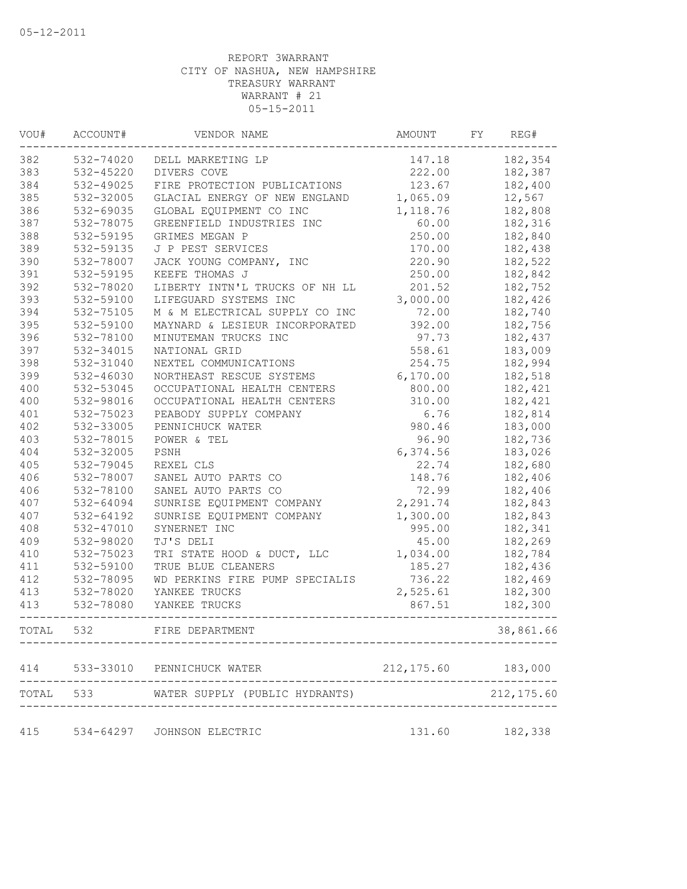| VOU#  | ACCOUNT#      | VENDOR NAME                              | AMOUNT              | FY. | REG#        |
|-------|---------------|------------------------------------------|---------------------|-----|-------------|
| 382   | 532-74020     | DELL MARKETING LP                        | 147.18              |     | 182,354     |
| 383   | $532 - 45220$ | DIVERS COVE                              | 222.00              |     | 182,387     |
| 384   | 532-49025     | FIRE PROTECTION PUBLICATIONS             | 123.67              |     | 182,400     |
| 385   | 532-32005     | GLACIAL ENERGY OF NEW ENGLAND            | 1,065.09            |     | 12,567      |
| 386   | 532-69035     | GLOBAL EQUIPMENT CO INC                  | 1,118.76            |     | 182,808     |
| 387   | 532-78075     | GREENFIELD INDUSTRIES INC                | 60.00               |     | 182,316     |
| 388   | 532-59195     | GRIMES MEGAN P                           | 250.00              |     | 182,840     |
| 389   | 532-59135     | J P PEST SERVICES                        | 170.00              |     | 182,438     |
| 390   | 532-78007     | JACK YOUNG COMPANY, INC                  | 220.90              |     | 182,522     |
| 391   | 532-59195     | KEEFE THOMAS J                           | 250.00              |     | 182,842     |
| 392   | 532-78020     | LIBERTY INTN'L TRUCKS OF NH LL           | 201.52              |     | 182,752     |
| 393   | 532-59100     | LIFEGUARD SYSTEMS INC                    | 3,000.00            |     | 182,426     |
| 394   | 532-75105     | M & M ELECTRICAL SUPPLY CO INC           | 72.00               |     | 182,740     |
| 395   | 532-59100     | MAYNARD & LESIEUR INCORPORATED           | 392.00              |     | 182,756     |
| 396   | 532-78100     | MINUTEMAN TRUCKS INC                     | 97.73               |     | 182,437     |
| 397   | 532-34015     | NATIONAL GRID                            | 558.61              |     | 183,009     |
| 398   | 532-31040     | NEXTEL COMMUNICATIONS                    | 254.75              |     | 182,994     |
| 399   | 532-46030     | NORTHEAST RESCUE SYSTEMS                 | 6, 170.00           |     | 182,518     |
| 400   | 532-53045     | OCCUPATIONAL HEALTH CENTERS              | 800.00              |     | 182,421     |
| 400   | 532-98016     | OCCUPATIONAL HEALTH CENTERS              | 310.00              |     | 182,421     |
| 401   | 532-75023     | PEABODY SUPPLY COMPANY                   | 6.76                |     | 182,814     |
| 402   | 532-33005     | PENNICHUCK WATER                         | 980.46              |     | 183,000     |
| 403   | 532-78015     | POWER & TEL                              | 96.90               |     | 182,736     |
| 404   | 532-32005     | PSNH                                     | 6,374.56            |     | 183,026     |
| 405   | 532-79045     | REXEL CLS                                | 22.74               |     | 182,680     |
| 406   | 532-78007     | SANEL AUTO PARTS CO                      | 148.76              |     | 182,406     |
| 406   | 532-78100     | SANEL AUTO PARTS CO                      | 72.99               |     | 182,406     |
| 407   | 532-64094     | SUNRISE EQUIPMENT COMPANY                | 2,291.74            |     | 182,843     |
| 407   | 532-64192     | SUNRISE EQUIPMENT COMPANY                | 1,300.00            |     | 182,843     |
| 408   | 532-47010     | SYNERNET INC                             | 995.00              |     | 182,341     |
| 409   | 532-98020     | TJ'S DELI                                | 45.00               |     | 182,269     |
| 410   | 532-75023     | TRI STATE HOOD & DUCT, LLC               | 1,034.00            |     | 182,784     |
| 411   | 532-59100     | TRUE BLUE CLEANERS                       | 185.27              |     | 182,436     |
| 412   | 532-78095     | WD PERKINS FIRE PUMP SPECIALIS           | 736.22              |     | 182,469     |
| 413   | 532-78020     | YANKEE TRUCKS                            | 2,525.61            |     | 182,300     |
| 413   | 532-78080     | YANKEE TRUCKS                            | 867.51              |     | 182,300     |
| TOTAL | 532           | FIRE DEPARTMENT                          |                     |     | 38,861.66   |
| 414   |               | 533-33010 PENNICHUCK WATER               | 212, 175.60 183,000 |     |             |
|       |               | TOTAL 533 WATER SUPPLY (PUBLIC HYDRANTS) |                     |     | 212, 175.60 |
| 415   |               | 534-64297 JOHNSON ELECTRIC               | 131.60              |     | 182,338     |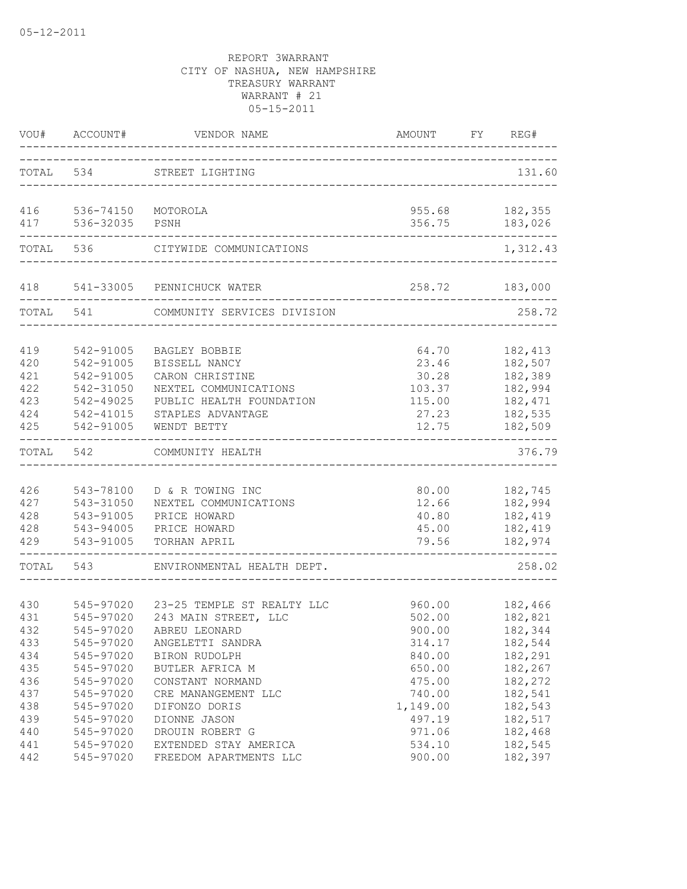| VOU#                                          | ACCOUNT#                                                                                | VENDOR NAME                                                                                                                                | AMOUNT                                                        | FY. | REG#                                                                       |
|-----------------------------------------------|-----------------------------------------------------------------------------------------|--------------------------------------------------------------------------------------------------------------------------------------------|---------------------------------------------------------------|-----|----------------------------------------------------------------------------|
|                                               | TOTAL 534                                                                               | STREET LIGHTING                                                                                                                            |                                                               |     | 131.60                                                                     |
| 416<br>417                                    | 536-74150<br>536-32035                                                                  | MOTOROLA<br>PSNH                                                                                                                           | 955.68<br>356.75                                              |     | 182,355<br>183,026                                                         |
| TOTAL                                         | 536                                                                                     | CITYWIDE COMMUNICATIONS                                                                                                                    |                                                               |     | 1,312.43                                                                   |
| 418                                           | 541-33005                                                                               | PENNICHUCK WATER                                                                                                                           | 258.72                                                        |     | 183,000                                                                    |
| TOTAL                                         | 541                                                                                     | COMMUNITY SERVICES DIVISION                                                                                                                |                                                               |     | 258.72                                                                     |
| 419<br>420<br>421<br>422<br>423<br>424<br>425 | 542-91005<br>542-91005<br>542-91005<br>542-31050<br>542-49025<br>542-41015<br>542-91005 | BAGLEY BOBBIE<br>BISSELL NANCY<br>CARON CHRISTINE<br>NEXTEL COMMUNICATIONS<br>PUBLIC HEALTH FOUNDATION<br>STAPLES ADVANTAGE<br>WENDT BETTY | 64.70<br>23.46<br>30.28<br>103.37<br>115.00<br>27.23<br>12.75 |     | 182, 413<br>182,507<br>182,389<br>182,994<br>182,471<br>182,535<br>182,509 |
| TOTAL                                         | 542                                                                                     | COMMUNITY HEALTH                                                                                                                           |                                                               |     | 376.79                                                                     |
| 426<br>427<br>428<br>428<br>429               | 543-78100<br>543-31050<br>543-91005<br>543-94005<br>543-91005                           | D & R TOWING INC<br>NEXTEL COMMUNICATIONS<br>PRICE HOWARD<br>PRICE HOWARD<br>TORHAN APRIL                                                  | 80.00<br>12.66<br>40.80<br>45.00<br>79.56                     |     | 182,745<br>182,994<br>182,419<br>182,419<br>182,974                        |
| TOTAL                                         | 543                                                                                     | ENVIRONMENTAL HEALTH DEPT.                                                                                                                 |                                                               |     | 258.02                                                                     |
| 430<br>431<br>432<br>433<br>434               | 545-97020<br>545-97020<br>545-97020<br>545-97020<br>545-97020                           | 23-25 TEMPLE ST REALTY LLC<br>243 MAIN STREET, LLC<br>ABREU LEONARD<br>ANGELETTI SANDRA<br>BIRON RUDOLPH                                   | 960.00<br>502.00<br>900.00<br>314.17<br>840.00                |     | 182,466<br>182,821<br>182,344<br>182,544<br>182,291                        |
| 435<br>436<br>437<br>438<br>439               | 545-97020<br>545-97020<br>545-97020<br>545-97020<br>545-97020                           | BUTLER AFRICA M<br>CONSTANT NORMAND<br>CRE MANANGEMENT LLC<br>DIFONZO DORIS<br>DIONNE JASON                                                | 650.00<br>475.00<br>740.00<br>1,149.00<br>497.19              |     | 182,267<br>182,272<br>182,541<br>182,543<br>182,517                        |
| 440<br>441<br>442                             | 545-97020<br>545-97020<br>545-97020                                                     | DROUIN ROBERT G<br>EXTENDED STAY AMERICA<br>FREEDOM APARTMENTS LLC                                                                         | 971.06<br>534.10<br>900.00                                    |     | 182,468<br>182,545<br>182,397                                              |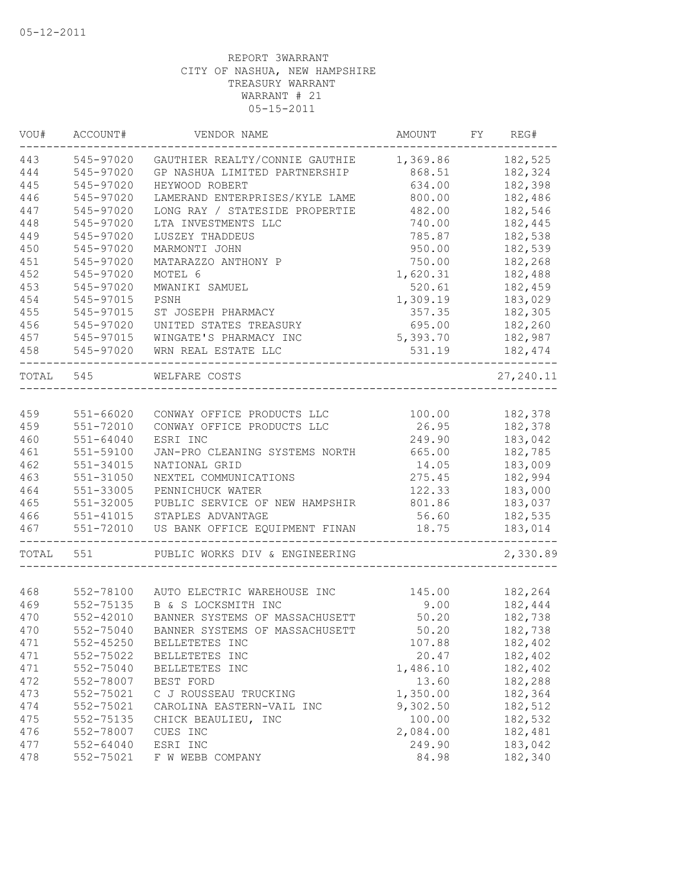| VOU#      | ACCOUNT#      | VENDOR NAME                           | AMOUNT   | FY | REG#       |
|-----------|---------------|---------------------------------------|----------|----|------------|
| 443       | 545-97020     | GAUTHIER REALTY/CONNIE GAUTHIE        | 1,369.86 |    | 182,525    |
| 444       | 545-97020     | GP NASHUA LIMITED PARTNERSHIP         | 868.51   |    | 182,324    |
| 445       | 545-97020     | HEYWOOD ROBERT                        | 634.00   |    | 182,398    |
| 446       | 545-97020     | LAMERAND ENTERPRISES/KYLE LAME        | 800.00   |    | 182,486    |
| 447       | 545-97020     | LONG RAY / STATESIDE PROPERTIE        | 482.00   |    | 182,546    |
| 448       | 545-97020     | LTA INVESTMENTS LLC                   | 740.00   |    | 182,445    |
| 449       | 545-97020     | LUSZEY THADDEUS                       | 785.87   |    | 182,538    |
| 450       | 545-97020     | MARMONTI JOHN                         | 950.00   |    | 182,539    |
| 451       | 545-97020     | MATARAZZO ANTHONY P                   | 750.00   |    | 182,268    |
| 452       | 545-97020     | MOTEL 6                               | 1,620.31 |    | 182,488    |
| 453       | 545-97020     | MWANIKI SAMUEL                        | 520.61   |    | 182,459    |
| 454       | 545-97015     | PSNH                                  | 1,309.19 |    | 183,029    |
| 455       | 545-97015     | ST JOSEPH PHARMACY                    | 357.35   |    | 182,305    |
| 456       | 545-97020     | UNITED STATES TREASURY                | 695.00   |    | 182,260    |
| 457       | 545-97015     | WINGATE'S PHARMACY INC                | 5,393.70 |    | 182,987    |
| 458       | 545-97020     | WRN REAL ESTATE LLC                   | 531.19   |    | 182,474    |
| TOTAL 545 |               | WELFARE COSTS                         |          |    | 27, 240.11 |
|           |               |                                       |          |    |            |
| 459       | $551 - 66020$ | CONWAY OFFICE PRODUCTS LLC            | 100.00   |    | 182,378    |
| 459       | 551-72010     | CONWAY OFFICE PRODUCTS LLC            | 26.95    |    | 182,378    |
| 460       | $551 - 64040$ | ESRI INC                              | 249.90   |    | 183,042    |
| 461       | 551-59100     | JAN-PRO CLEANING SYSTEMS NORTH        | 665.00   |    | 182,785    |
| 462       | 551-34015     | NATIONAL GRID                         | 14.05    |    | 183,009    |
| 463       | $551 - 31050$ | NEXTEL COMMUNICATIONS                 | 275.45   |    | 182,994    |
| 464       | 551-33005     | PENNICHUCK WATER                      | 122.33   |    | 183,000    |
| 465       | 551-32005     | PUBLIC SERVICE OF NEW HAMPSHIR        | 801.86   |    | 183,037    |
| 466       | 551-41015     | STAPLES ADVANTAGE                     | 56.60    |    | 182,535    |
| 467       | 551-72010     | US BANK OFFICE EQUIPMENT FINAN        | 18.75    |    | 183,014    |
| TOTAL     | 551           | PUBLIC WORKS DIV & ENGINEERING        |          |    | 2,330.89   |
|           |               |                                       |          |    |            |
| 468       |               | 552-78100 AUTO ELECTRIC WAREHOUSE INC | 145.00   |    | 182,264    |
| 469       | 552-75135     | B & S LOCKSMITH INC                   | 9.00     |    | 182,444    |
| 470       | 552-42010     | BANNER SYSTEMS OF MASSACHUSETT        | 50.20    |    | 182,738    |
| 470       | 552-75040     | BANNER SYSTEMS OF MASSACHUSETT        | 50.20    |    | 182,738    |
| 471       | $552 - 45250$ | BELLETETES INC                        | 107.88   |    | 182,402    |
| 471       | 552-75022     | BELLETETES INC                        | 20.47    |    | 182,402    |
| 471       | 552-75040     | BELLETETES INC                        | 1,486.10 |    | 182,402    |
| 472       | 552-78007     | BEST FORD                             | 13.60    |    | 182,288    |
| 473       | 552-75021     | C J ROUSSEAU TRUCKING                 | 1,350.00 |    | 182,364    |
| 474       | 552-75021     | CAROLINA EASTERN-VAIL INC             | 9,302.50 |    | 182,512    |
| 475       | 552-75135     | CHICK BEAULIEU, INC                   | 100.00   |    | 182,532    |
| 476       | 552-78007     | CUES INC                              | 2,084.00 |    | 182,481    |
| 477       | 552-64040     | ESRI INC                              | 249.90   |    | 183,042    |
| 478       | 552-75021     | F W WEBB COMPANY                      | 84.98    |    | 182,340    |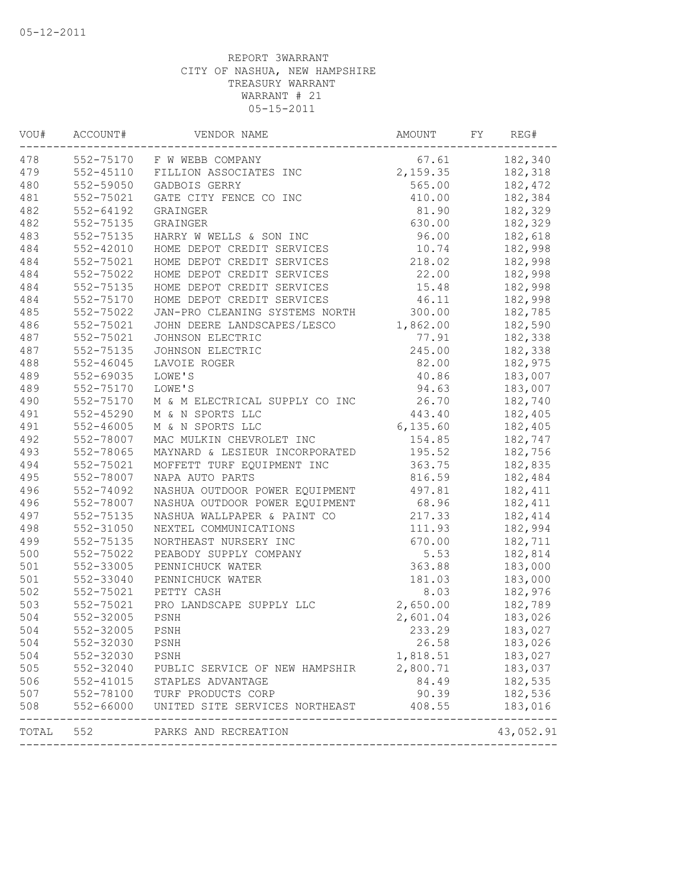| VOU#  | ACCOUNT#      | VENDOR NAME                    | AMOUNT   | FY | REG#                 |
|-------|---------------|--------------------------------|----------|----|----------------------|
| 478   | 552-75170     | F W WEBB COMPANY               | 67.61    |    | 182,340              |
| 479   | $552 - 45110$ | FILLION ASSOCIATES INC         | 2,159.35 |    | 182,318              |
| 480   | 552-59050     | GADBOIS GERRY                  | 565.00   |    | 182,472              |
| 481   | 552-75021     | GATE CITY FENCE CO INC         | 410.00   |    | 182,384              |
| 482   | 552-64192     | GRAINGER                       | 81.90    |    | 182,329              |
| 482   | 552-75135     | GRAINGER                       | 630.00   |    | 182,329              |
| 483   | 552-75135     | HARRY W WELLS & SON INC        | 96.00    |    | 182,618              |
| 484   | 552-42010     | HOME DEPOT CREDIT SERVICES     | 10.74    |    | 182,998              |
| 484   | 552-75021     | HOME DEPOT CREDIT SERVICES     | 218.02   |    | 182,998              |
| 484   | 552-75022     | HOME DEPOT CREDIT SERVICES     | 22.00    |    | 182,998              |
| 484   | 552-75135     | HOME DEPOT CREDIT SERVICES     | 15.48    |    | 182,998              |
| 484   | 552-75170     | HOME DEPOT CREDIT SERVICES     | 46.11    |    | 182,998              |
| 485   | 552-75022     | JAN-PRO CLEANING SYSTEMS NORTH | 300.00   |    | 182,785              |
| 486   | 552-75021     | JOHN DEERE LANDSCAPES/LESCO    | 1,862.00 |    | 182,590              |
| 487   | 552-75021     | JOHNSON ELECTRIC               | 77.91    |    | 182,338              |
| 487   | 552-75135     | JOHNSON ELECTRIC               | 245.00   |    | 182,338              |
| 488   | $552 - 46045$ | LAVOIE ROGER                   | 82.00    |    | 182,975              |
| 489   | 552-69035     | LOWE'S                         | 40.86    |    | 183,007              |
| 489   | 552-75170     | LOWE'S                         | 94.63    |    | 183,007              |
| 490   | 552-75170     | M & M ELECTRICAL SUPPLY CO INC | 26.70    |    | 182,740              |
| 491   | $552 - 45290$ | M & N SPORTS LLC               | 443.40   |    | 182,405              |
| 491   | $552 - 46005$ | M & N SPORTS LLC               | 6,135.60 |    | 182,405              |
| 492   | 552-78007     | MAC MULKIN CHEVROLET INC       | 154.85   |    | 182,747              |
| 493   | 552-78065     | MAYNARD & LESIEUR INCORPORATED | 195.52   |    | 182,756              |
| 494   | 552-75021     | MOFFETT TURF EQUIPMENT INC     | 363.75   |    | 182,835              |
| 495   | 552-78007     | NAPA AUTO PARTS                | 816.59   |    | 182,484              |
| 496   | 552-74092     | NASHUA OUTDOOR POWER EQUIPMENT | 497.81   |    | 182,411              |
| 496   | 552-78007     | NASHUA OUTDOOR POWER EQUIPMENT | 68.96    |    | 182,411              |
| 497   | 552-75135     | NASHUA WALLPAPER & PAINT CO    | 217.33   |    | 182,414              |
| 498   | 552-31050     | NEXTEL COMMUNICATIONS          | 111.93   |    | 182,994              |
| 499   | 552-75135     | NORTHEAST NURSERY INC          | 670.00   |    | 182,711              |
| 500   | 552-75022     | PEABODY SUPPLY COMPANY         | 5.53     |    | 182,814              |
| 501   | 552-33005     | PENNICHUCK WATER               | 363.88   |    | 183,000              |
| 501   | 552-33040     | PENNICHUCK WATER               | 181.03   |    | 183,000              |
| 502   | 552-75021     | PETTY CASH                     | 8.03     |    | 182,976              |
| 503   | 552-75021     | PRO LANDSCAPE SUPPLY LLC       | 2,650.00 |    | 182,789              |
| 504   | 552-32005     | PSNH                           | 2,601.04 |    | 183,026              |
| 504   | 552-32005     | PSNH                           | 233.29   |    | 183,027              |
| 504   | 552-32030     | PSNH                           | 26.58    |    | 183,026              |
| 504   | 552-32030     | PSNH                           | 1,818.51 |    | 183,027              |
| 505   | 552-32040     | PUBLIC SERVICE OF NEW HAMPSHIR | 2,800.71 |    | 183,037              |
| 506   | 552-41015     | STAPLES ADVANTAGE              | 84.49    |    | 182,535              |
| 507   | 552-78100     | TURF PRODUCTS CORP             | 90.39    |    | 182,536              |
| 508   | 552-66000     | UNITED SITE SERVICES NORTHEAST | 408.55   |    | 183,016              |
| TOTAL | 552           | PARKS AND RECREATION           |          |    | -------<br>43,052.91 |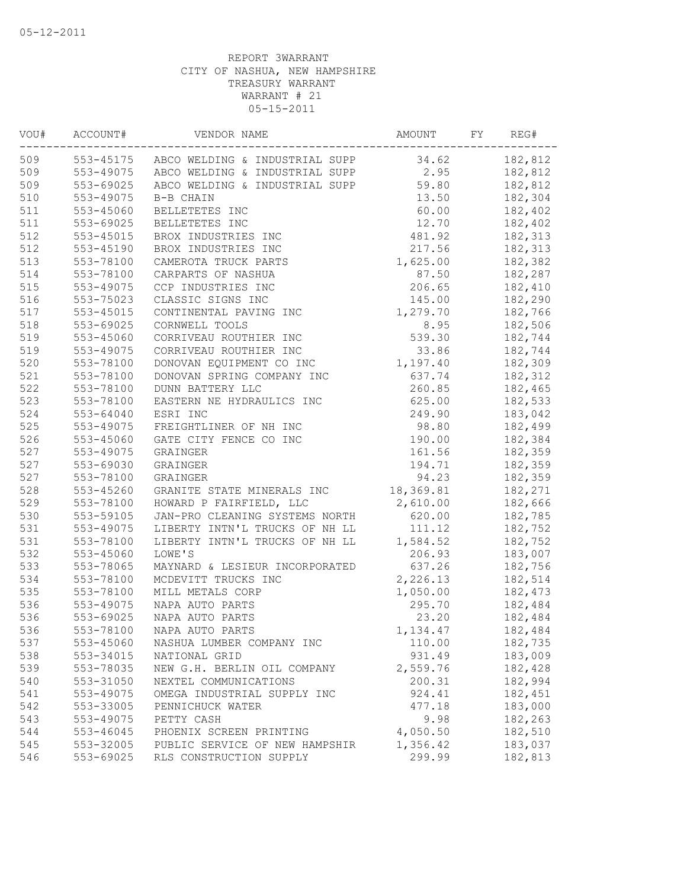| VOU# | ACCOUNT#      | VENDOR NAME                              | AMOUNT    | FY | REG#    |
|------|---------------|------------------------------------------|-----------|----|---------|
| 509  |               | 553-45175 ABCO WELDING & INDUSTRIAL SUPP | 34.62     |    | 182,812 |
| 509  | 553-49075     | ABCO WELDING & INDUSTRIAL SUPP           | 2.95      |    | 182,812 |
| 509  | 553-69025     | ABCO WELDING & INDUSTRIAL SUPP           | 59.80     |    | 182,812 |
| 510  | 553-49075     | B-B CHAIN                                | 13.50     |    | 182,304 |
| 511  | 553-45060     | BELLETETES INC                           | 60.00     |    | 182,402 |
| 511  | 553-69025     | BELLETETES INC                           | 12.70     |    | 182,402 |
| 512  | 553-45015     | BROX INDUSTRIES INC                      | 481.92    |    | 182,313 |
| 512  | 553-45190     | BROX INDUSTRIES INC                      | 217.56    |    | 182,313 |
| 513  | 553-78100     | CAMEROTA TRUCK PARTS                     | 1,625.00  |    | 182,382 |
| 514  | 553-78100     | CARPARTS OF NASHUA                       | 87.50     |    | 182,287 |
| 515  | 553-49075     | CCP INDUSTRIES INC                       | 206.65    |    | 182,410 |
| 516  | 553-75023     | CLASSIC SIGNS INC                        | 145.00    |    | 182,290 |
| 517  | $553 - 45015$ | CONTINENTAL PAVING INC                   | 1,279.70  |    | 182,766 |
| 518  | 553-69025     | CORNWELL TOOLS                           | 8.95      |    | 182,506 |
| 519  | 553-45060     | CORRIVEAU ROUTHIER INC                   | 539.30    |    | 182,744 |
| 519  | 553-49075     | CORRIVEAU ROUTHIER INC                   | 33.86     |    | 182,744 |
| 520  | 553-78100     | DONOVAN EQUIPMENT CO INC                 | 1,197.40  |    | 182,309 |
| 521  | 553-78100     | DONOVAN SPRING COMPANY INC               | 637.74    |    | 182,312 |
| 522  | 553-78100     | DUNN BATTERY LLC                         | 260.85    |    | 182,465 |
| 523  | 553-78100     | EASTERN NE HYDRAULICS INC                | 625.00    |    | 182,533 |
| 524  | 553-64040     | ESRI INC                                 | 249.90    |    | 183,042 |
| 525  | 553-49075     | FREIGHTLINER OF NH INC                   | 98.80     |    | 182,499 |
| 526  | 553-45060     | GATE CITY FENCE CO INC                   | 190.00    |    | 182,384 |
| 527  | 553-49075     | GRAINGER                                 | 161.56    |    | 182,359 |
| 527  | 553-69030     | GRAINGER                                 | 194.71    |    | 182,359 |
| 527  | 553-78100     | GRAINGER                                 | 94.23     |    | 182,359 |
| 528  | 553-45260     | GRANITE STATE MINERALS INC               | 18,369.81 |    | 182,271 |
| 529  | 553-78100     | HOWARD P FAIRFIELD, LLC                  | 2,610.00  |    | 182,666 |
| 530  | 553-59105     | JAN-PRO CLEANING SYSTEMS NORTH           | 620.00    |    | 182,785 |
| 531  | 553-49075     | LIBERTY INTN'L TRUCKS OF NH LL           | 111.12    |    | 182,752 |
| 531  | 553-78100     | LIBERTY INTN'L TRUCKS OF NH LL           | 1,584.52  |    | 182,752 |
| 532  | 553-45060     | LOWE'S                                   | 206.93    |    | 183,007 |
| 533  | 553-78065     | MAYNARD & LESIEUR INCORPORATED           | 637.26    |    | 182,756 |
| 534  | 553-78100     | MCDEVITT TRUCKS INC                      | 2,226.13  |    | 182,514 |
| 535  | 553-78100     | MILL METALS CORP                         | 1,050.00  |    | 182,473 |
| 536  | 553-49075     | NAPA AUTO PARTS                          | 295.70    |    | 182,484 |
| 536  | 553-69025     | NAPA AUTO PARTS                          | 23.20     |    | 182,484 |
| 536  | 553-78100     | NAPA AUTO PARTS                          | 1,134.47  |    | 182,484 |
| 537  | 553-45060     | NASHUA LUMBER COMPANY INC                | 110.00    |    | 182,735 |
| 538  | 553-34015     | NATIONAL GRID                            | 931.49    |    | 183,009 |
| 539  | 553-78035     | NEW G.H. BERLIN OIL COMPANY              | 2,559.76  |    | 182,428 |
| 540  | 553-31050     | NEXTEL COMMUNICATIONS                    | 200.31    |    | 182,994 |
| 541  | 553-49075     | OMEGA INDUSTRIAL SUPPLY INC              | 924.41    |    | 182,451 |
| 542  | 553-33005     | PENNICHUCK WATER                         | 477.18    |    | 183,000 |
| 543  | 553-49075     | PETTY CASH                               | 9.98      |    | 182,263 |
| 544  | 553-46045     | PHOENIX SCREEN PRINTING                  | 4,050.50  |    | 182,510 |
| 545  | 553-32005     | PUBLIC SERVICE OF NEW HAMPSHIR           | 1,356.42  |    | 183,037 |
| 546  | 553-69025     | RLS CONSTRUCTION SUPPLY                  | 299.99    |    | 182,813 |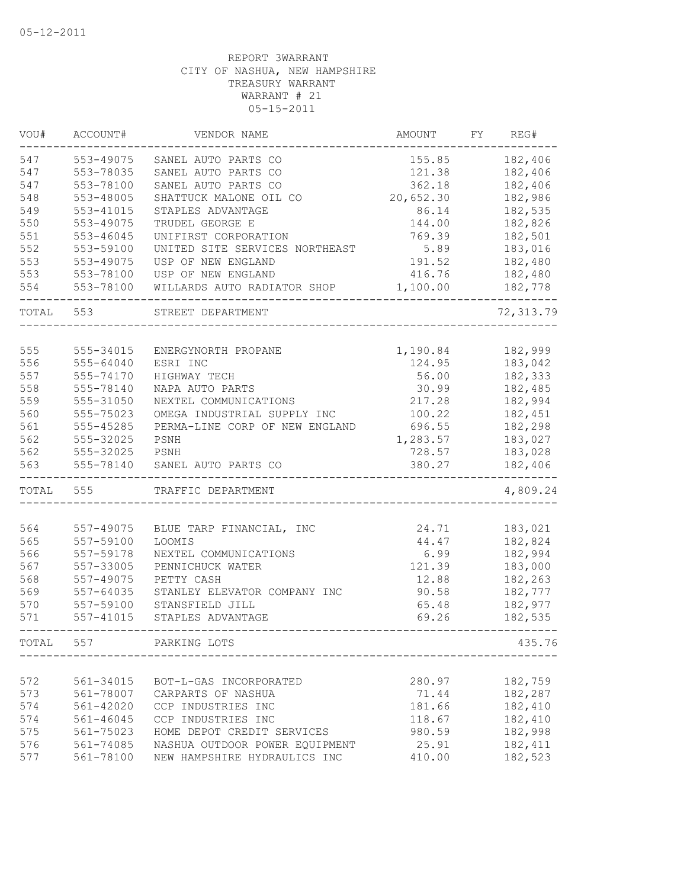| VOU#  | ACCOUNT#  | VENDOR NAME                    | AMOUNT    | FY. | REG#       |
|-------|-----------|--------------------------------|-----------|-----|------------|
| 547   | 553-49075 | SANEL AUTO PARTS CO            | 155.85    |     | 182,406    |
| 547   | 553-78035 | SANEL AUTO PARTS CO            | 121.38    |     | 182,406    |
| 547   | 553-78100 | SANEL AUTO PARTS CO            | 362.18    |     | 182,406    |
| 548   | 553-48005 | SHATTUCK MALONE OIL CO         | 20,652.30 |     | 182,986    |
| 549   | 553-41015 | STAPLES ADVANTAGE              | 86.14     |     | 182,535    |
| 550   | 553-49075 | TRUDEL GEORGE E                | 144.00    |     | 182,826    |
| 551   | 553-46045 | UNIFIRST CORPORATION           | 769.39    |     | 182,501    |
| 552   | 553-59100 | UNITED SITE SERVICES NORTHEAST | 5.89      |     | 183,016    |
| 553   | 553-49075 | USP OF NEW ENGLAND             | 191.52    |     | 182,480    |
| 553   | 553-78100 | USP OF NEW ENGLAND             | 416.76    |     | 182,480    |
| 554   | 553-78100 | WILLARDS AUTO RADIATOR SHOP    | 1,100.00  |     | 182,778    |
| TOTAL | 553       | STREET DEPARTMENT              |           |     | 72, 313.79 |
|       |           |                                |           |     |            |
| 555   | 555-34015 | ENERGYNORTH PROPANE            | 1,190.84  |     | 182,999    |
| 556   | 555-64040 | ESRI INC                       | 124.95    |     | 183,042    |
| 557   | 555-74170 | HIGHWAY TECH                   | 56.00     |     | 182,333    |
| 558   | 555-78140 | NAPA AUTO PARTS                | 30.99     |     | 182,485    |
| 559   | 555-31050 | NEXTEL COMMUNICATIONS          | 217.28    |     | 182,994    |
| 560   | 555-75023 | OMEGA INDUSTRIAL SUPPLY INC    | 100.22    |     | 182,451    |
| 561   | 555-45285 | PERMA-LINE CORP OF NEW ENGLAND | 696.55    |     | 182,298    |
| 562   | 555-32025 | PSNH                           | 1,283.57  |     | 183,027    |
| 562   | 555-32025 | PSNH                           | 728.57    |     | 183,028    |
| 563   | 555-78140 | SANEL AUTO PARTS CO            | 380.27    |     | 182,406    |
| TOTAL | 555       | TRAFFIC DEPARTMENT             |           |     | 4,809.24   |
|       |           |                                |           |     |            |
| 564   | 557-49075 | BLUE TARP FINANCIAL, INC       | 24.71     |     | 183,021    |
| 565   | 557-59100 | LOOMIS                         | 44.47     |     | 182,824    |
| 566   | 557-59178 | NEXTEL COMMUNICATIONS          | 6.99      |     | 182,994    |
| 567   | 557-33005 | PENNICHUCK WATER               | 121.39    |     | 183,000    |
| 568   | 557-49075 | PETTY CASH                     | 12.88     |     | 182,263    |
| 569   | 557-64035 | STANLEY ELEVATOR COMPANY INC   | 90.58     |     | 182,777    |
| 570   | 557-59100 | STANSFIELD JILL                | 65.48     |     | 182,977    |
| 571   | 557-41015 | STAPLES ADVANTAGE              | 69.26     |     | 182,535    |
| TOTAL | 557       | PARKING LOTS                   |           |     | 435.76     |
|       |           |                                |           |     |            |
| 572   | 561-34015 | BOT-L-GAS INCORPORATED         | 280.97    |     | 182,759    |
| 573   | 561-78007 | CARPARTS OF NASHUA             | 71.44     |     | 182,287    |
| 574   | 561-42020 | CCP INDUSTRIES INC             | 181.66    |     | 182,410    |
| 574   | 561-46045 | CCP INDUSTRIES INC             | 118.67    |     | 182,410    |
| 575   | 561-75023 | HOME DEPOT CREDIT SERVICES     | 980.59    |     | 182,998    |
| 576   | 561-74085 | NASHUA OUTDOOR POWER EQUIPMENT | 25.91     |     | 182, 411   |
| 577   | 561-78100 | NEW HAMPSHIRE HYDRAULICS INC   | 410.00    |     | 182,523    |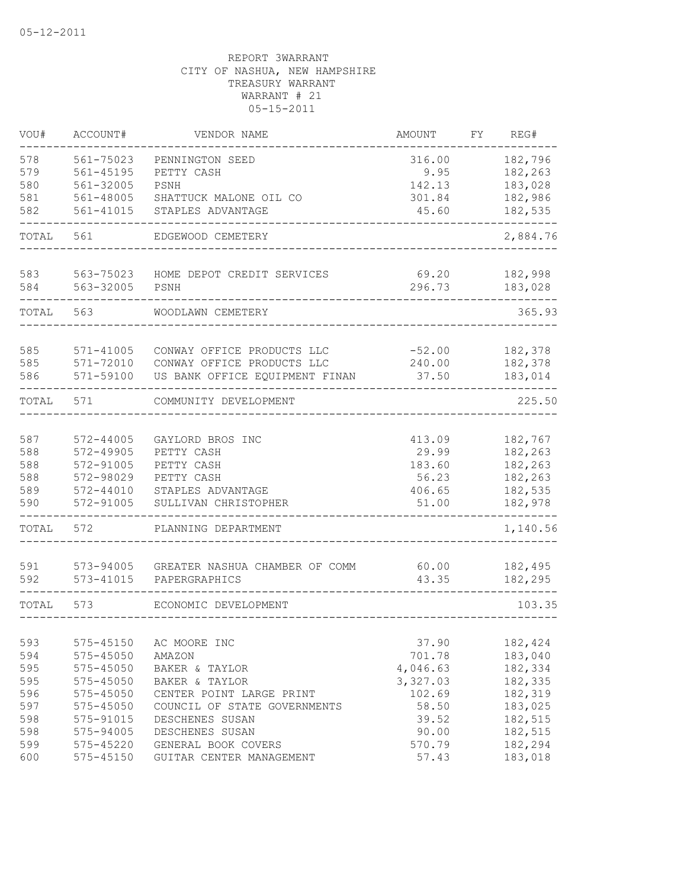| VOU#       | ACCOUNT#<br>VENDOR NAME |                                | AMOUNT          | FY. |                    |  |  |  |
|------------|-------------------------|--------------------------------|-----------------|-----|--------------------|--|--|--|
| 578        | 561-75023               | PENNINGTON SEED                | 316.00          |     | 182,796            |  |  |  |
| 579        | 561-45195               | PETTY CASH                     | 9.95            |     | 182,263            |  |  |  |
| 580        | 561-32005               | PSNH                           | 142.13          |     | 183,028            |  |  |  |
| 581        | 561-48005               | SHATTUCK MALONE OIL CO         | 301.84          |     | 182,986<br>182,535 |  |  |  |
| 582        | 561-41015               | STAPLES ADVANTAGE              | 45.60           |     |                    |  |  |  |
| TOTAL      | 561                     | EDGEWOOD CEMETERY              |                 |     | 2,884.76           |  |  |  |
| 583        | 563-75023               | HOME DEPOT CREDIT SERVICES     | 69.20           |     | 182,998            |  |  |  |
| 584        | 563-32005               | PSNH                           | 296.73          |     | 183,028            |  |  |  |
| TOTAL      | 563                     | WOODLAWN CEMETERY              |                 |     | 365.93             |  |  |  |
|            |                         |                                |                 |     |                    |  |  |  |
| 585        | 571-41005               | CONWAY OFFICE PRODUCTS LLC     | $-52.00$        |     | 182,378            |  |  |  |
| 585        | 571-72010               | CONWAY OFFICE PRODUCTS LLC     | 240.00          |     | 182,378            |  |  |  |
| 586        | 571-59100               | US BANK OFFICE EQUIPMENT FINAN | 37.50           |     | 183,014            |  |  |  |
| TOTAL      | 571                     | COMMUNITY DEVELOPMENT          |                 |     | 225.50             |  |  |  |
|            |                         |                                |                 |     |                    |  |  |  |
| 587<br>588 | 572-44005<br>572-49905  | GAYLORD BROS INC<br>PETTY CASH | 413.09<br>29.99 |     | 182,767<br>182,263 |  |  |  |
| 588        | 572-91005               | PETTY CASH                     | 183.60          |     | 182,263            |  |  |  |
| 588        | 572-98029               | PETTY CASH                     | 56.23           |     | 182,263            |  |  |  |
| 589        | 572-44010               | STAPLES ADVANTAGE              | 406.65          |     | 182,535            |  |  |  |
| 590        | 572-91005               | SULLIVAN CHRISTOPHER           | 51.00           |     | 182,978            |  |  |  |
| TOTAL      | 572                     | PLANNING DEPARTMENT            |                 |     | 1,140.56           |  |  |  |
|            |                         |                                |                 |     |                    |  |  |  |
| 591        | 573-94005               | GREATER NASHUA CHAMBER OF COMM | 60.00           |     | 182,495            |  |  |  |
| 592        | $573 - 41015$           | PAPERGRAPHICS                  | 43.35           |     | 182,295            |  |  |  |
| TOTAL      | 573                     | ECONOMIC DEVELOPMENT           |                 |     | 103.35             |  |  |  |
|            |                         |                                |                 |     |                    |  |  |  |
| 593        | 575-45150               | AC MOORE INC                   | 37.90           |     | 182,424            |  |  |  |
| 594        | 575-45050               | AMAZON                         | 701.78          |     | 183,040            |  |  |  |
| 595        | 575-45050               | BAKER & TAYLOR                 | 4,046.63        |     | 182,334            |  |  |  |
| 595        | 575-45050               | BAKER & TAYLOR                 | 3,327.03        |     | 182,335            |  |  |  |
| 596        | 575-45050               | CENTER POINT LARGE PRINT       | 102.69          |     | 182,319            |  |  |  |
| 597        | 575-45050               | COUNCIL OF STATE GOVERNMENTS   | 58.50           |     | 183,025            |  |  |  |
| 598        | 575-91015               | DESCHENES SUSAN                | 39.52           |     | 182,515            |  |  |  |
| 598        | 575-94005               | DESCHENES SUSAN                | 90.00           |     | 182,515            |  |  |  |
| 599        | 575-45220               | GENERAL BOOK COVERS            | 570.79          |     | 182,294            |  |  |  |
| 600        | 575-45150               | GUITAR CENTER MANAGEMENT       | 57.43           |     | 183,018            |  |  |  |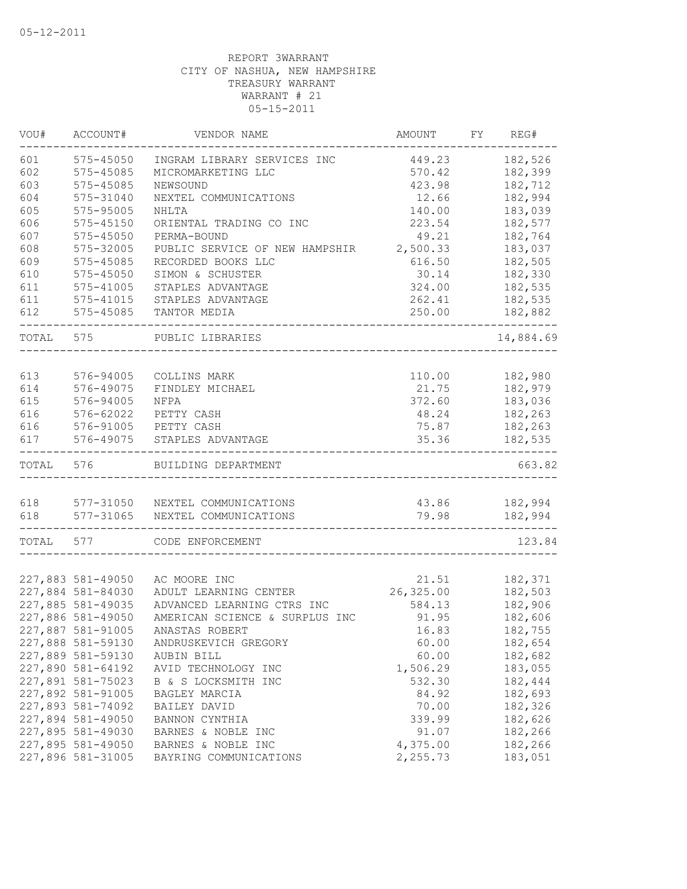| VOU#  | ACCOUNT#<br>VENDOR NAME |                                | AMOUNT    | FY. |           |  |
|-------|-------------------------|--------------------------------|-----------|-----|-----------|--|
| 601   | $575 - 45050$           | INGRAM LIBRARY SERVICES INC    | 449.23    |     | 182,526   |  |
| 602   | 575-45085               | MICROMARKETING LLC             | 570.42    |     | 182,399   |  |
| 603   | 575-45085               | NEWSOUND                       | 423.98    |     | 182,712   |  |
| 604   | 575-31040               | NEXTEL COMMUNICATIONS          | 12.66     |     | 182,994   |  |
| 605   | 575-95005               | NHLTA                          | 183,039   |     |           |  |
| 606   | $575 - 45150$           | ORIENTAL TRADING CO INC        | 223.54    |     | 182,577   |  |
| 607   | 575-45050               | PERMA-BOUND                    | 49.21     |     | 182,764   |  |
| 608   | 575-32005               | PUBLIC SERVICE OF NEW HAMPSHIR | 2,500.33  |     | 183,037   |  |
| 609   | 575-45085               | RECORDED BOOKS LLC             | 616.50    |     | 182,505   |  |
| 610   | 575-45050               | SIMON & SCHUSTER               | 30.14     |     | 182,330   |  |
| 611   | 575-41005               | STAPLES ADVANTAGE              | 324.00    |     | 182,535   |  |
| 611   | 575-41015               | STAPLES ADVANTAGE              | 262.41    |     | 182,535   |  |
| 612   | 575-45085               | TANTOR MEDIA                   | 250.00    |     | 182,882   |  |
| TOTAL | 575                     | PUBLIC LIBRARIES               |           |     | 14,884.69 |  |
|       |                         |                                |           |     |           |  |
| 613   | 576-94005               | COLLINS MARK                   | 110.00    |     | 182,980   |  |
| 614   | 576-49075               | FINDLEY MICHAEL                | 21.75     |     | 182,979   |  |
| 615   | 576-94005               | NFPA                           | 372.60    |     | 183,036   |  |
| 616   | 576-62022               | PETTY CASH                     | 48.24     |     | 182,263   |  |
| 616   | 576-91005               | PETTY CASH                     | 75.87     |     | 182,263   |  |
| 617   | 576-49075               | STAPLES ADVANTAGE              | 35.36     |     | 182,535   |  |
| TOTAL | 576                     | BUILDING DEPARTMENT            |           |     | 663.82    |  |
|       |                         |                                |           |     |           |  |
| 618   | 577-31050               | NEXTEL COMMUNICATIONS          | 43.86     |     | 182,994   |  |
| 618   | 577-31065               | NEXTEL COMMUNICATIONS          | 79.98     |     | 182,994   |  |
| TOTAL | 577                     | CODE ENFORCEMENT               |           |     | 123.84    |  |
|       |                         |                                |           |     |           |  |
|       | 227,883 581-49050       | AC MOORE INC                   | 21.51     |     | 182,371   |  |
|       | 227,884 581-84030       | ADULT LEARNING CENTER          | 26,325.00 |     | 182,503   |  |
|       | 227,885 581-49035       | ADVANCED LEARNING CTRS INC     | 584.13    |     | 182,906   |  |
|       | 227,886 581-49050       | AMERICAN SCIENCE & SURPLUS INC | 91.95     |     | 182,606   |  |
|       | 227,887 581-91005       | ANASTAS ROBERT                 | 16.83     |     | 182,755   |  |
|       | 227,888 581-59130       | ANDRUSKEVICH GREGORY           | 60.00     |     | 182,654   |  |
|       | 227,889 581-59130       | AUBIN BILL                     | 60.00     |     | 182,682   |  |
|       | 227,890 581-64192       | AVID TECHNOLOGY INC            | 1,506.29  |     | 183,055   |  |
|       | 227,891 581-75023       | B & S LOCKSMITH INC            | 532.30    |     | 182,444   |  |
|       | 227,892 581-91005       | BAGLEY MARCIA                  | 84.92     |     | 182,693   |  |
|       | 227,893 581-74092       | BAILEY DAVID                   | 70.00     |     | 182,326   |  |
|       | 227,894 581-49050       | BANNON CYNTHIA                 | 339.99    |     | 182,626   |  |
|       | 227,895 581-49030       | BARNES & NOBLE INC             | 91.07     |     | 182,266   |  |
|       | 227,895 581-49050       | BARNES & NOBLE INC             | 4,375.00  |     | 182,266   |  |
|       | 227,896 581-31005       | BAYRING COMMUNICATIONS         | 2,255.73  |     | 183,051   |  |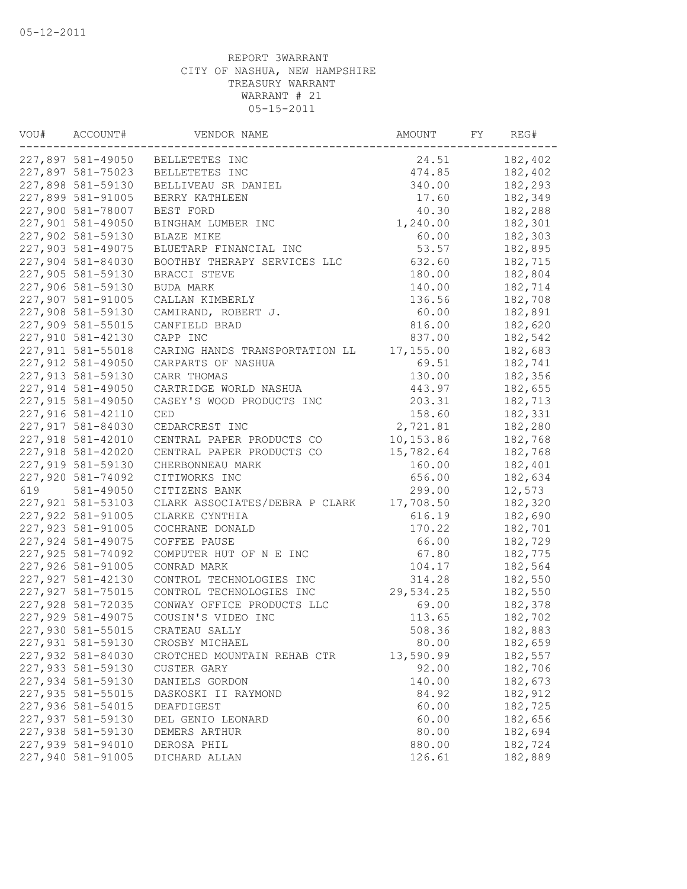| VOU# | ACCOUNT#           | VENDOR NAME                    | AMOUNT    | FY | REG#    |
|------|--------------------|--------------------------------|-----------|----|---------|
|      | 227,897 581-49050  | BELLETETES INC                 | 24.51     |    | 182,402 |
|      | 227,897 581-75023  | BELLETETES INC                 | 474.85    |    | 182,402 |
|      | 227,898 581-59130  | BELLIVEAU SR DANIEL            | 340.00    |    | 182,293 |
|      | 227,899 581-91005  | BERRY KATHLEEN                 | 17.60     |    | 182,349 |
|      | 227,900 581-78007  | BEST FORD                      | 40.30     |    | 182,288 |
|      | 227,901 581-49050  | BINGHAM LUMBER INC             | 1,240.00  |    | 182,301 |
|      | 227,902 581-59130  | BLAZE MIKE                     | 60.00     |    | 182,303 |
|      | 227,903 581-49075  | BLUETARP FINANCIAL INC         | 53.57     |    | 182,895 |
|      | 227,904 581-84030  | BOOTHBY THERAPY SERVICES LLC   | 632.60    |    | 182,715 |
|      | 227,905 581-59130  | BRACCI STEVE                   | 180.00    |    | 182,804 |
|      | 227,906 581-59130  | BUDA MARK                      | 140.00    |    | 182,714 |
|      | 227,907 581-91005  | CALLAN KIMBERLY                | 136.56    |    | 182,708 |
|      | 227,908 581-59130  | CAMIRAND, ROBERT J.            | 60.00     |    | 182,891 |
|      | 227,909 581-55015  | CANFIELD BRAD                  | 816.00    |    | 182,620 |
|      | 227,910 581-42130  | CAPP INC                       | 837.00    |    | 182,542 |
|      | 227,911 581-55018  | CARING HANDS TRANSPORTATION LL | 17,155.00 |    | 182,683 |
|      | 227,912 581-49050  | CARPARTS OF NASHUA             | 69.51     |    | 182,741 |
|      | 227,913 581-59130  | CARR THOMAS                    | 130.00    |    | 182,356 |
|      | 227,914 581-49050  | CARTRIDGE WORLD NASHUA         | 443.97    |    | 182,655 |
|      | 227,915 581-49050  | CASEY'S WOOD PRODUCTS INC      | 203.31    |    | 182,713 |
|      | 227,916 581-42110  | CED                            | 158.60    |    | 182,331 |
|      | 227,917 581-84030  | CEDARCREST INC                 | 2,721.81  |    | 182,280 |
|      | 227,918 581-42010  | CENTRAL PAPER PRODUCTS CO      | 10,153.86 |    | 182,768 |
|      | 227,918 581-42020  | CENTRAL PAPER PRODUCTS CO      | 15,782.64 |    | 182,768 |
|      | 227,919 581-59130  | CHERBONNEAU MARK               | 160.00    |    | 182,401 |
|      | 227,920 581-74092  | CITIWORKS INC                  | 656.00    |    | 182,634 |
| 619  | 581-49050          | CITIZENS BANK                  | 299.00    |    | 12,573  |
|      | 227, 921 581-53103 | CLARK ASSOCIATES/DEBRA P CLARK | 17,708.50 |    | 182,320 |
|      | 227,922 581-91005  | CLARKE CYNTHIA                 | 616.19    |    | 182,690 |
|      | 227,923 581-91005  | COCHRANE DONALD                | 170.22    |    | 182,701 |
|      | 227,924 581-49075  | COFFEE PAUSE                   | 66.00     |    | 182,729 |
|      | 227,925 581-74092  | COMPUTER HUT OF N E INC        | 67.80     |    | 182,775 |
|      | 227,926 581-91005  | CONRAD MARK                    | 104.17    |    | 182,564 |
|      | 227,927 581-42130  | CONTROL TECHNOLOGIES INC       | 314.28    |    | 182,550 |
|      | 227, 927 581-75015 | CONTROL TECHNOLOGIES INC       | 29,534.25 |    | 182,550 |
|      | 227,928 581-72035  | CONWAY OFFICE PRODUCTS LLC     | 69.00     |    | 182,378 |
|      | 227,929 581-49075  | COUSIN'S VIDEO INC             | 113.65    |    | 182,702 |
|      | 227,930 581-55015  | CRATEAU SALLY                  | 508.36    |    | 182,883 |
|      | 227,931 581-59130  | CROSBY MICHAEL                 | 80.00     |    | 182,659 |
|      | 227,932 581-84030  | CROTCHED MOUNTAIN REHAB CTR    | 13,590.99 |    | 182,557 |
|      | 227,933 581-59130  | CUSTER GARY                    | 92.00     |    | 182,706 |
|      | 227,934 581-59130  | DANIELS GORDON                 | 140.00    |    | 182,673 |
|      | 227,935 581-55015  | DASKOSKI II RAYMOND            | 84.92     |    | 182,912 |
|      | 227,936 581-54015  | DEAFDIGEST                     | 60.00     |    | 182,725 |
|      | 227,937 581-59130  | DEL GENIO LEONARD              | 60.00     |    | 182,656 |
|      | 227,938 581-59130  | DEMERS ARTHUR                  | 80.00     |    | 182,694 |
|      | 227,939 581-94010  | DEROSA PHIL                    | 880.00    |    | 182,724 |
|      | 227,940 581-91005  | DICHARD ALLAN                  | 126.61    |    | 182,889 |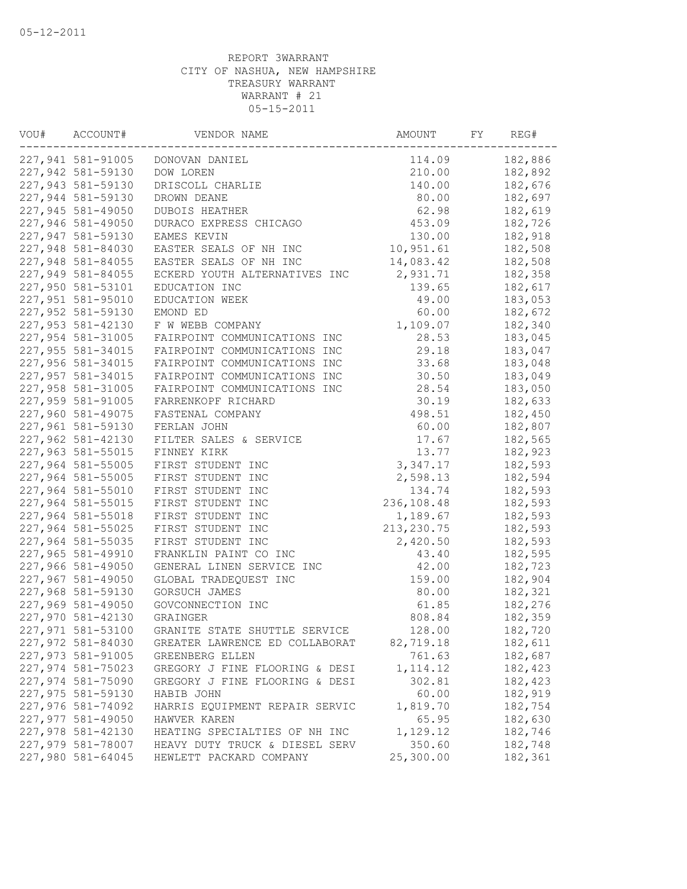| VOU# | ACCOUNT#          | VENDOR NAME                    | AMOUNT      | FY | REG#    |
|------|-------------------|--------------------------------|-------------|----|---------|
|      | 227,941 581-91005 | DONOVAN DANIEL                 | 114.09      |    | 182,886 |
|      | 227,942 581-59130 | DOW LOREN                      | 210.00      |    | 182,892 |
|      | 227,943 581-59130 | DRISCOLL CHARLIE               | 140.00      |    | 182,676 |
|      | 227,944 581-59130 | DROWN DEANE                    | 80.00       |    | 182,697 |
|      | 227,945 581-49050 | <b>DUBOIS HEATHER</b>          | 62.98       |    | 182,619 |
|      | 227,946 581-49050 | DURACO EXPRESS CHICAGO         | 453.09      |    | 182,726 |
|      | 227,947 581-59130 | EAMES KEVIN                    | 130.00      |    | 182,918 |
|      | 227,948 581-84030 | EASTER SEALS OF NH INC         | 10,951.61   |    | 182,508 |
|      | 227,948 581-84055 | EASTER SEALS OF NH INC         | 14,083.42   |    | 182,508 |
|      | 227,949 581-84055 | ECKERD YOUTH ALTERNATIVES INC  | 2,931.71    |    | 182,358 |
|      | 227,950 581-53101 | EDUCATION INC                  | 139.65      |    | 182,617 |
|      | 227,951 581-95010 | EDUCATION WEEK                 | 49.00       |    | 183,053 |
|      | 227,952 581-59130 | EMOND ED                       | 60.00       |    | 182,672 |
|      | 227,953 581-42130 | F W WEBB COMPANY               | 1,109.07    |    | 182,340 |
|      | 227,954 581-31005 | FAIRPOINT COMMUNICATIONS INC   | 28.53       |    | 183,045 |
|      | 227,955 581-34015 | FAIRPOINT COMMUNICATIONS INC   | 29.18       |    | 183,047 |
|      | 227,956 581-34015 | FAIRPOINT COMMUNICATIONS INC   | 33.68       |    | 183,048 |
|      | 227,957 581-34015 | FAIRPOINT COMMUNICATIONS INC   | 30.50       |    | 183,049 |
|      | 227,958 581-31005 | FAIRPOINT COMMUNICATIONS INC   | 28.54       |    | 183,050 |
|      | 227,959 581-91005 | FARRENKOPF RICHARD             | 30.19       |    | 182,633 |
|      | 227,960 581-49075 | FASTENAL COMPANY               | 498.51      |    | 182,450 |
|      | 227,961 581-59130 | FERLAN JOHN                    | 60.00       |    | 182,807 |
|      | 227,962 581-42130 | FILTER SALES & SERVICE         | 17.67       |    | 182,565 |
|      | 227,963 581-55015 | FINNEY KIRK                    | 13.77       |    | 182,923 |
|      | 227,964 581-55005 | FIRST STUDENT INC              | 3, 347.17   |    | 182,593 |
|      | 227,964 581-55005 | FIRST STUDENT INC              | 2,598.13    |    | 182,594 |
|      | 227,964 581-55010 | FIRST STUDENT INC              | 134.74      |    | 182,593 |
|      | 227,964 581-55015 | FIRST STUDENT INC              | 236,108.48  |    | 182,593 |
|      | 227,964 581-55018 | FIRST STUDENT INC              | 1,189.67    |    | 182,593 |
|      | 227,964 581-55025 | FIRST STUDENT INC              | 213, 230.75 |    | 182,593 |
|      | 227,964 581-55035 | FIRST STUDENT INC              | 2,420.50    |    | 182,593 |
|      | 227,965 581-49910 | FRANKLIN PAINT CO INC          | 43.40       |    | 182,595 |
|      | 227,966 581-49050 | GENERAL LINEN SERVICE INC      | 42.00       |    | 182,723 |
|      | 227,967 581-49050 | GLOBAL TRADEQUEST INC          | 159.00      |    | 182,904 |
|      | 227,968 581-59130 | GORSUCH JAMES                  | 80.00       |    | 182,321 |
|      | 227,969 581-49050 | GOVCONNECTION INC              | 61.85       |    | 182,276 |
|      | 227,970 581-42130 | <b>GRAINGER</b>                | 808.84      |    | 182,359 |
|      | 227,971 581-53100 | GRANITE STATE SHUTTLE SERVICE  | 128.00      |    | 182,720 |
|      | 227,972 581-84030 | GREATER LAWRENCE ED COLLABORAT | 82,719.18   |    | 182,611 |
|      | 227,973 581-91005 | GREENBERG ELLEN                | 761.63      |    | 182,687 |
|      | 227,974 581-75023 | GREGORY J FINE FLOORING & DESI | 1, 114.12   |    | 182,423 |
|      | 227,974 581-75090 | GREGORY J FINE FLOORING & DESI | 302.81      |    | 182,423 |
|      | 227,975 581-59130 | HABIB JOHN                     | 60.00       |    | 182,919 |
|      | 227,976 581-74092 | HARRIS EQUIPMENT REPAIR SERVIC | 1,819.70    |    | 182,754 |
|      | 227,977 581-49050 | HAWVER KAREN                   | 65.95       |    | 182,630 |
|      | 227,978 581-42130 | HEATING SPECIALTIES OF NH INC  | 1,129.12    |    | 182,746 |
|      | 227,979 581-78007 | HEAVY DUTY TRUCK & DIESEL SERV | 350.60      |    | 182,748 |
|      | 227,980 581-64045 | HEWLETT PACKARD COMPANY        | 25,300.00   |    | 182,361 |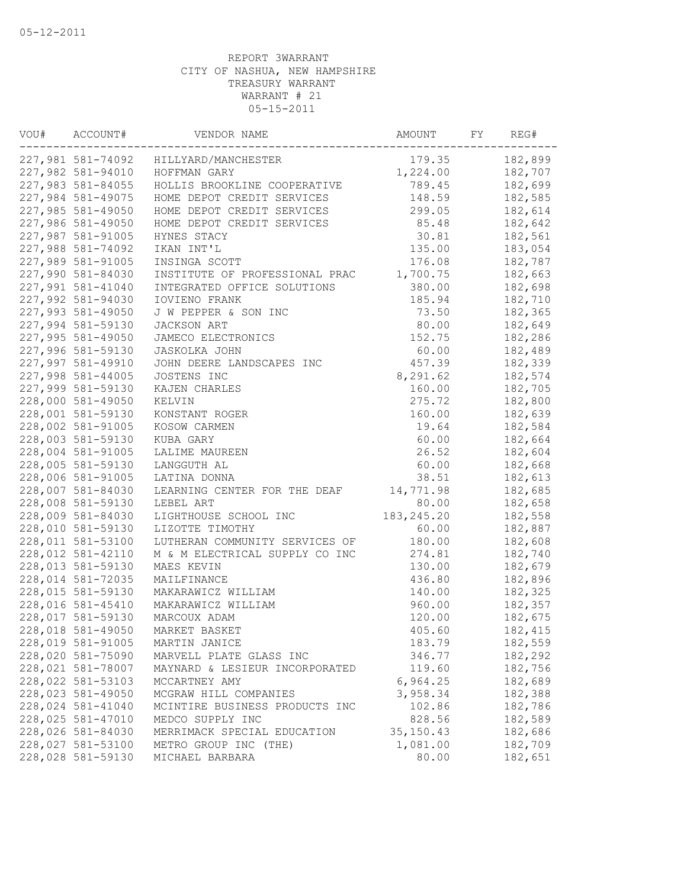| VOU# | ACCOUNT#<br>VENDOR NAME |                                | AMOUNT      | REG# |         |
|------|-------------------------|--------------------------------|-------------|------|---------|
|      | 227,981 581-74092       | HILLYARD/MANCHESTER            | 179.35      |      | 182,899 |
|      | 227,982 581-94010       | HOFFMAN GARY                   | 1,224.00    |      | 182,707 |
|      | 227,983 581-84055       | HOLLIS BROOKLINE COOPERATIVE   | 789.45      |      | 182,699 |
|      | 227,984 581-49075       | HOME DEPOT CREDIT SERVICES     | 148.59      |      | 182,585 |
|      | 227,985 581-49050       | HOME DEPOT CREDIT SERVICES     | 299.05      |      | 182,614 |
|      | 227,986 581-49050       | HOME DEPOT CREDIT SERVICES     | 85.48       |      | 182,642 |
|      | 227,987 581-91005       | HYNES STACY                    | 30.81       |      | 182,561 |
|      | 227,988 581-74092       | IKAN INT'L                     | 135.00      |      | 183,054 |
|      | 227,989 581-91005       | INSINGA SCOTT                  | 176.08      |      | 182,787 |
|      | 227,990 581-84030       | INSTITUTE OF PROFESSIONAL PRAC | 1,700.75    |      | 182,663 |
|      | 227,991 581-41040       | INTEGRATED OFFICE SOLUTIONS    | 380.00      |      | 182,698 |
|      | 227,992 581-94030       | IOVIENO FRANK                  | 185.94      |      | 182,710 |
|      | 227,993 581-49050       | J W PEPPER & SON INC           | 73.50       |      | 182,365 |
|      | 227,994 581-59130       | JACKSON ART                    | 80.00       |      | 182,649 |
|      | 227,995 581-49050       | JAMECO ELECTRONICS             | 152.75      |      | 182,286 |
|      | 227,996 581-59130       | <b>JASKOLKA JOHN</b>           | 60.00       |      | 182,489 |
|      | 227,997 581-49910       | JOHN DEERE LANDSCAPES INC      | 457.39      |      | 182,339 |
|      | 227,998 581-44005       | JOSTENS INC                    | 8,291.62    |      | 182,574 |
|      | 227,999 581-59130       | KAJEN CHARLES                  | 160.00      |      | 182,705 |
|      | 228,000 581-49050       | KELVIN                         | 275.72      |      | 182,800 |
|      | 228,001 581-59130       | KONSTANT ROGER                 | 160.00      |      | 182,639 |
|      | 228,002 581-91005       | KOSOW CARMEN                   | 19.64       |      | 182,584 |
|      | 228,003 581-59130       | KUBA GARY                      | 60.00       |      | 182,664 |
|      | 228,004 581-91005       | LALIME MAUREEN                 | 26.52       |      | 182,604 |
|      | 228,005 581-59130       |                                | 60.00       |      | 182,668 |
|      | 228,006 581-91005       | LANGGUTH AL                    | 38.51       |      |         |
|      | 228,007 581-84030       | LATINA DONNA                   |             |      | 182,613 |
|      |                         | LEARNING CENTER FOR THE DEAF   | 14,771.98   |      | 182,685 |
|      | 228,008 581-59130       | LEBEL ART                      | 80.00       |      | 182,658 |
|      | 228,009 581-84030       | LIGHTHOUSE SCHOOL INC          | 183, 245.20 |      | 182,558 |
|      | 228,010 581-59130       | LIZOTTE TIMOTHY                | 60.00       |      | 182,887 |
|      | 228,011 581-53100       | LUTHERAN COMMUNITY SERVICES OF | 180.00      |      | 182,608 |
|      | 228,012 581-42110       | M & M ELECTRICAL SUPPLY CO INC | 274.81      |      | 182,740 |
|      | 228,013 581-59130       | MAES KEVIN                     | 130.00      |      | 182,679 |
|      | 228,014 581-72035       | MAILFINANCE                    | 436.80      |      | 182,896 |
|      | 228,015 581-59130       | MAKARAWICZ WILLIAM             | 140.00      |      | 182,325 |
|      | 228,016 581-45410       | MAKARAWICZ WILLIAM             | 960.00      |      | 182,357 |
|      | 228,017 581-59130       | MARCOUX ADAM                   | 120.00      |      | 182,675 |
|      | 228,018 581-49050       | MARKET BASKET                  | 405.60      |      | 182,415 |
|      | 228,019 581-91005       | MARTIN JANICE                  | 183.79      |      | 182,559 |
|      | 228,020 581-75090       | MARVELL PLATE GLASS INC        | 346.77      |      | 182,292 |
|      | 228,021 581-78007       | MAYNARD & LESIEUR INCORPORATED | 119.60      |      | 182,756 |
|      | 228,022 581-53103       | MCCARTNEY AMY                  | 6,964.25    |      | 182,689 |
|      | 228,023 581-49050       | MCGRAW HILL COMPANIES          | 3,958.34    |      | 182,388 |
|      | 228,024 581-41040       | MCINTIRE BUSINESS PRODUCTS INC | 102.86      |      | 182,786 |
|      | 228,025 581-47010       | MEDCO SUPPLY INC               | 828.56      |      | 182,589 |
|      | 228,026 581-84030       | MERRIMACK SPECIAL EDUCATION    | 35, 150.43  |      | 182,686 |
|      | 228,027 581-53100       | METRO GROUP INC (THE)          | 1,081.00    |      | 182,709 |
|      | 228,028 581-59130       | MICHAEL BARBARA                | 80.00       |      | 182,651 |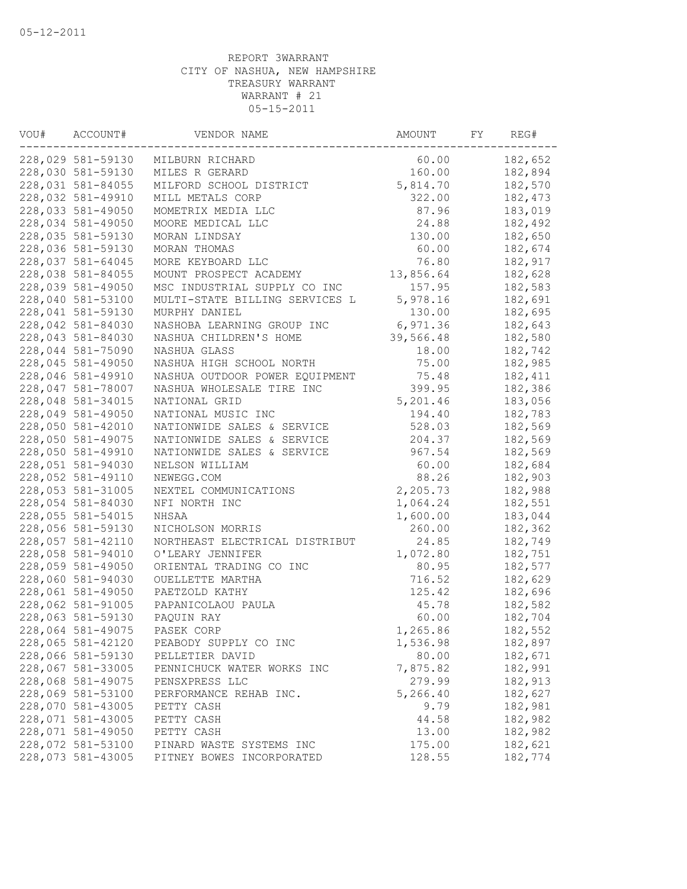| VOU# | ACCOUNT#          | VENDOR NAME                    | AMOUNT    | FY | REG#    |
|------|-------------------|--------------------------------|-----------|----|---------|
|      | 228,029 581-59130 | MILBURN RICHARD                | 60.00     |    | 182,652 |
|      | 228,030 581-59130 | MILES R GERARD                 | 160.00    |    | 182,894 |
|      | 228,031 581-84055 | MILFORD SCHOOL DISTRICT        | 5,814.70  |    | 182,570 |
|      | 228,032 581-49910 | MILL METALS CORP               | 322.00    |    | 182,473 |
|      | 228,033 581-49050 | MOMETRIX MEDIA LLC             | 87.96     |    | 183,019 |
|      | 228,034 581-49050 | MOORE MEDICAL LLC              | 24.88     |    | 182,492 |
|      | 228,035 581-59130 | MORAN LINDSAY                  | 130.00    |    | 182,650 |
|      | 228,036 581-59130 | MORAN THOMAS                   | 60.00     |    | 182,674 |
|      | 228,037 581-64045 | MORE KEYBOARD LLC              | 76.80     |    | 182,917 |
|      | 228,038 581-84055 | MOUNT PROSPECT ACADEMY         | 13,856.64 |    | 182,628 |
|      | 228,039 581-49050 | MSC INDUSTRIAL SUPPLY CO INC   | 157.95    |    | 182,583 |
|      | 228,040 581-53100 | MULTI-STATE BILLING SERVICES L | 5,978.16  |    | 182,691 |
|      | 228,041 581-59130 | MURPHY DANIEL                  | 130.00    |    | 182,695 |
|      | 228,042 581-84030 | NASHOBA LEARNING GROUP INC     | 6,971.36  |    | 182,643 |
|      | 228,043 581-84030 | NASHUA CHILDREN'S HOME         | 39,566.48 |    | 182,580 |
|      | 228,044 581-75090 | NASHUA GLASS                   | 18.00     |    | 182,742 |
|      | 228,045 581-49050 | NASHUA HIGH SCHOOL NORTH       | 75.00     |    | 182,985 |
|      | 228,046 581-49910 | NASHUA OUTDOOR POWER EQUIPMENT | 75.48     |    | 182,411 |
|      | 228,047 581-78007 | NASHUA WHOLESALE TIRE INC      | 399.95    |    | 182,386 |
|      | 228,048 581-34015 | NATIONAL GRID                  | 5,201.46  |    | 183,056 |
|      | 228,049 581-49050 | NATIONAL MUSIC INC             | 194.40    |    | 182,783 |
|      | 228,050 581-42010 | NATIONWIDE SALES & SERVICE     | 528.03    |    | 182,569 |
|      | 228,050 581-49075 | NATIONWIDE SALES & SERVICE     | 204.37    |    | 182,569 |
|      | 228,050 581-49910 | NATIONWIDE SALES & SERVICE     | 967.54    |    | 182,569 |
|      | 228,051 581-94030 | NELSON WILLIAM                 | 60.00     |    | 182,684 |
|      | 228,052 581-49110 | NEWEGG.COM                     | 88.26     |    | 182,903 |
|      | 228,053 581-31005 | NEXTEL COMMUNICATIONS          | 2,205.73  |    | 182,988 |
|      | 228,054 581-84030 | NFI NORTH INC                  | 1,064.24  |    | 182,551 |
|      | 228,055 581-54015 | NHSAA                          | 1,600.00  |    | 183,044 |
|      | 228,056 581-59130 | NICHOLSON MORRIS               | 260.00    |    | 182,362 |
|      | 228,057 581-42110 | NORTHEAST ELECTRICAL DISTRIBUT | 24.85     |    | 182,749 |
|      | 228,058 581-94010 | O'LEARY JENNIFER               | 1,072.80  |    | 182,751 |
|      | 228,059 581-49050 | ORIENTAL TRADING CO INC        | 80.95     |    | 182,577 |
|      | 228,060 581-94030 | OUELLETTE MARTHA               | 716.52    |    | 182,629 |
|      | 228,061 581-49050 | PAETZOLD KATHY                 | 125.42    |    | 182,696 |
|      | 228,062 581-91005 | PAPANICOLAOU PAULA             | 45.78     |    | 182,582 |
|      | 228,063 581-59130 | PAQUIN RAY                     | 60.00     |    | 182,704 |
|      | 228,064 581-49075 | PASEK CORP                     | 1,265.86  |    | 182,552 |
|      | 228,065 581-42120 | PEABODY SUPPLY CO INC          | 1,536.98  |    | 182,897 |
|      | 228,066 581-59130 | PELLETIER DAVID                | 80.00     |    | 182,671 |
|      | 228,067 581-33005 | PENNICHUCK WATER WORKS INC     | 7,875.82  |    | 182,991 |
|      | 228,068 581-49075 | PENSXPRESS LLC                 | 279.99    |    | 182,913 |
|      | 228,069 581-53100 | PERFORMANCE REHAB INC.         | 5,266.40  |    | 182,627 |
|      | 228,070 581-43005 | PETTY CASH                     | 9.79      |    | 182,981 |
|      | 228,071 581-43005 | PETTY CASH                     | 44.58     |    | 182,982 |
|      | 228,071 581-49050 | PETTY CASH                     | 13.00     |    | 182,982 |
|      | 228,072 581-53100 | PINARD WASTE SYSTEMS INC       | 175.00    |    | 182,621 |
|      | 228,073 581-43005 | PITNEY BOWES INCORPORATED      | 128.55    |    | 182,774 |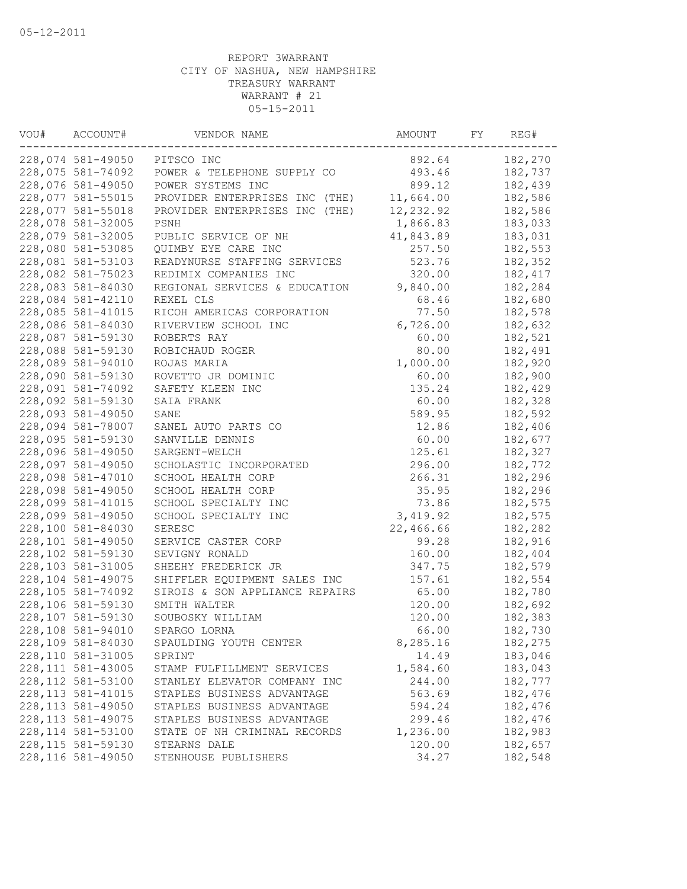| VOU# | ACCOUNT#           | VENDOR NAME                    | AMOUNT    | FY | REG#     |
|------|--------------------|--------------------------------|-----------|----|----------|
|      | 228,074 581-49050  | PITSCO INC                     | 892.64    |    | 182,270  |
|      | 228,075 581-74092  | POWER & TELEPHONE SUPPLY CO    | 493.46    |    | 182,737  |
|      | 228,076 581-49050  | POWER SYSTEMS INC              | 899.12    |    | 182,439  |
|      | 228,077 581-55015  | PROVIDER ENTERPRISES INC (THE) | 11,664.00 |    | 182,586  |
|      | 228,077 581-55018  | PROVIDER ENTERPRISES INC (THE) | 12,232.92 |    | 182,586  |
|      | 228,078 581-32005  | PSNH                           | 1,866.83  |    | 183,033  |
|      | 228,079 581-32005  | PUBLIC SERVICE OF NH           | 41,843.89 |    | 183,031  |
|      | 228,080 581-53085  | QUIMBY EYE CARE INC            | 257.50    |    | 182,553  |
|      | 228,081 581-53103  | READYNURSE STAFFING SERVICES   | 523.76    |    | 182,352  |
|      | 228,082 581-75023  | REDIMIX COMPANIES INC          | 320.00    |    | 182, 417 |
|      | 228,083 581-84030  | REGIONAL SERVICES & EDUCATION  | 9,840.00  |    | 182,284  |
|      | 228,084 581-42110  | REXEL CLS                      | 68.46     |    | 182,680  |
|      | 228,085 581-41015  | RICOH AMERICAS CORPORATION     | 77.50     |    | 182,578  |
|      | 228,086 581-84030  | RIVERVIEW SCHOOL INC           | 6,726.00  |    | 182,632  |
|      | 228,087 581-59130  | ROBERTS RAY                    | 60.00     |    | 182,521  |
|      | 228,088 581-59130  | ROBICHAUD ROGER                | 80.00     |    | 182,491  |
|      | 228,089 581-94010  | ROJAS MARIA                    | 1,000.00  |    | 182,920  |
|      | 228,090 581-59130  | ROVETTO JR DOMINIC             | 60.00     |    | 182,900  |
|      | 228,091 581-74092  | SAFETY KLEEN INC               | 135.24    |    | 182,429  |
|      | 228,092 581-59130  | SAIA FRANK                     | 60.00     |    | 182,328  |
|      | 228,093 581-49050  | SANE                           | 589.95    |    | 182,592  |
|      | 228,094 581-78007  | SANEL AUTO PARTS CO            | 12.86     |    | 182,406  |
|      | 228,095 581-59130  | SANVILLE DENNIS                | 60.00     |    | 182,677  |
|      | 228,096 581-49050  | SARGENT-WELCH                  | 125.61    |    | 182,327  |
|      | 228,097 581-49050  | SCHOLASTIC INCORPORATED        | 296.00    |    | 182,772  |
|      | 228,098 581-47010  | SCHOOL HEALTH CORP             | 266.31    |    | 182,296  |
|      | 228,098 581-49050  | SCHOOL HEALTH CORP             | 35.95     |    | 182,296  |
|      | 228,099 581-41015  | SCHOOL SPECIALTY INC           | 73.86     |    | 182,575  |
|      | 228,099 581-49050  | SCHOOL SPECIALTY INC           | 3,419.92  |    | 182,575  |
|      | 228,100 581-84030  | SERESC                         | 22,466.66 |    | 182,282  |
|      | 228,101 581-49050  | SERVICE CASTER CORP            | 99.28     |    | 182,916  |
|      | 228,102 581-59130  | SEVIGNY RONALD                 | 160.00    |    | 182,404  |
|      | 228,103 581-31005  | SHEEHY FREDERICK JR            |           |    | 182,579  |
|      |                    |                                | 347.75    |    |          |
|      | 228,104 581-49075  | SHIFFLER EQUIPMENT SALES INC   | 157.61    |    | 182,554  |
|      | 228,105 581-74092  | SIROIS & SON APPLIANCE REPAIRS | 65.00     |    | 182,780  |
|      | 228,106 581-59130  | SMITH WALTER                   | 120.00    |    | 182,692  |
|      | 228,107 581-59130  | SOUBOSKY WILLIAM               | 120.00    |    | 182,383  |
|      | 228,108 581-94010  | SPARGO LORNA                   | 66.00     |    | 182,730  |
|      | 228,109 581-84030  | SPAULDING YOUTH CENTER         | 8,285.16  |    | 182,275  |
|      | 228,110 581-31005  | SPRINT                         | 14.49     |    | 183,046  |
|      | 228, 111 581-43005 | STAMP FULFILLMENT SERVICES     | 1,584.60  |    | 183,043  |
|      | 228, 112 581-53100 | STANLEY ELEVATOR COMPANY INC   | 244.00    |    | 182,777  |
|      | 228, 113 581-41015 | STAPLES BUSINESS ADVANTAGE     | 563.69    |    | 182,476  |
|      | 228, 113 581-49050 | STAPLES BUSINESS ADVANTAGE     | 594.24    |    | 182,476  |
|      | 228, 113 581-49075 | STAPLES BUSINESS ADVANTAGE     | 299.46    |    | 182,476  |
|      | 228, 114 581-53100 | STATE OF NH CRIMINAL RECORDS   | 1,236.00  |    | 182,983  |
|      | 228, 115 581-59130 | STEARNS DALE                   | 120.00    |    | 182,657  |
|      | 228, 116 581-49050 | STENHOUSE PUBLISHERS           | 34.27     |    | 182,548  |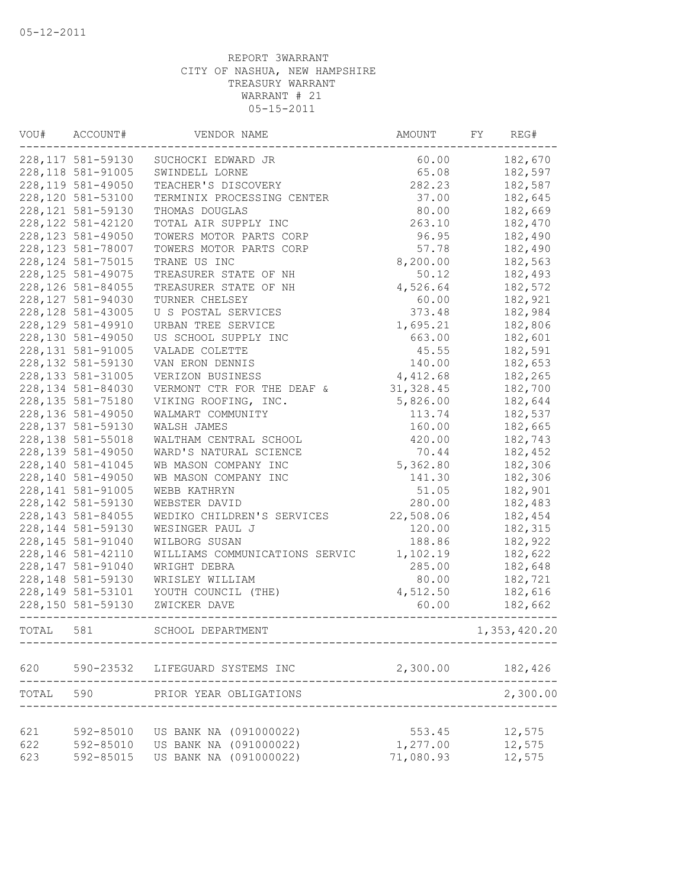| VOU#  | ACCOUNT#           | VENDOR NAME                     | AMOUNT     | FY | REG#         |
|-------|--------------------|---------------------------------|------------|----|--------------|
|       | 228, 117 581-59130 | SUCHOCKI EDWARD JR              | 60.00      |    | 182,670      |
|       | 228, 118 581-91005 | SWINDELL LORNE                  | 65.08      |    | 182,597      |
|       | 228, 119 581-49050 | TEACHER'S DISCOVERY             | 282.23     |    | 182,587      |
|       | 228,120 581-53100  | TERMINIX PROCESSING CENTER      | 37.00      |    | 182,645      |
|       | 228, 121 581-59130 | THOMAS DOUGLAS                  | 80.00      |    | 182,669      |
|       | 228, 122 581-42120 | TOTAL AIR SUPPLY INC            | 263.10     |    | 182,470      |
|       | 228, 123 581-49050 | TOWERS MOTOR PARTS CORP         | 96.95      |    | 182,490      |
|       | 228, 123 581-78007 | TOWERS MOTOR PARTS CORP         | 57.78      |    | 182,490      |
|       | 228, 124 581-75015 | TRANE US INC                    | 8,200.00   |    | 182,563      |
|       | 228, 125 581-49075 | TREASURER STATE OF NH           | 50.12      |    | 182,493      |
|       | 228, 126 581-84055 | TREASURER STATE OF NH           | 4,526.64   |    | 182,572      |
|       | 228, 127 581-94030 | TURNER CHELSEY                  | 60.00      |    | 182,921      |
|       | 228, 128 581-43005 | U S POSTAL SERVICES             | 373.48     |    | 182,984      |
|       | 228, 129 581-49910 | URBAN TREE SERVICE              | 1,695.21   |    | 182,806      |
|       | 228,130 581-49050  | US SCHOOL SUPPLY INC            | 663.00     |    | 182,601      |
|       | 228, 131 581-91005 | VALADE COLETTE                  | 45.55      |    | 182,591      |
|       | 228, 132 581-59130 | VAN ERON DENNIS                 | 140.00     |    | 182,653      |
|       | 228, 133 581-31005 | VERIZON BUSINESS                | 4,412.68   |    | 182,265      |
|       | 228, 134 581-84030 | VERMONT CTR FOR THE DEAF &      | 31, 328.45 |    | 182,700      |
|       | 228, 135 581-75180 | VIKING ROOFING, INC.            | 5,826.00   |    | 182,644      |
|       | 228,136 581-49050  | WALMART COMMUNITY               | 113.74     |    | 182,537      |
|       | 228, 137 581-59130 | WALSH JAMES                     | 160.00     |    | 182,665      |
|       | 228, 138 581-55018 | WALTHAM CENTRAL SCHOOL          | 420.00     |    | 182,743      |
|       | 228, 139 581-49050 | WARD'S NATURAL SCIENCE          | 70.44      |    | 182,452      |
|       | 228, 140 581-41045 | WB MASON COMPANY INC            | 5,362.80   |    | 182,306      |
|       | 228,140 581-49050  | WB MASON COMPANY INC            | 141.30     |    | 182,306      |
|       | 228, 141 581-91005 | WEBB KATHRYN                    | 51.05      |    | 182,901      |
|       | 228, 142 581-59130 | WEBSTER DAVID                   | 280.00     |    | 182,483      |
|       | 228, 143 581-84055 | WEDIKO CHILDREN'S SERVICES      | 22,508.06  |    | 182,454      |
|       | 228, 144 581-59130 | WESINGER PAUL J                 | 120.00     |    | 182,315      |
|       | 228,145 581-91040  | WILBORG SUSAN                   | 188.86     |    | 182,922      |
|       | 228, 146 581-42110 | WILLIAMS COMMUNICATIONS SERVIC  | 1,102.19   |    | 182,622      |
|       | 228, 147 581-91040 | WRIGHT DEBRA                    | 285.00     |    | 182,648      |
|       | 228, 148 581-59130 | WRISLEY WILLIAM                 | 80.00      |    | 182,721      |
|       | 228,149 581-53101  | YOUTH COUNCIL (THE)             | 4,512.50   |    | 182,616      |
|       | 228,150 581-59130  | ZWICKER DAVE                    | 60.00      |    | 182,662      |
| TOTAL | 581                | SCHOOL DEPARTMENT               |            |    | 1,353,420.20 |
|       |                    |                                 |            |    |              |
| 620   |                    | 590-23532 LIFEGUARD SYSTEMS INC | 2,300.00   |    | 182,426      |
| TOTAL | 590                | PRIOR YEAR OBLIGATIONS          |            |    | 2,300.00     |
| 621   | 592-85010          | US BANK NA (091000022)          | 553.45     |    | 12,575       |
| 622   | 592-85010          | US BANK NA (091000022)          | 1,277.00   |    | 12,575       |
| 623   | 592-85015          | US BANK NA (091000022)          | 71,080.93  |    | 12,575       |
|       |                    |                                 |            |    |              |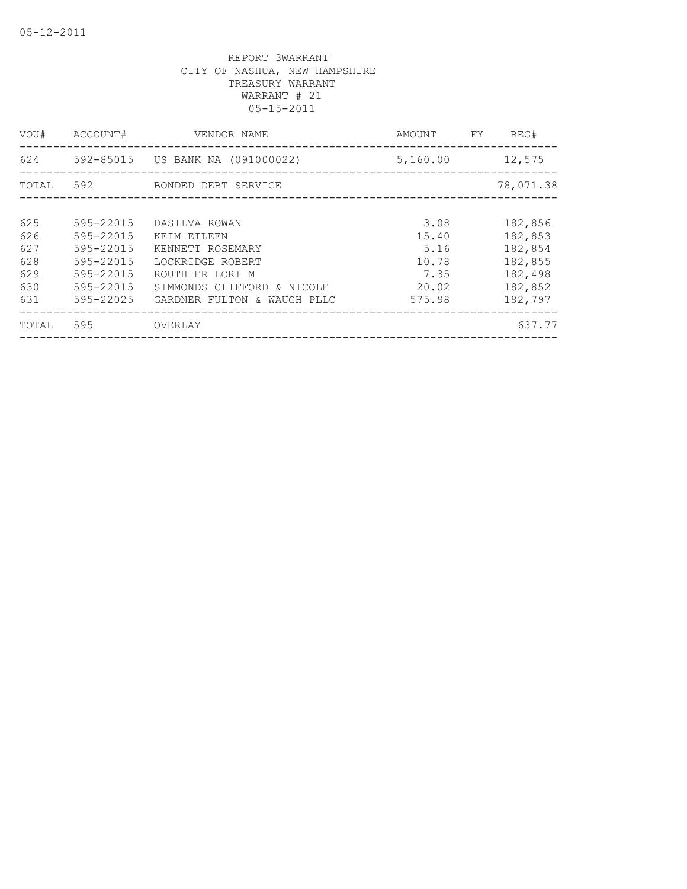| VOU#                                          | ACCOUNT#                                                                                | VENDOR NAME                                                                                                                                          | AMOUNT                                                    | FY | REG#                                                                      |
|-----------------------------------------------|-----------------------------------------------------------------------------------------|------------------------------------------------------------------------------------------------------------------------------------------------------|-----------------------------------------------------------|----|---------------------------------------------------------------------------|
| 624                                           |                                                                                         | 592-85015 US BANK NA (091000022)                                                                                                                     | 5,160.00                                                  |    | 12,575                                                                    |
| TOTAL                                         | 592                                                                                     | BONDED DEBT SERVICE                                                                                                                                  |                                                           |    | 78,071.38                                                                 |
| 625<br>626<br>627<br>628<br>629<br>630<br>631 | 595-22015<br>595-22015<br>595-22015<br>595-22015<br>595-22015<br>595-22015<br>595-22025 | DASILVA ROWAN<br>KEIM EILEEN<br>KENNETT ROSEMARY<br>LOCKRIDGE ROBERT<br>ROUTHIER LORI M<br>SIMMONDS CLIFFORD & NICOLE<br>GARDNER FULTON & WAUGH PLLC | 3.08<br>15.40<br>5.16<br>10.78<br>7.35<br>20.02<br>575.98 |    | 182,856<br>182,853<br>182,854<br>182,855<br>182,498<br>182,852<br>182,797 |
| TOTAL                                         | 595                                                                                     | OVERLAY                                                                                                                                              |                                                           |    | 637.77                                                                    |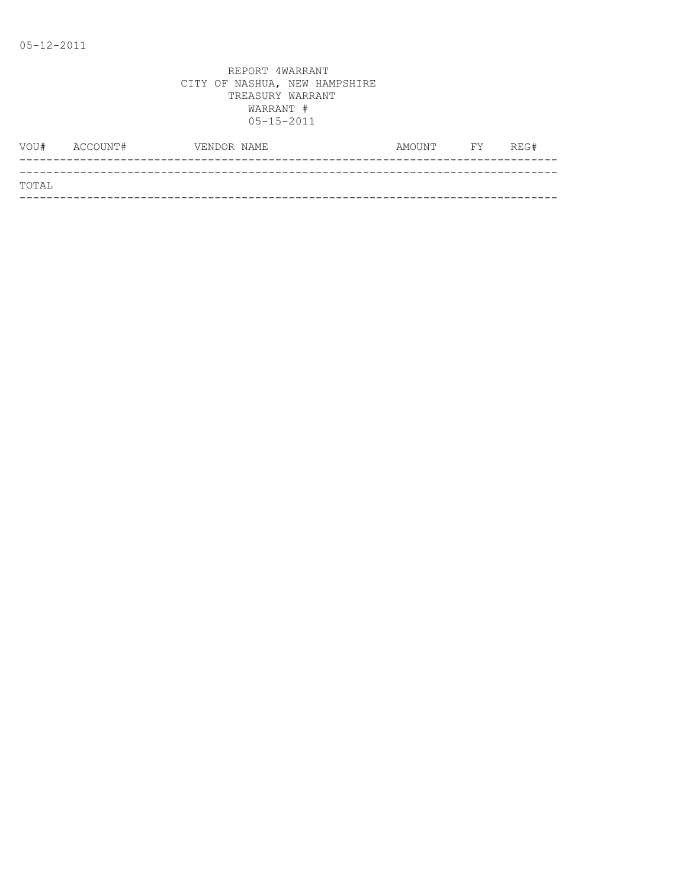|       | VOU# ACCOUNT# | VENDOR NAME | AMOUNT | <b>FY</b> | REG# |
|-------|---------------|-------------|--------|-----------|------|
|       |               |             |        |           |      |
| TOTAL |               |             |        |           |      |
|       |               |             |        |           |      |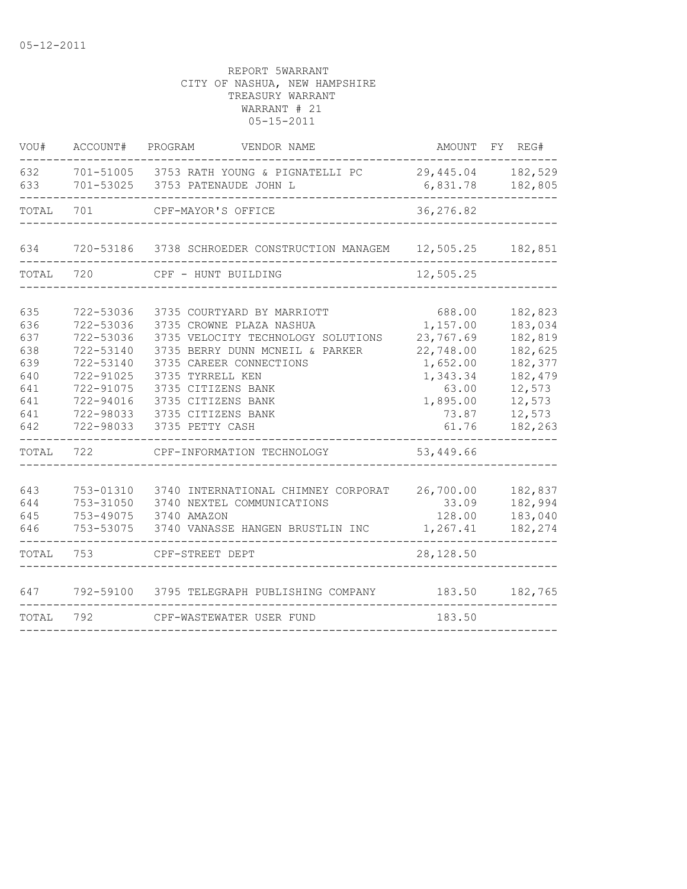| VOU#                                                               | ACCOUNT#                                                                                                          | VENDOR NAME<br>PROGRAM                                                                                                                                                                                                                                                        | AMOUNT                                                                                                      | FY<br>REG#                                                                                              |
|--------------------------------------------------------------------|-------------------------------------------------------------------------------------------------------------------|-------------------------------------------------------------------------------------------------------------------------------------------------------------------------------------------------------------------------------------------------------------------------------|-------------------------------------------------------------------------------------------------------------|---------------------------------------------------------------------------------------------------------|
| 632<br>633                                                         |                                                                                                                   | 701-51005 3753 RATH YOUNG & PIGNATELLI PC<br>701-53025 3753 PATENAUDE JOHN L                                                                                                                                                                                                  | 29,445.04<br>6,831.78                                                                                       | 182,529<br>182,805                                                                                      |
| TOTAL                                                              | 701                                                                                                               | CPF-MAYOR'S OFFICE                                                                                                                                                                                                                                                            | 36,276.82                                                                                                   |                                                                                                         |
| 634                                                                |                                                                                                                   | 720-53186 3738 SCHROEDER CONSTRUCTION MANAGEM 12,505.25                                                                                                                                                                                                                       |                                                                                                             | 182,851                                                                                                 |
| TOTAL                                                              | 720                                                                                                               | CPF - HUNT BUILDING                                                                                                                                                                                                                                                           | 12,505.25                                                                                                   |                                                                                                         |
| 635<br>636<br>637<br>638<br>639<br>640<br>641<br>641<br>641<br>642 | 722-53036<br>722-53036<br>722-53036<br>722-53140<br>722-53140<br>722-91025<br>722-91075<br>722-94016<br>722-98033 | 3735 COURTYARD BY MARRIOTT<br>3735 CROWNE PLAZA NASHUA<br>3735 VELOCITY TECHNOLOGY SOLUTIONS<br>3735 BERRY DUNN MCNEIL & PARKER<br>3735 CAREER CONNECTIONS<br>3735 TYRRELL KEN<br>3735 CITIZENS BANK<br>3735 CITIZENS BANK<br>722-98033 3735 CITIZENS BANK<br>3735 PETTY CASH | 688.00<br>1,157.00<br>23,767.69<br>22,748.00<br>1,652.00<br>1,343.34<br>63.00<br>1,895.00<br>73.87<br>61.76 | 182,823<br>183,034<br>182,819<br>182,625<br>182,377<br>182,479<br>12,573<br>12,573<br>12,573<br>182,263 |
| TOTAL                                                              | 722                                                                                                               | CPF-INFORMATION TECHNOLOGY                                                                                                                                                                                                                                                    | 53,449.66                                                                                                   |                                                                                                         |
| 643<br>644<br>645<br>646                                           | 753-01310<br>753-31050<br>753-49075<br>753-53075                                                                  | 3740 INTERNATIONAL CHIMNEY CORPORAT<br>3740 NEXTEL COMMUNICATIONS<br>3740 AMAZON<br>3740 VANASSE HANGEN BRUSTLIN INC                                                                                                                                                          | 26,700.00<br>33.09<br>128.00<br>1,267.41                                                                    | 182,837<br>182,994<br>183,040<br>182,274                                                                |
| TOTAL                                                              | 753                                                                                                               | CPF-STREET DEPT                                                                                                                                                                                                                                                               | 28, 128.50                                                                                                  |                                                                                                         |
| 647<br>TOTAL                                                       | 792                                                                                                               | 792-59100 3795 TELEGRAPH PUBLISHING COMPANY<br>CPF-WASTEWATER USER FUND                                                                                                                                                                                                       | 183.50<br>183.50                                                                                            | 182,765                                                                                                 |
|                                                                    |                                                                                                                   |                                                                                                                                                                                                                                                                               |                                                                                                             |                                                                                                         |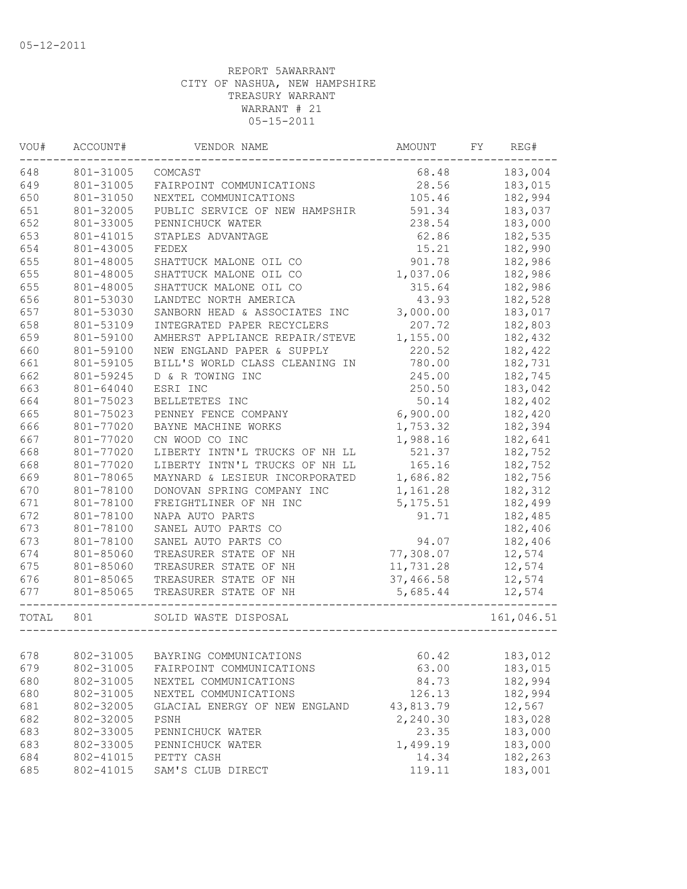| VOU#             | ACCOUNT#<br>VENDOR NAME |                                      | AMOUNT    | REG#<br>FY. |            |
|------------------|-------------------------|--------------------------------------|-----------|-------------|------------|
| 648<br>801-31005 |                         | COMCAST                              | 68.48     |             | 183,004    |
| 649              | 801-31005               | FAIRPOINT COMMUNICATIONS             | 28.56     |             | 183,015    |
| 650              | 801-31050               | NEXTEL COMMUNICATIONS                | 105.46    |             | 182,994    |
| 651              | 801-32005               | PUBLIC SERVICE OF NEW HAMPSHIR       | 591.34    |             | 183,037    |
| 652              | 801-33005               | PENNICHUCK WATER                     | 238.54    |             | 183,000    |
| 653              | 801-41015               | STAPLES ADVANTAGE                    | 62.86     |             | 182,535    |
| 654              | 801-43005               | FEDEX                                | 15.21     |             | 182,990    |
| 655              | 801-48005               | SHATTUCK MALONE OIL CO               | 901.78    |             | 182,986    |
| 655              | 801-48005               | SHATTUCK MALONE OIL CO               | 1,037.06  |             | 182,986    |
| 655              | 801-48005               | SHATTUCK MALONE OIL CO               | 315.64    |             | 182,986    |
| 656              | 801-53030               | LANDTEC NORTH AMERICA                | 43.93     |             | 182,528    |
| 657              | 801-53030               | SANBORN HEAD & ASSOCIATES INC        | 3,000.00  |             | 183,017    |
| 658              | 801-53109               | INTEGRATED PAPER RECYCLERS           | 207.72    |             | 182,803    |
| 659              | 801-59100               | AMHERST APPLIANCE REPAIR/STEVE       | 1,155.00  |             | 182,432    |
| 660              | 801-59100               | NEW ENGLAND PAPER & SUPPLY           | 220.52    |             | 182,422    |
| 661              | 801-59105               | BILL'S WORLD CLASS CLEANING IN       | 780.00    |             | 182,731    |
| 662              | 801-59245               | D & R TOWING INC                     | 245.00    |             | 182,745    |
| 663              | 801-64040               | ESRI INC                             | 250.50    |             | 183,042    |
| 664              | 801-75023               | BELLETETES INC                       | 50.14     |             | 182,402    |
| 665              | 801-75023               | PENNEY FENCE COMPANY                 | 6,900.00  |             | 182,420    |
| 666              | 801-77020               | BAYNE MACHINE WORKS                  | 1,753.32  |             | 182,394    |
| 667              | 801-77020               | CN WOOD CO INC                       | 1,988.16  |             | 182,641    |
| 668              | 801-77020               | LIBERTY INTN'L TRUCKS OF NH LL       | 521.37    |             | 182,752    |
| 668              | 801-77020               | LIBERTY INTN'L TRUCKS OF NH LL       | 165.16    |             | 182,752    |
| 669              | 801-78065               | MAYNARD & LESIEUR INCORPORATED       | 1,686.82  |             | 182,756    |
| 670              | 801-78100               | DONOVAN SPRING COMPANY INC           | 1,161.28  |             | 182,312    |
| 671              | 801-78100               | FREIGHTLINER OF NH INC               | 5, 175.51 |             | 182,499    |
| 672              | 801-78100               | NAPA AUTO PARTS                      | 91.71     |             | 182,485    |
| 673              | 801-78100               | SANEL AUTO PARTS CO                  |           |             | 182,406    |
| 673              | 801-78100               | SANEL AUTO PARTS CO                  | 94.07     |             | 182,406    |
| 674              | 801-85060               | TREASURER STATE OF NH                | 77,308.07 |             | 12,574     |
| 675              | 801-85060               | TREASURER STATE OF NH                | 11,731.28 |             | 12,574     |
| 676              | 801-85065               | TREASURER STATE OF NH                | 37,466.58 |             | 12,574     |
| 677              | 801-85065               | TREASURER STATE OF NH<br>___________ | 5,685.44  |             | 12,574     |
| TOTAL            | 801                     | SOLID WASTE DISPOSAL                 |           |             | 161,046.51 |
|                  |                         |                                      |           |             |            |
| 678              | 802-31005               | BAYRING COMMUNICATIONS               | 60.42     |             | 183,012    |
| 679              | 802-31005               | FAIRPOINT COMMUNICATIONS             | 63.00     |             | 183,015    |
| 680              | 802-31005               | NEXTEL COMMUNICATIONS                | 84.73     |             | 182,994    |
| 680              | 802-31005               | NEXTEL COMMUNICATIONS                | 126.13    |             | 182,994    |
| 681              | 802-32005               | GLACIAL ENERGY OF NEW ENGLAND        | 43,813.79 |             | 12,567     |
| 682              | 802-32005               | PSNH                                 | 2,240.30  |             | 183,028    |
| 683              | 802-33005               | PENNICHUCK WATER                     | 23.35     |             | 183,000    |
| 683              | 802-33005               | PENNICHUCK WATER                     | 1,499.19  |             | 183,000    |
| 684              | 802-41015               | PETTY CASH                           | 14.34     |             | 182,263    |
| 685              | 802-41015               | SAM'S CLUB DIRECT                    | 119.11    |             | 183,001    |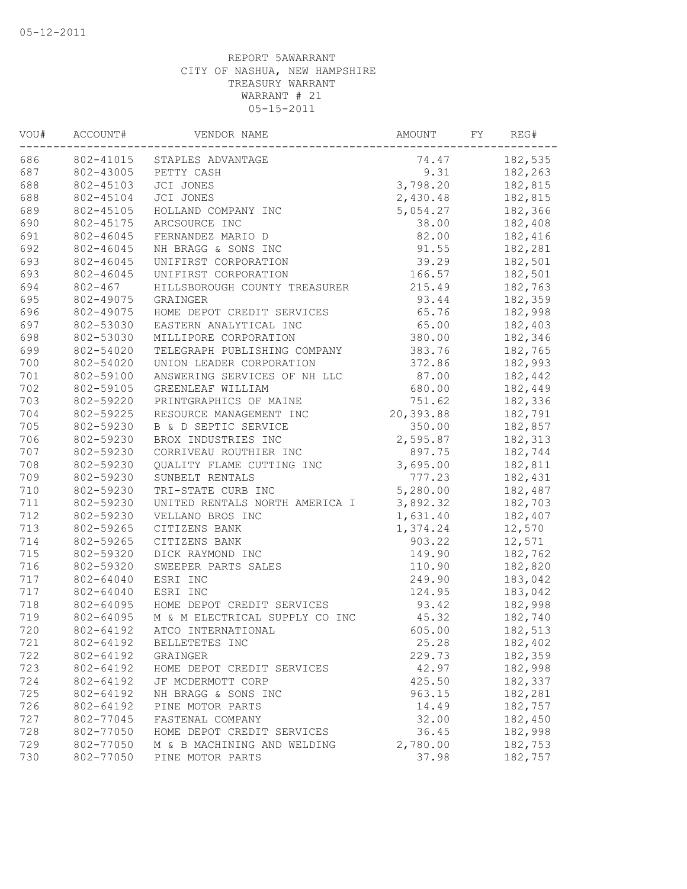| VOU# | ACCOUNT#    | VENDOR NAME                             | AMOUNT    | FY | REG#    |
|------|-------------|-----------------------------------------|-----------|----|---------|
| 686  | 802-41015   | STAPLES ADVANTAGE                       | 74.47     |    | 182,535 |
| 687  | 802-43005   | PETTY CASH                              | 9.31      |    | 182,263 |
| 688  | 802-45103   | JCI JONES                               | 3,798.20  |    | 182,815 |
| 688  | 802-45104   | JCI JONES                               | 2,430.48  |    | 182,815 |
| 689  | 802-45105   | HOLLAND COMPANY INC                     | 5,054.27  |    | 182,366 |
| 690  | 802-45175   | ARCSOURCE INC                           | 38.00     |    | 182,408 |
| 691  | 802-46045   | FERNANDEZ MARIO D                       | 82.00     |    | 182,416 |
| 692  | 802-46045   | NH BRAGG & SONS INC                     | 91.55     |    | 182,281 |
| 693  | 802-46045   | UNIFIRST CORPORATION                    | 39.29     |    | 182,501 |
| 693  | 802-46045   | UNIFIRST CORPORATION                    | 166.57    |    | 182,501 |
| 694  | $802 - 467$ | HILLSBOROUGH COUNTY TREASURER           | 215.49    |    | 182,763 |
| 695  | 802-49075   | GRAINGER                                | 93.44     |    | 182,359 |
| 696  | 802-49075   | HOME DEPOT CREDIT SERVICES              | 65.76     |    | 182,998 |
| 697  | 802-53030   | EASTERN ANALYTICAL INC                  | 65.00     |    | 182,403 |
| 698  | 802-53030   | MILLIPORE CORPORATION                   | 380.00    |    | 182,346 |
| 699  | 802-54020   | TELEGRAPH PUBLISHING COMPANY            | 383.76    |    | 182,765 |
| 700  | 802-54020   | UNION LEADER CORPORATION                | 372.86    |    | 182,993 |
| 701  | 802-59100   | ANSWERING SERVICES OF NH LLC            | 87.00     |    | 182,442 |
| 702  | 802-59105   | GREENLEAF WILLIAM                       | 680.00    |    | 182,449 |
| 703  | 802-59220   | PRINTGRAPHICS OF MAINE                  | 751.62    |    | 182,336 |
| 704  | 802-59225   | RESOURCE MANAGEMENT INC                 | 20,393.88 |    | 182,791 |
| 705  | 802-59230   | B & D SEPTIC SERVICE                    | 350.00    |    | 182,857 |
| 706  | 802-59230   | BROX INDUSTRIES INC                     | 2,595.87  |    | 182,313 |
| 707  | 802-59230   | CORRIVEAU ROUTHIER INC                  | 897.75    |    | 182,744 |
| 708  | 802-59230   | QUALITY FLAME CUTTING INC               | 3,695.00  |    | 182,811 |
| 709  | 802-59230   | SUNBELT RENTALS                         | 777.23    |    | 182,431 |
| 710  | 802-59230   | TRI-STATE CURB INC                      | 5,280.00  |    | 182,487 |
| 711  | 802-59230   | UNITED RENTALS NORTH AMERICA I          | 3,892.32  |    | 182,703 |
| 712  | 802-59230   | VELLANO BROS INC                        | 1,631.40  |    | 182,407 |
| 713  | 802-59265   | CITIZENS BANK                           | 1,374.24  |    | 12,570  |
| 714  | 802-59265   | CITIZENS BANK                           | 903.22    |    | 12,571  |
| 715  | 802-59320   |                                         |           |    | 182,762 |
|      | 802-59320   | DICK RAYMOND INC<br>SWEEPER PARTS SALES | 149.90    |    |         |
| 716  |             |                                         | 110.90    |    | 182,820 |
| 717  | 802-64040   | ESRI INC                                | 249.90    |    | 183,042 |
| 717  | 802-64040   | ESRI INC                                | 124.95    |    | 183,042 |
| 718  | 802-64095   | HOME DEPOT CREDIT SERVICES              | 93.42     |    | 182,998 |
| 719  | 802-64095   | M & M ELECTRICAL SUPPLY CO INC          | 45.32     |    | 182,740 |
| 720  | 802-64192   | ATCO INTERNATIONAL                      | 605.00    |    | 182,513 |
| 721  | 802-64192   | BELLETETES INC                          | 25.28     |    | 182,402 |
| 722  | 802-64192   | GRAINGER                                | 229.73    |    | 182,359 |
| 723  | 802-64192   | HOME DEPOT CREDIT SERVICES              | 42.97     |    | 182,998 |
| 724  | 802-64192   | JF MCDERMOTT CORP                       | 425.50    |    | 182,337 |
| 725  | 802-64192   | NH BRAGG & SONS INC                     | 963.15    |    | 182,281 |
| 726  | 802-64192   | PINE MOTOR PARTS                        | 14.49     |    | 182,757 |
| 727  | 802-77045   | FASTENAL COMPANY                        | 32.00     |    | 182,450 |
| 728  | 802-77050   | HOME DEPOT CREDIT SERVICES              | 36.45     |    | 182,998 |
| 729  | 802-77050   | M & B MACHINING AND WELDING             | 2,780.00  |    | 182,753 |
| 730  | 802-77050   | PINE MOTOR PARTS                        | 37.98     |    | 182,757 |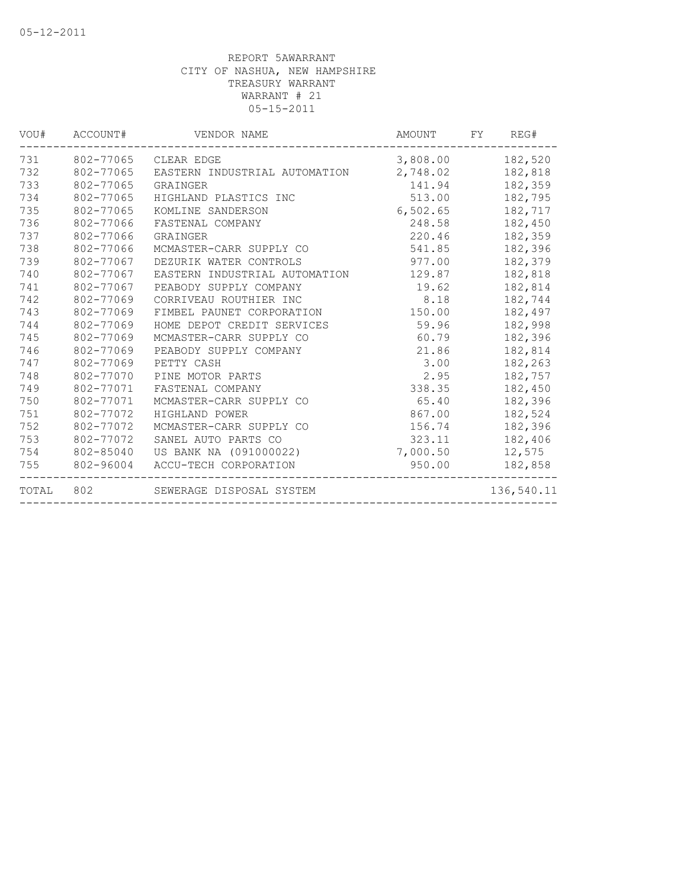| VOU#  | ACCOUNT#  | VENDOR NAME                   | AMOUNT   | FY | REG#       |
|-------|-----------|-------------------------------|----------|----|------------|
| 731   | 802-77065 | CLEAR EDGE                    | 3,808.00 |    | 182,520    |
| 732   | 802-77065 | EASTERN INDUSTRIAL AUTOMATION | 2,748.02 |    | 182,818    |
| 733   | 802-77065 | GRAINGER                      | 141.94   |    | 182,359    |
| 734   | 802-77065 | HIGHLAND PLASTICS INC         | 513.00   |    | 182,795    |
| 735   | 802-77065 | KOMLINE SANDERSON             | 6,502.65 |    | 182,717    |
| 736   | 802-77066 | FASTENAL COMPANY              | 248.58   |    | 182,450    |
| 737   | 802-77066 | GRAINGER                      | 220.46   |    | 182,359    |
| 738   | 802-77066 | MCMASTER-CARR SUPPLY CO       | 541.85   |    | 182,396    |
| 739   | 802-77067 | DEZURIK WATER CONTROLS        | 977.00   |    | 182,379    |
| 740   | 802-77067 | EASTERN INDUSTRIAL AUTOMATION | 129.87   |    | 182,818    |
| 741   | 802-77067 | PEABODY SUPPLY COMPANY        | 19.62    |    | 182,814    |
| 742   | 802-77069 | CORRIVEAU ROUTHIER INC        | 8.18     |    | 182,744    |
| 743   | 802-77069 | FIMBEL PAUNET CORPORATION     | 150.00   |    | 182,497    |
| 744   | 802-77069 | HOME DEPOT CREDIT SERVICES    | 59.96    |    | 182,998    |
| 745   | 802-77069 | MCMASTER-CARR SUPPLY CO       | 60.79    |    | 182,396    |
| 746   | 802-77069 | PEABODY SUPPLY COMPANY        | 21.86    |    | 182,814    |
| 747   | 802-77069 | PETTY CASH                    | 3.00     |    | 182,263    |
| 748   | 802-77070 | PINE MOTOR PARTS              | 2.95     |    | 182,757    |
| 749   | 802-77071 | FASTENAL COMPANY              | 338.35   |    | 182,450    |
| 750   | 802-77071 | MCMASTER-CARR SUPPLY CO       | 65.40    |    | 182,396    |
| 751   | 802-77072 | HIGHLAND POWER                | 867.00   |    | 182,524    |
| 752   | 802-77072 | MCMASTER-CARR SUPPLY CO       | 156.74   |    | 182,396    |
| 753   | 802-77072 | SANEL AUTO PARTS CO           | 323.11   |    | 182,406    |
| 754   | 802-85040 | US BANK NA (091000022)        | 7,000.50 |    | 12,575     |
| 755   | 802-96004 | ACCU-TECH CORPORATION         | 950.00   |    | 182,858    |
| TOTAL | 802       | SEWERAGE DISPOSAL SYSTEM      |          |    | 136,540.11 |
|       |           |                               |          |    |            |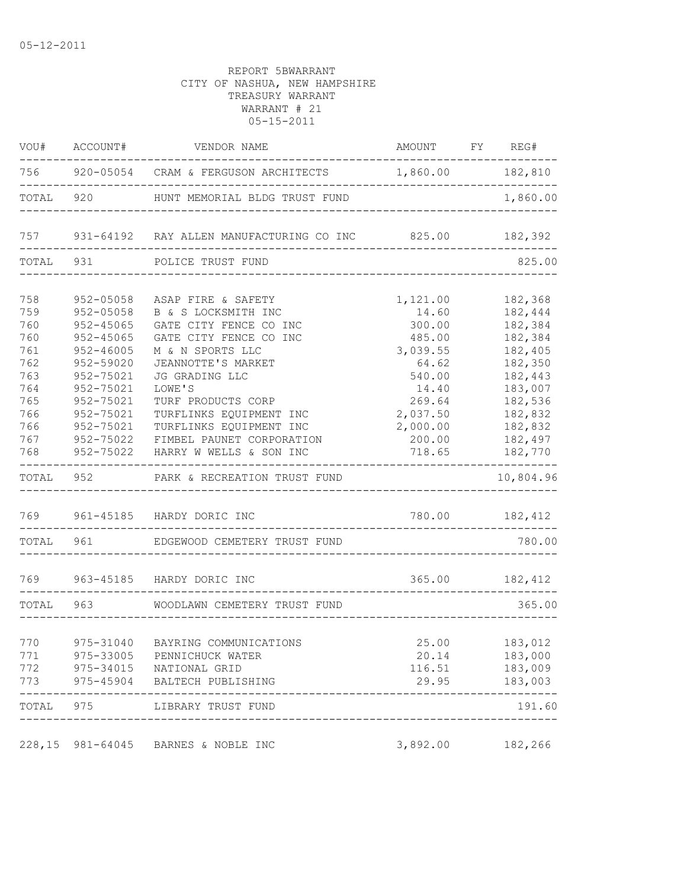|                                               | VOU# ACCOUNT#                                                                           | VENDOR NAME                                                                                                                                                  | AMOUNT FY REG#                                                        |                                                                           |
|-----------------------------------------------|-----------------------------------------------------------------------------------------|--------------------------------------------------------------------------------------------------------------------------------------------------------------|-----------------------------------------------------------------------|---------------------------------------------------------------------------|
|                                               |                                                                                         | 756 920-05054 CRAM & FERGUSON ARCHITECTS 1,860.00 182,810                                                                                                    |                                                                       |                                                                           |
| TOTAL 920                                     |                                                                                         | HUNT MEMORIAL BLDG TRUST FUND                                                                                                                                |                                                                       | 1,860.00                                                                  |
|                                               |                                                                                         | 757 931-64192 RAY ALLEN MANUFACTURING CO INC 825.00 182,392                                                                                                  |                                                                       |                                                                           |
| TOTAL 931                                     |                                                                                         | POLICE TRUST FUND                                                                                                                                            |                                                                       | 825.00                                                                    |
| 758<br>759<br>760<br>760<br>761<br>762        | 952-05058<br>952-05058<br>$952 - 45065$<br>$952 - 45065$<br>$952 - 46005$<br>952-59020  | ASAP FIRE & SAFETY<br>B & S LOCKSMITH INC<br>GATE CITY FENCE CO INC<br>GATE CITY FENCE CO INC<br>M & N SPORTS LLC<br>JEANNOTTE'S MARKET                      | 1,121.00<br>14.60<br>300.00<br>485.00<br>3,039.55<br>64.62            | 182,368<br>182,444<br>182,384<br>182,384<br>182,405<br>182,350            |
| 763<br>764<br>765<br>766<br>766<br>767<br>768 | 952-75021<br>952-75021<br>952-75021<br>952-75021<br>952-75021<br>952-75022<br>952-75022 | JG GRADING LLC<br>LOWE'S<br>TURF PRODUCTS CORP<br>TURFLINKS EQUIPMENT INC<br>TURFLINKS EQUIPMENT INC<br>FIMBEL PAUNET CORPORATION<br>HARRY W WELLS & SON INC | 540.00<br>14.40<br>269.64<br>2,037.50<br>2,000.00<br>200.00<br>718.65 | 182,443<br>183,007<br>182,536<br>182,832<br>182,832<br>182,497<br>182,770 |
|                                               |                                                                                         | TOTAL 952 PARK & RECREATION TRUST FUND                                                                                                                       |                                                                       | 10,804.96                                                                 |
|                                               |                                                                                         | 769 961-45185 HARDY DORIC INC                                                                                                                                | 780.00 182,412                                                        |                                                                           |
| TOTAL 961                                     |                                                                                         | EDGEWOOD CEMETERY TRUST FUND                                                                                                                                 |                                                                       | 780.00                                                                    |
|                                               |                                                                                         | 769 963-45185 HARDY DORIC INC                                                                                                                                | --------------------------                                            | 365.00 182,412                                                            |
| TOTAL 963                                     |                                                                                         | WOODLAWN CEMETERY TRUST FUND                                                                                                                                 |                                                                       | 365.00                                                                    |
| 770<br>771<br>772<br>773                      |                                                                                         | 975-31040 BAYRING COMMUNICATIONS<br>975-33005 PENNICHUCK WATER<br>975-34015 NATIONAL GRID<br>975-45904 BALTECH PUBLISHING                                    | 20.14<br>116.51<br>29.95                                              | 25.00 183,012<br>183,000<br>183,009<br>183,003                            |
| TOTAL 975                                     |                                                                                         | LIBRARY TRUST FUND                                                                                                                                           |                                                                       | 191.60                                                                    |
|                                               |                                                                                         | 228,15 981-64045 BARNES & NOBLE INC                                                                                                                          | 3,892.00                                                              | 182,266                                                                   |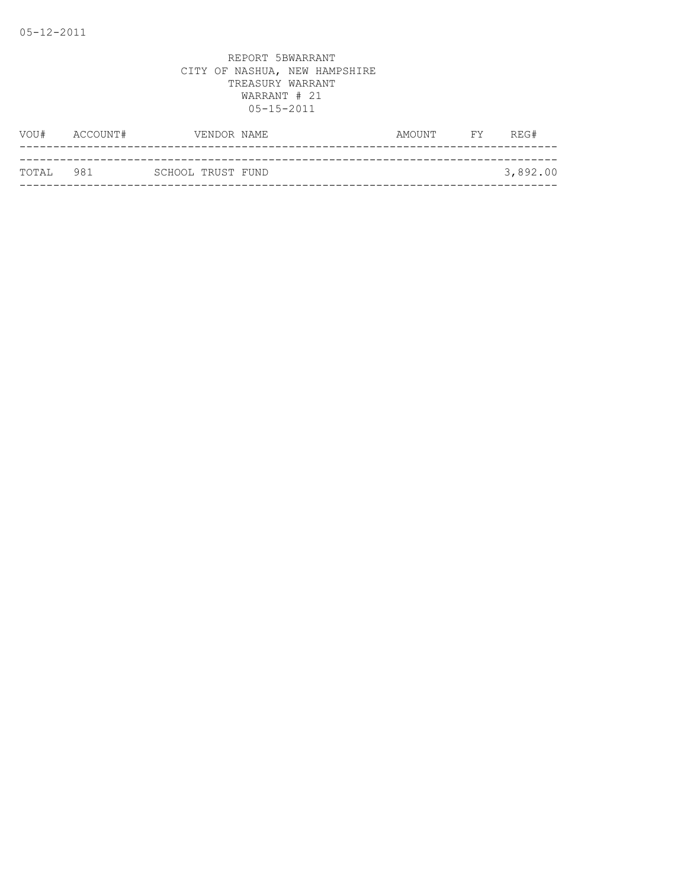| VOU#      | ACCOUNT# |                   | VENDOR NAME | AMOUNT | <b>FY</b> | REG#     |
|-----------|----------|-------------------|-------------|--------|-----------|----------|
|           |          |                   |             |        |           |          |
| TOTAL 981 |          | SCHOOL TRUST FUND |             |        |           | 3,892.00 |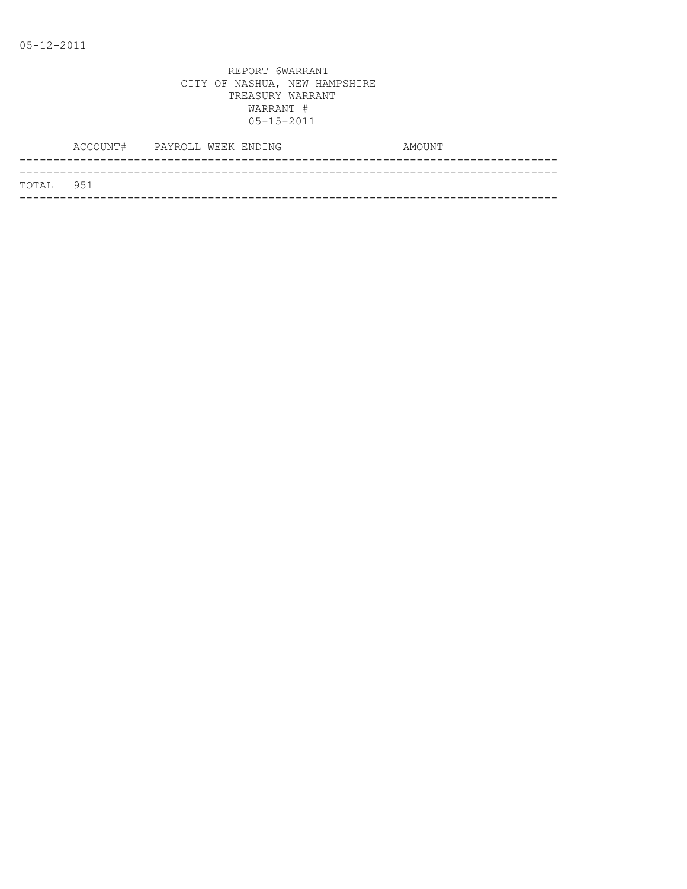|           | ACCOUNT# PAYROLL WEEK ENDING |  | AMOUNT |
|-----------|------------------------------|--|--------|
|           |                              |  |        |
| TOTAL 951 |                              |  |        |
|           |                              |  |        |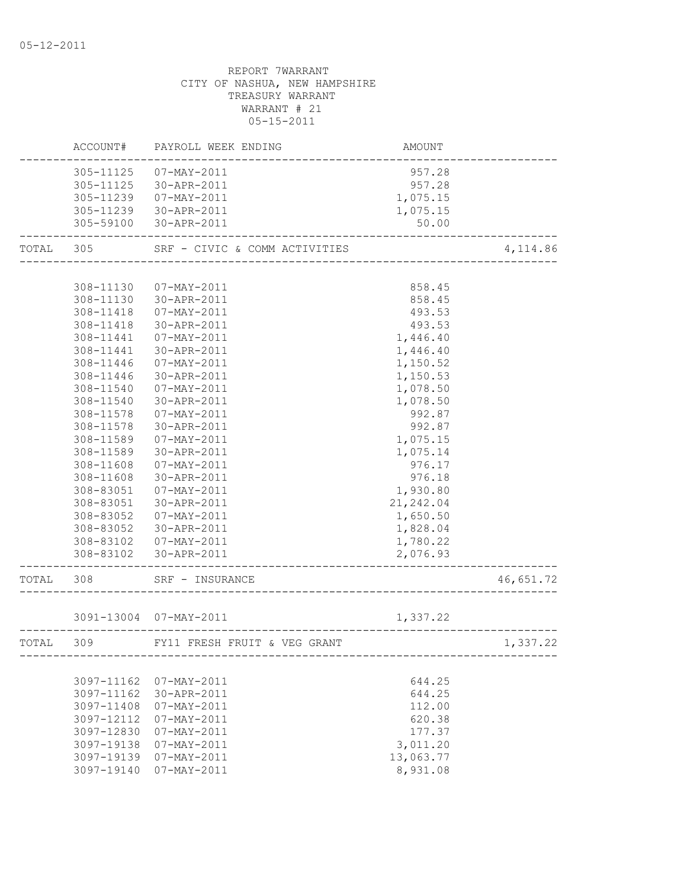|           |            | ACCOUNT# PAYROLL WEEK ENDING  | AMOUNT     |           |
|-----------|------------|-------------------------------|------------|-----------|
|           |            | 305-11125  07-MAY-2011        | 957.28     |           |
|           |            | 305-11125 30-APR-2011         | 957.28     |           |
|           |            | 305-11239  07-MAY-2011        | 1,075.15   |           |
|           |            | 305-11239 30-APR-2011         | 1,075.15   |           |
|           |            | 305-59100 30-APR-2011         | 50.00      |           |
| TOTAL 305 |            | SRF - CIVIC & COMM ACTIVITIES |            | 4, 114.86 |
|           |            |                               |            |           |
|           | 308-11130  | $07 - \text{MAX} - 2011$      | 858.45     |           |
|           |            | 308-11130 30-APR-2011         | 858.45     |           |
|           |            | 308-11418  07-MAY-2011        | 493.53     |           |
|           |            | 308-11418 30-APR-2011         | 493.53     |           |
|           | 308-11441  | 07-MAY-2011                   | 1,446.40   |           |
|           | 308-11441  | 30-APR-2011                   | 1,446.40   |           |
|           | 308-11446  | 07-MAY-2011                   | 1,150.52   |           |
|           | 308-11446  | 30-APR-2011                   | 1,150.53   |           |
|           | 308-11540  | 07-MAY-2011                   | 1,078.50   |           |
|           | 308-11540  | 30-APR-2011                   | 1,078.50   |           |
|           | 308-11578  | 07-MAY-2011                   | 992.87     |           |
|           | 308-11578  | 30-APR-2011                   | 992.87     |           |
|           | 308-11589  | 07-MAY-2011                   | 1,075.15   |           |
|           | 308-11589  | 30-APR-2011                   | 1,075.14   |           |
|           | 308-11608  | 07-MAY-2011                   | 976.17     |           |
|           | 308-11608  | 30-APR-2011                   | 976.18     |           |
|           | 308-83051  | 07-MAY-2011                   | 1,930.80   |           |
|           | 308-83051  | 30-APR-2011                   | 21, 242.04 |           |
|           | 308-83052  | 07-MAY-2011                   | 1,650.50   |           |
|           | 308-83052  | 30-APR-2011                   | 1,828.04   |           |
|           |            | 308-83102  07-MAY-2011        | 1,780.22   |           |
|           |            | 308-83102 30-APR-2011         | 2,076.93   |           |
|           |            |                               |            |           |
| TOTAL 308 |            | SRF - INSURANCE               |            | 46,651.72 |
|           |            |                               |            |           |
|           |            | 3091-13004 07-MAY-2011        | 1,337.22   |           |
| TOTAL 309 |            | FY11 FRESH FRUIT & VEG GRANT  |            | 1,337.22  |
|           |            |                               |            |           |
|           | 3097-11162 | 07-MAY-2011                   | 644.25     |           |
|           | 3097-11162 | 30-APR-2011                   | 644.25     |           |
|           | 3097-11408 | $07 - MAX - 2011$             | 112.00     |           |
|           | 3097-12112 | $07 - MAX - 2011$             | 620.38     |           |
|           | 3097-12830 | $07 - MAX - 2011$             | 177.37     |           |
|           | 3097-19138 | 07-MAY-2011                   | 3,011.20   |           |
|           | 3097-19139 | 07-MAY-2011                   | 13,063.77  |           |
|           | 3097-19140 | $07 - MAX - 2011$             | 8,931.08   |           |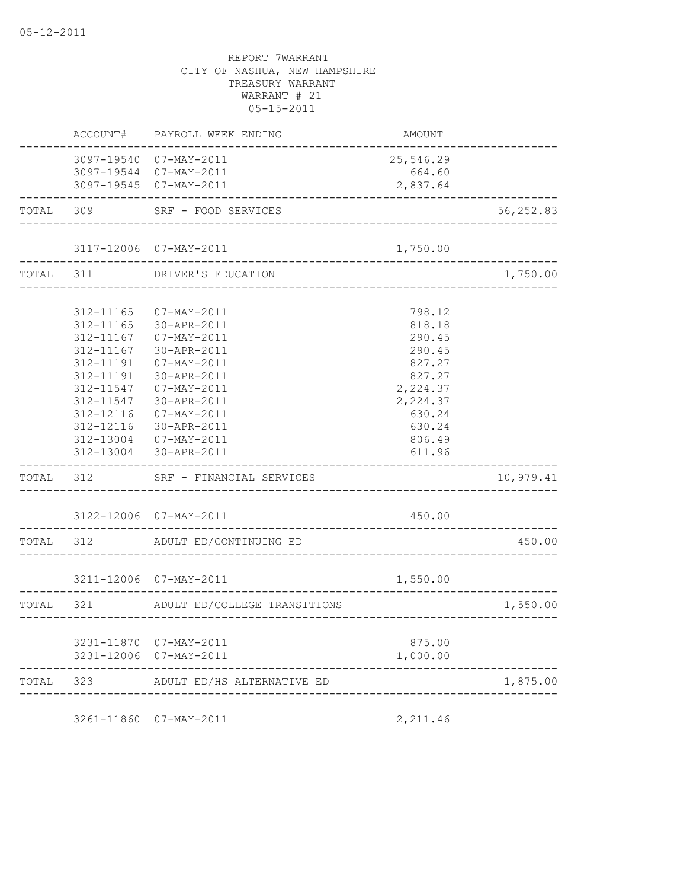|           | ACCOUNT#                                                                                                                                    | PAYROLL WEEK ENDING                                                                                                                                                                              | AMOUNT                                                                                                                   |              |
|-----------|---------------------------------------------------------------------------------------------------------------------------------------------|--------------------------------------------------------------------------------------------------------------------------------------------------------------------------------------------------|--------------------------------------------------------------------------------------------------------------------------|--------------|
|           |                                                                                                                                             | 3097-19540 07-MAY-2011<br>3097-19544 07-MAY-2011<br>3097-19545 07-MAY-2011                                                                                                                       | 25,546.29<br>664.60<br>2,837.64                                                                                          |              |
|           | TOTAL 309                                                                                                                                   | SRF - FOOD SERVICES                                                                                                                                                                              | ---------------------------------                                                                                        | 56,252.83    |
|           |                                                                                                                                             | 3117-12006 07-MAY-2011<br>---------------------                                                                                                                                                  | 1,750.00                                                                                                                 |              |
|           | TOTAL 311                                                                                                                                   | DRIVER'S EDUCATION<br>____________________                                                                                                                                                       |                                                                                                                          | 1,750.00     |
|           | 312-11165<br>312-11165<br>312-11167<br>312-11167<br>312-11191<br>312-11191<br>312-11547<br>312-11547<br>312-12116<br>312-12116<br>312-13004 | 07-MAY-2011<br>30-APR-2011<br>07-MAY-2011<br>30-APR-2011<br>07-MAY-2011<br>30-APR-2011<br>$07 - MAX - 2011$<br>30-APR-2011<br>07-MAY-2011<br>30-APR-2011<br>07-MAY-2011<br>312-13004 30-APR-2011 | 798.12<br>818.18<br>290.45<br>290.45<br>827.27<br>827.27<br>2,224.37<br>2,224.37<br>630.24<br>630.24<br>806.49<br>611.96 |              |
| TOTAL     | 312                                                                                                                                         | SRF - FINANCIAL SERVICES                                                                                                                                                                         |                                                                                                                          | 10,979.41    |
|           |                                                                                                                                             | 3122-12006 07-MAY-2011                                                                                                                                                                           | 450.00<br>___________                                                                                                    |              |
| TOTAL 312 |                                                                                                                                             | ADULT ED/CONTINUING ED                                                                                                                                                                           |                                                                                                                          | 450.00       |
|           |                                                                                                                                             | 3211-12006 07-MAY-2011                                                                                                                                                                           | 1,550.00                                                                                                                 |              |
| TOTAL 321 |                                                                                                                                             | -----------------<br>ADULT ED/COLLEGE TRANSITIONS                                                                                                                                                |                                                                                                                          | 1,550.00     |
|           |                                                                                                                                             | 3231-11870 07-MAY-2011<br>3231-12006 07-MAY-2011                                                                                                                                                 | 875.00<br>1,000.00                                                                                                       | ____________ |
|           |                                                                                                                                             | TOTAL 323 ADULT ED/HS ALTERNATIVE ED                                                                                                                                                             |                                                                                                                          | 1,875.00     |
|           |                                                                                                                                             | ____________________                                                                                                                                                                             |                                                                                                                          |              |

3261-11860 07-MAY-2011 2,211.46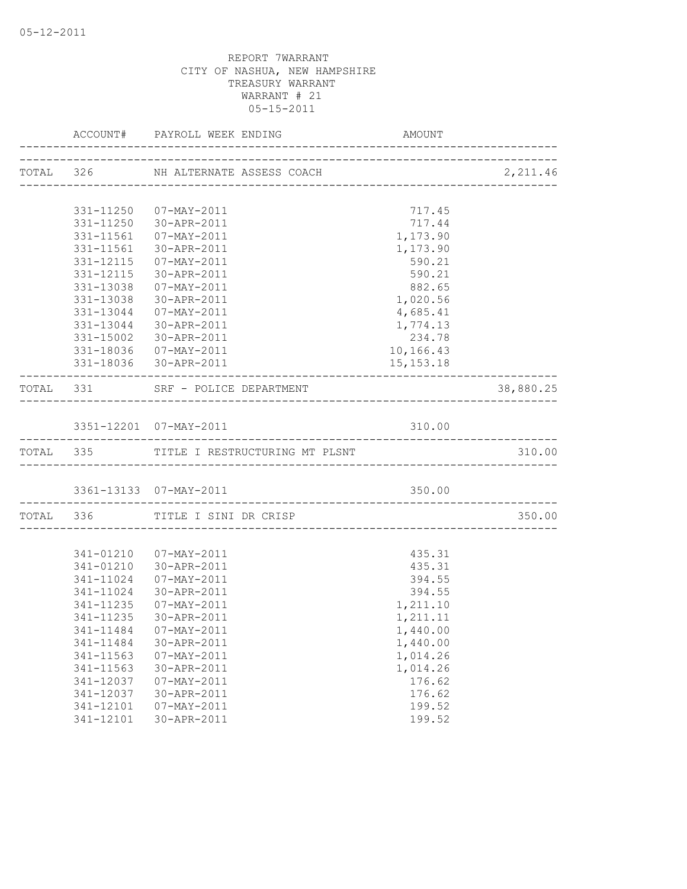|           |                                          | AMOUNT      |           |
|-----------|------------------------------------------|-------------|-----------|
|           | TOTAL 326 NH ALTERNATE ASSESS COACH      |             |           |
|           |                                          |             |           |
|           | 331-11250 07-MAY-2011                    | 717.45      |           |
|           | 331-11250 30-APR-2011                    | 717.44      |           |
|           | 331-11561  07-MAY-2011                   | 1,173.90    |           |
| 331-11561 | 30-APR-2011                              | 1,173.90    |           |
|           | 331-12115  07-MAY-2011                   | 590.21      |           |
|           | 331-12115 30-APR-2011                    | 590.21      |           |
|           | 331-13038  07-MAY-2011                   | 882.65      |           |
|           | 331-13038 30-APR-2011                    | 1,020.56    |           |
|           | 331-13044 07-MAY-2011                    | 4,685.41    |           |
|           | 331-13044 30-APR-2011                    | 1,774.13    |           |
|           | 331-15002 30-APR-2011                    | 234.78      |           |
|           | 331-18036  07-MAY-2011                   | 10,166.43   |           |
|           | 331-18036 30-APR-2011                    | 15, 153. 18 |           |
|           | TOTAL 331 SRF - POLICE DEPARTMENT        |             | 38,880.25 |
|           |                                          |             |           |
|           | 3351-12201 07-MAY-2011                   | 310.00      |           |
|           | TOTAL 335 TITLE I RESTRUCTURING MT PLSNT |             | 310.00    |
|           |                                          |             |           |
|           |                                          |             |           |
|           | TOTAL 336 TITLE I SINI DR CRISP          |             | 350.00    |
|           |                                          |             |           |
|           | 341-01210  07-MAY-2011                   | 435.31      |           |
|           | 341-01210 30-APR-2011                    | 435.31      |           |
|           | 341-11024  07-MAY-2011                   | 394.55      |           |
| 341-11024 | 30-APR-2011                              | 394.55      |           |
|           | 341-11235  07-MAY-2011                   | 1,211.10    |           |
| 341-11235 | 30-APR-2011                              | 1,211.11    |           |
|           | 341-11484  07-MAY-2011                   | 1,440.00    |           |
| 341-11484 | 30-APR-2011                              | 1,440.00    |           |
| 341-11563 | $07 - MAX - 2011$                        | 1,014.26    |           |
| 341-11563 | 30-APR-2011                              | 1,014.26    |           |
| 341-12037 | $07 - MAX - 2011$                        | 176.62      |           |
| 341-12037 | 30-APR-2011                              | 176.62      |           |
| 341-12101 | $07 - MAX - 2011$                        | 199.52      |           |
| 341-12101 | 30-APR-2011                              | 199.52      |           |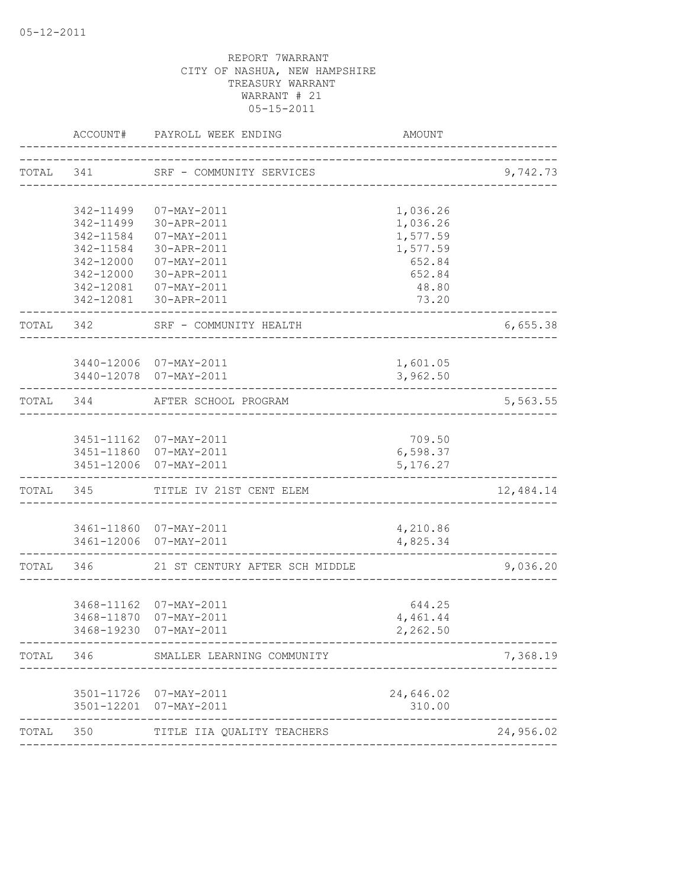|           |           | ACCOUNT# PAYROLL WEEK ENDING                       | AMOUNT               |           |
|-----------|-----------|----------------------------------------------------|----------------------|-----------|
|           |           | TOTAL 341 SRF - COMMUNITY SERVICES                 |                      | 9,742.73  |
|           | 342-11499 | 07-MAY-2011                                        | 1,036.26             |           |
|           | 342-11499 | 30-APR-2011                                        | 1,036.26             |           |
|           | 342-11584 | 07-MAY-2011                                        | 1,577.59             |           |
|           | 342-11584 | 30-APR-2011                                        | 1,577.59             |           |
|           |           | 342-12000 07-MAY-2011                              | 652.84               |           |
|           |           | 342-12000 30-APR-2011                              | 652.84               |           |
|           |           | 342-12081  07-MAY-2011                             | 48.80                |           |
|           |           | 342-12081 30-APR-2011                              | 73.20                |           |
|           | TOTAL 342 | SRF - COMMUNITY HEALTH                             |                      | 6,655.38  |
|           |           |                                                    |                      |           |
|           |           | 3440-12006 07-MAY-2011<br>3440-12078 07-MAY-2011   | 1,601.05<br>3,962.50 |           |
|           |           |                                                    |                      |           |
|           |           | TOTAL 344 AFTER SCHOOL PROGRAM                     |                      | 5,563.55  |
|           |           |                                                    |                      |           |
|           |           | 3451-11162 07-MAY-2011                             | 709.50               |           |
|           |           | 3451-11860 07-MAY-2011                             | 6,598.37             |           |
|           |           | 3451-12006 07-MAY-2011                             | 5, 176.27            |           |
|           |           | TOTAL 345 TITLE IV 21ST CENT ELEM                  |                      | 12,484.14 |
|           |           |                                                    |                      |           |
|           |           | 3461-11860 07-MAY-2011                             | 4,210.86             |           |
|           |           | 3461-12006 07-MAY-2011                             | 4,825.34             |           |
| TOTAL 346 |           | 21 ST CENTURY AFTER SCH MIDDLE                     |                      | 9,036.20  |
|           |           |                                                    |                      |           |
|           |           | 3468-11162 07-MAY-2011                             | 644.25               |           |
|           |           | 3468-11870 07-MAY-2011                             | 4,461.44             |           |
|           |           | 3468-19230 07-MAY-2011                             | 2,262.50             |           |
| TOTAL     | 346       | SMALLER LEARNING COMMUNITY                         |                      | 7,368.19  |
|           |           |                                                    |                      |           |
|           |           | 3501-11726 07-MAY-2011<br>3501-12201 07-MAY-2011   | 24,646.02<br>310.00  |           |
| TOTAL     | 350       | ____________________<br>TITLE IIA QUALITY TEACHERS |                      | 24,956.02 |
|           |           |                                                    |                      |           |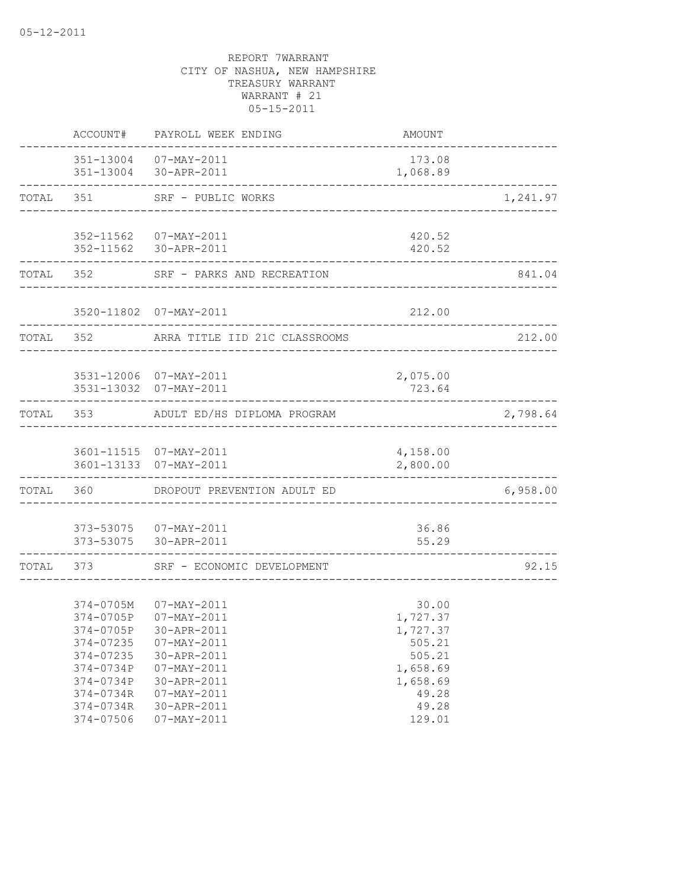|           | ACCOUNT#                                                                                                                       | PAYROLL WEEK ENDING                                                                                                                                                  | AMOUNT                                                                                                |          |
|-----------|--------------------------------------------------------------------------------------------------------------------------------|----------------------------------------------------------------------------------------------------------------------------------------------------------------------|-------------------------------------------------------------------------------------------------------|----------|
|           |                                                                                                                                | 351-13004 07-MAY-2011<br>351-13004 30-APR-2011                                                                                                                       | 173.08<br>1,068.89                                                                                    |          |
|           |                                                                                                                                | TOTAL 351 SRF - PUBLIC WORKS                                                                                                                                         |                                                                                                       | 1,241.97 |
|           |                                                                                                                                | 352-11562 07-MAY-2011<br>352-11562 30-APR-2011                                                                                                                       | 420.52<br>420.52                                                                                      |          |
|           |                                                                                                                                | TOTAL 352 SRF - PARKS AND RECREATION                                                                                                                                 |                                                                                                       | 841.04   |
|           |                                                                                                                                | 3520-11802 07-MAY-2011                                                                                                                                               | 212.00                                                                                                |          |
| TOTAL 352 |                                                                                                                                | ARRA TITLE IID 21C CLASSROOMS                                                                                                                                        |                                                                                                       | 212.00   |
|           |                                                                                                                                | 3531-12006 07-MAY-2011<br>3531-13032 07-MAY-2011                                                                                                                     | 2,075.00<br>723.64                                                                                    |          |
|           |                                                                                                                                | TOTAL 353 ADULT ED/HS DIPLOMA PROGRAM                                                                                                                                |                                                                                                       | 2,798.64 |
|           |                                                                                                                                | 3601-11515  07-MAY-2011<br>3601-13133 07-MAY-2011                                                                                                                    | 4,158.00<br>2,800.00                                                                                  |          |
|           | TOTAL 360                                                                                                                      | DROPOUT PREVENTION ADULT ED                                                                                                                                          |                                                                                                       | 6,958.00 |
|           |                                                                                                                                | 373-53075  07-MAY-2011<br>373-53075 30-APR-2011                                                                                                                      | 36.86<br>55.29                                                                                        |          |
| TOTAL 373 |                                                                                                                                | SRF - ECONOMIC DEVELOPMENT                                                                                                                                           |                                                                                                       | 92.15    |
|           | 374-0705M<br>374-0705P<br>374-0705P<br>374-07235<br>374-07235<br>374-0734P<br>374-0734P<br>374-0734R<br>374-0734R<br>374-07506 | 07-MAY-2011<br>07-MAY-2011<br>30-APR-2011<br>07-MAY-2011<br>30-APR-2011<br>$07 - MAX - 2011$<br>30-APR-2011<br>$07 - MAY - 2011$<br>30-APR-2011<br>$07 - MAX - 2011$ | 30.00<br>1,727.37<br>1,727.37<br>505.21<br>505.21<br>1,658.69<br>1,658.69<br>49.28<br>49.28<br>129.01 |          |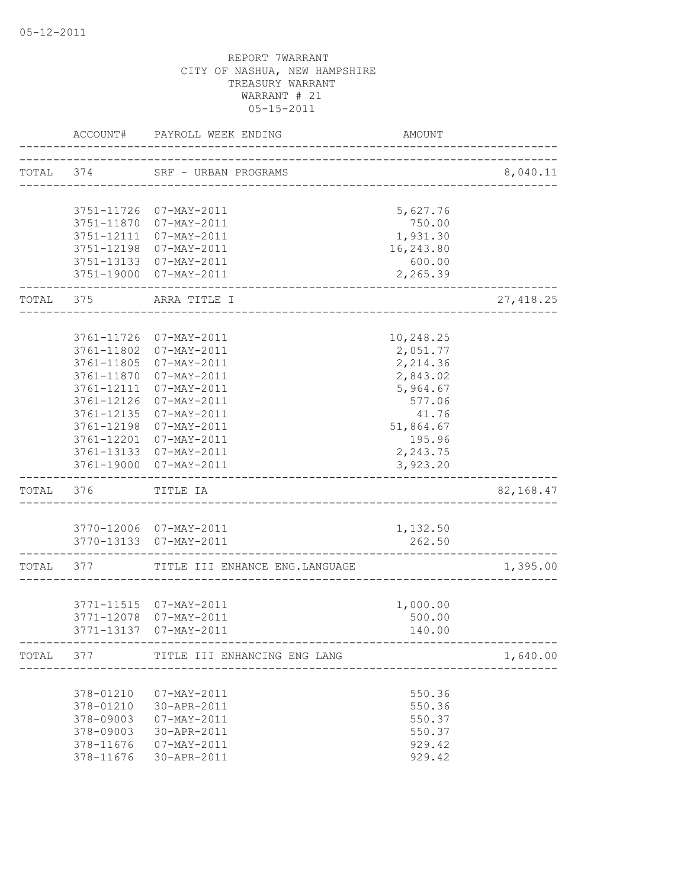|           | ACCOUNT#                 | PAYROLL WEEK ENDING                   | AMOUNT                              |            |
|-----------|--------------------------|---------------------------------------|-------------------------------------|------------|
| TOTAL 374 |                          | SRF - URBAN PROGRAMS                  | ___________________________________ | 8,040.11   |
|           |                          |                                       |                                     |            |
|           |                          | 3751-11726 07-MAY-2011                | 5,627.76                            |            |
|           |                          | 3751-11870 07-MAY-2011                | 750.00                              |            |
|           |                          | 3751-12111 07-MAY-2011                | 1,931.30<br>16,243.80               |            |
|           | 3751-12198               | 07-MAY-2011<br>3751-13133 07-MAY-2011 | 600.00                              |            |
|           |                          | 3751-19000 07-MAY-2011                | 2,265.39                            |            |
| TOTAL 375 |                          | ARRA TITLE I                          |                                     | 27, 418.25 |
|           |                          |                                       |                                     |            |
|           | 3761-11726               | 07-MAY-2011                           | 10,248.25                           |            |
|           | 3761-11802               | 07-MAY-2011                           | 2,051.77                            |            |
|           | 3761-11805               | 07-MAY-2011                           | 2,214.36                            |            |
|           | 3761-11870               | 07-MAY-2011                           | 2,843.02                            |            |
|           | 3761-12111               | 07-MAY-2011                           | 5,964.67                            |            |
|           | 3761-12126               | $07 - MAX - 2011$                     | 577.06                              |            |
|           | 3761-12135               | 07-MAY-2011<br>07-MAY-2011            | 41.76                               |            |
|           | 3761-12198               | 3761-12201 07-MAY-2011                | 51,864.67<br>195.96                 |            |
|           |                          | 3761-13133 07-MAY-2011                | 2,243.75                            |            |
|           | 3761-19000               | 07-MAY-2011                           | 3,923.20                            |            |
| TOTAL 376 |                          | TITLE IA                              |                                     | 82,168.47  |
|           |                          |                                       |                                     |            |
|           |                          | 3770-12006 07-MAY-2011                | 1,132.50                            |            |
|           |                          | 3770-13133  07-MAY-2011               | 262.50                              |            |
| TOTAL 377 |                          | TITLE III ENHANCE ENG.LANGUAGE        |                                     | 1,395.00   |
|           |                          |                                       |                                     |            |
|           |                          | 3771-11515  07-MAY-2011               | 1,000.00                            |            |
|           | 3771-12078<br>3771-13137 | 07-MAY-2011<br>07-MAY-2011            | 500.00<br>140.00                    |            |
| TOTAL 377 |                          | TITLE III ENHANCING ENG LANG          |                                     | 1,640.00   |
|           |                          |                                       |                                     |            |
|           | 378-01210                | $07 - MAX - 2011$                     | 550.36                              |            |
|           | 378-01210                | 30-APR-2011                           | 550.36                              |            |
|           | 378-09003                | 07-MAY-2011                           | 550.37                              |            |
|           | 378-09003                | 30-APR-2011                           | 550.37                              |            |
|           | 378-11676                | 07-MAY-2011                           | 929.42                              |            |
|           | 378-11676                | 30-APR-2011                           | 929.42                              |            |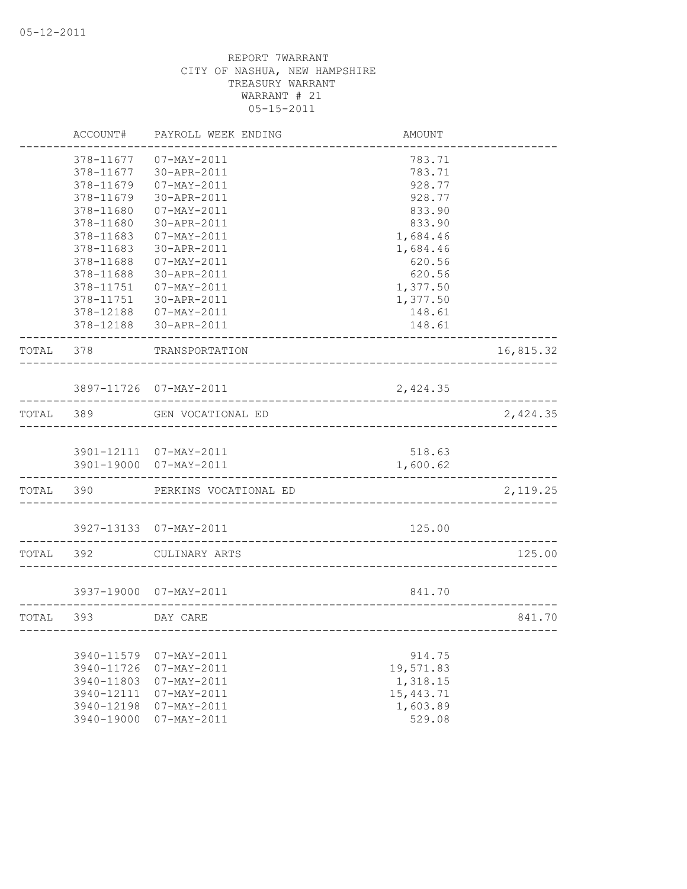|           | ACCOUNT#                 | PAYROLL WEEK ENDING                     | <b>AMOUNT</b> |           |
|-----------|--------------------------|-----------------------------------------|---------------|-----------|
|           | 378-11677                | $07 - MAX - 2011$                       | 783.71        |           |
|           | 378-11677                | 30-APR-2011                             | 783.71        |           |
|           | 378-11679                | $07 - MAX - 2011$                       | 928.77        |           |
|           | 378-11679                | 30-APR-2011                             | 928.77        |           |
|           | 378-11680                | $07 - MAX - 2011$                       | 833.90        |           |
|           | 378-11680                | 30-APR-2011                             | 833.90        |           |
|           | 378-11683                | $07 - MAX - 2011$                       | 1,684.46      |           |
|           | 378-11683                | 30-APR-2011                             | 1,684.46      |           |
|           | 378-11688                | 07-MAY-2011                             | 620.56        |           |
|           | 378-11688                | 30-APR-2011                             | 620.56        |           |
|           | 378-11751                | 07-MAY-2011                             | 1,377.50      |           |
|           | 378-11751                | 30-APR-2011                             | 1,377.50      |           |
|           | 378-12188                | 07-MAY-2011                             | 148.61        |           |
|           | 378-12188                | 30-APR-2011                             | 148.61        |           |
| TOTAL     | 378                      | TRANSPORTATION                          |               | 16,815.32 |
|           |                          |                                         |               |           |
|           |                          | 3897-11726 07-MAY-2011                  | 2,424.35      |           |
| TOTAL 389 |                          | GEN VOCATIONAL ED                       |               | 2,424.35  |
|           |                          |                                         |               |           |
|           |                          | 3901-12111 07-MAY-2011                  | 518.63        |           |
|           |                          | 3901-19000 07-MAY-2011                  | 1,600.62      |           |
| TOTAL 390 |                          | PERKINS VOCATIONAL ED                   |               | 2,119.25  |
|           |                          | 3927-13133 07-MAY-2011                  | 125.00        |           |
|           |                          |                                         |               |           |
| TOTAL     | 392                      | CULINARY ARTS                           |               | 125.00    |
|           |                          | 3937-19000 07-MAY-2011                  | 841.70        |           |
|           |                          |                                         |               |           |
| TOTAL 393 |                          | DAY CARE                                |               | 841.70    |
|           |                          |                                         |               |           |
|           | 3940-11579               | $07 - MAX - 2011$                       | 914.75        |           |
|           | 3940-11726               | $07 - MAX - 2011$                       | 19,571.83     |           |
|           | 3940-11803               | $07 - MAX - 2011$                       | 1,318.15      |           |
|           | 3940-12111<br>3940-12198 | 07-MAY-2011<br>$07 - \text{MAX} - 2011$ | 15, 443.71    |           |
|           |                          |                                         | 1,603.89      |           |
|           | 3940-19000               | $07 - MAX - 2011$                       | 529.08        |           |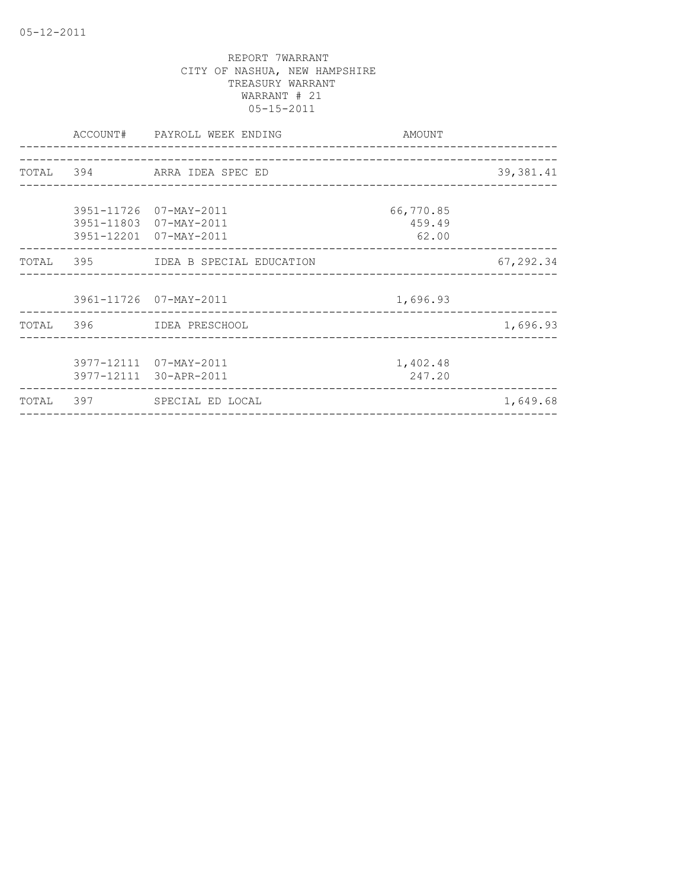|  | ACCOUNT# PAYROLL WEEK ENDING<br>_______________________ | AMOUNT    |            |
|--|---------------------------------------------------------|-----------|------------|
|  |                                                         |           |            |
|  | TOTAL 394 ARRA IDEA SPEC ED                             |           | 39, 381.41 |
|  |                                                         |           |            |
|  | 3951-11726 07-MAY-2011                                  | 66,770.85 |            |
|  | 3951-11803 07-MAY-2011                                  | 459.49    |            |
|  | 3951-12201 07-MAY-2011                                  | 62.00     |            |
|  | TOTAL 395 IDEA B SPECIAL EDUCATION                      |           | 67,292.34  |
|  |                                                         |           |            |
|  | 3961-11726 07-MAY-2011                                  | 1,696.93  |            |
|  | TOTAL 396 IDEA PRESCHOOL                                |           | 1,696.93   |
|  |                                                         |           |            |
|  | 3977-12111 07-MAY-2011                                  | 1,402.48  |            |
|  | 3977-12111 30-APR-2011                                  | 247.20    |            |
|  | TOTAL 397 SPECIAL ED LOCAL                              |           | 1,649.68   |
|  |                                                         |           |            |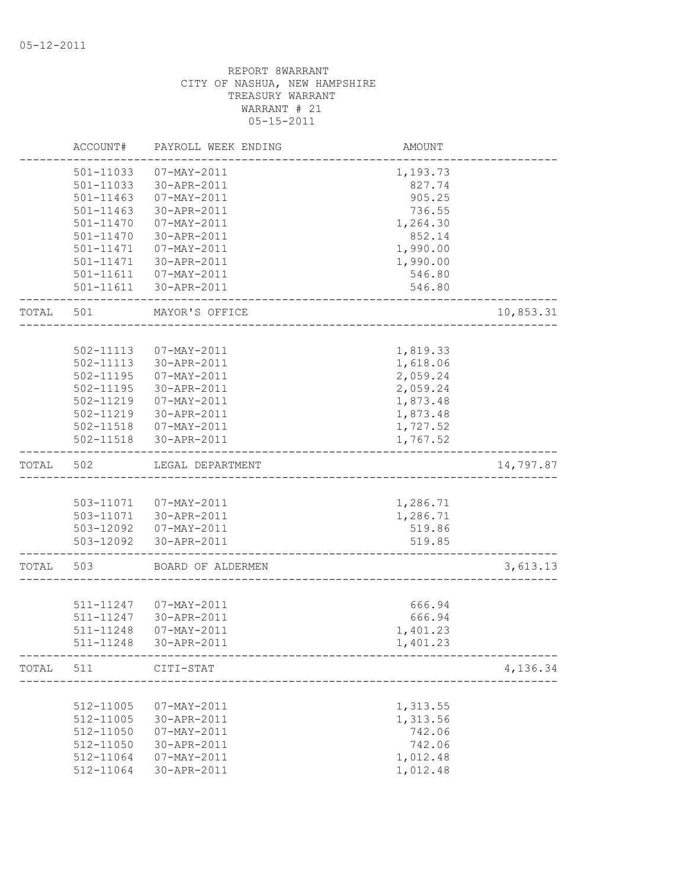|       | ACCOUNT#      | PAYROLL WEEK ENDING    | AMOUNT   |           |
|-------|---------------|------------------------|----------|-----------|
|       | 501-11033     | 07-MAY-2011            | 1,193.73 |           |
|       | 501-11033     | 30-APR-2011            | 827.74   |           |
|       | 501-11463     | 07-MAY-2011            | 905.25   |           |
|       | $501 - 11463$ | 30-APR-2011            | 736.55   |           |
|       | 501-11470     | 07-MAY-2011            | 1,264.30 |           |
|       | 501-11470     | 30-APR-2011            | 852.14   |           |
|       | 501-11471     | 07-MAY-2011            | 1,990.00 |           |
|       | 501-11471     | 30-APR-2011            | 1,990.00 |           |
|       |               | 501-11611  07-MAY-2011 | 546.80   |           |
|       | 501-11611     | 30-APR-2011            | 546.80   |           |
| TOTAL | 501           | MAYOR'S OFFICE         |          | 10,853.31 |
|       |               |                        |          |           |
|       | 502-11113     | 07-MAY-2011            | 1,819.33 |           |
|       | 502-11113     | 30-APR-2011            | 1,618.06 |           |
|       | 502-11195     | 07-MAY-2011            | 2,059.24 |           |
|       | 502-11195     | 30-APR-2011            | 2,059.24 |           |
|       | 502-11219     | 07-MAY-2011            | 1,873.48 |           |
|       |               | 502-11219 30-APR-2011  | 1,873.48 |           |
|       |               | 502-11518  07-MAY-2011 | 1,727.52 |           |
|       | 502-11518     | 30-APR-2011            | 1,767.52 |           |
| TOTAL | 502           | LEGAL DEPARTMENT       |          | 14,797.87 |
|       |               |                        |          |           |
|       |               | 503-11071  07-MAY-2011 | 1,286.71 |           |
|       |               | 503-11071 30-APR-2011  | 1,286.71 |           |
|       |               | 503-12092  07-MAY-2011 | 519.86   |           |
|       |               | 503-12092 30-APR-2011  | 519.85   |           |
| TOTAL | 503           | BOARD OF ALDERMEN      |          | 3,613.13  |
|       |               |                        |          |           |
|       | 511-11247     | 07-MAY-2011            | 666.94   |           |
|       | 511-11247     | 30-APR-2011            | 666.94   |           |
|       | 511-11248     | 07-MAY-2011            | 1,401.23 |           |
|       | 511-11248     | 30-APR-2011            | 1,401.23 |           |
| TOTAL | 511           | CITI-STAT              |          | 4,136.34  |
|       |               |                        |          |           |
|       | 512-11005     | 07-MAY-2011            | 1,313.55 |           |
|       | 512-11005     | 30-APR-2011            | 1,313.56 |           |
|       | 512-11050     | 07-MAY-2011            | 742.06   |           |
|       | 512-11050     | 30-APR-2011            | 742.06   |           |
|       | 512-11064     | $07 - MAY - 2011$      | 1,012.48 |           |
|       | 512-11064     | 30-APR-2011            | 1,012.48 |           |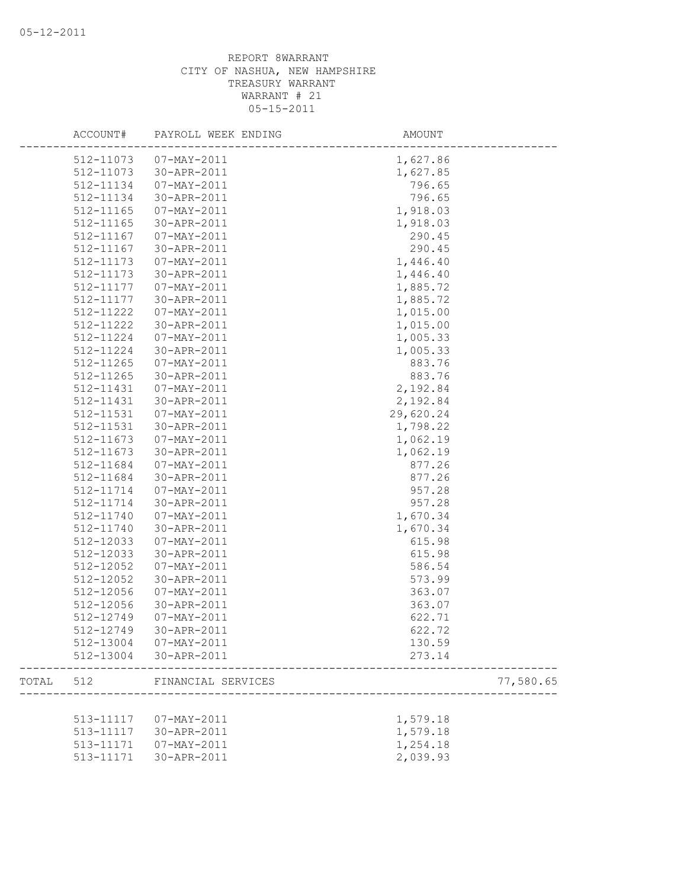|       |           | ACCOUNT# PAYROLL WEEK ENDING | AMOUNT    |           |
|-------|-----------|------------------------------|-----------|-----------|
|       |           | 512-11073  07-MAY-2011       | 1,627.86  |           |
|       | 512-11073 | 30-APR-2011                  | 1,627.85  |           |
|       | 512-11134 | 07-MAY-2011                  | 796.65    |           |
|       | 512-11134 | 30-APR-2011                  | 796.65    |           |
|       | 512-11165 | 07-MAY-2011                  | 1,918.03  |           |
|       | 512-11165 | 30-APR-2011                  | 1,918.03  |           |
|       | 512-11167 | 07-MAY-2011                  | 290.45    |           |
|       | 512-11167 | 30-APR-2011                  | 290.45    |           |
|       | 512-11173 | $07 - MAX - 2011$            | 1,446.40  |           |
|       | 512-11173 | 30-APR-2011                  | 1,446.40  |           |
|       | 512-11177 | 07-MAY-2011                  | 1,885.72  |           |
|       | 512-11177 | 30-APR-2011                  | 1,885.72  |           |
|       | 512-11222 | 07-MAY-2011                  | 1,015.00  |           |
|       | 512-11222 | 30-APR-2011                  | 1,015.00  |           |
|       | 512-11224 | 07-MAY-2011                  | 1,005.33  |           |
|       | 512-11224 | 30-APR-2011                  | 1,005.33  |           |
|       | 512-11265 | 07-MAY-2011                  | 883.76    |           |
|       | 512-11265 | 30-APR-2011                  | 883.76    |           |
|       | 512-11431 | 07-MAY-2011                  | 2,192.84  |           |
|       | 512-11431 | 30-APR-2011                  | 2,192.84  |           |
|       | 512-11531 | 07-MAY-2011                  | 29,620.24 |           |
|       | 512-11531 | 30-APR-2011                  | 1,798.22  |           |
|       | 512-11673 | $07 - MAX - 2011$            | 1,062.19  |           |
|       | 512-11673 | 30-APR-2011                  | 1,062.19  |           |
|       | 512-11684 | 07-MAY-2011                  | 877.26    |           |
|       | 512-11684 | 30-APR-2011                  | 877.26    |           |
|       | 512-11714 | 07-MAY-2011                  | 957.28    |           |
|       | 512-11714 | 30-APR-2011                  | 957.28    |           |
|       | 512-11740 | 07-MAY-2011                  | 1,670.34  |           |
|       | 512-11740 | 30-APR-2011                  | 1,670.34  |           |
|       | 512-12033 | 07-MAY-2011                  | 615.98    |           |
|       | 512-12033 | 30-APR-2011                  | 615.98    |           |
|       | 512-12052 | 07-MAY-2011                  | 586.54    |           |
|       | 512-12052 | 30-APR-2011                  | 573.99    |           |
|       | 512-12056 | 07-MAY-2011                  | 363.07    |           |
|       | 512-12056 | 30-APR-2011                  | 363.07    |           |
|       | 512-12749 | 07-MAY-2011                  | 622.71    |           |
|       | 512-12749 | 30-APR-2011                  | 622.72    |           |
|       |           | 512-13004 07-MAY-2011        | 130.59    |           |
|       |           | 512-13004 30-APR-2011        | 273.14    |           |
| TOTAL | 512       | FINANCIAL SERVICES           |           | 77,580.65 |
|       |           |                              |           |           |
|       | 513-11117 | 07-MAY-2011                  | 1,579.18  |           |
|       | 513-11117 | 30-APR-2011                  | 1,579.18  |           |
|       | 513-11171 | 07-MAY-2011                  | 1,254.18  |           |
|       | 513-11171 | 30-APR-2011                  | 2,039.93  |           |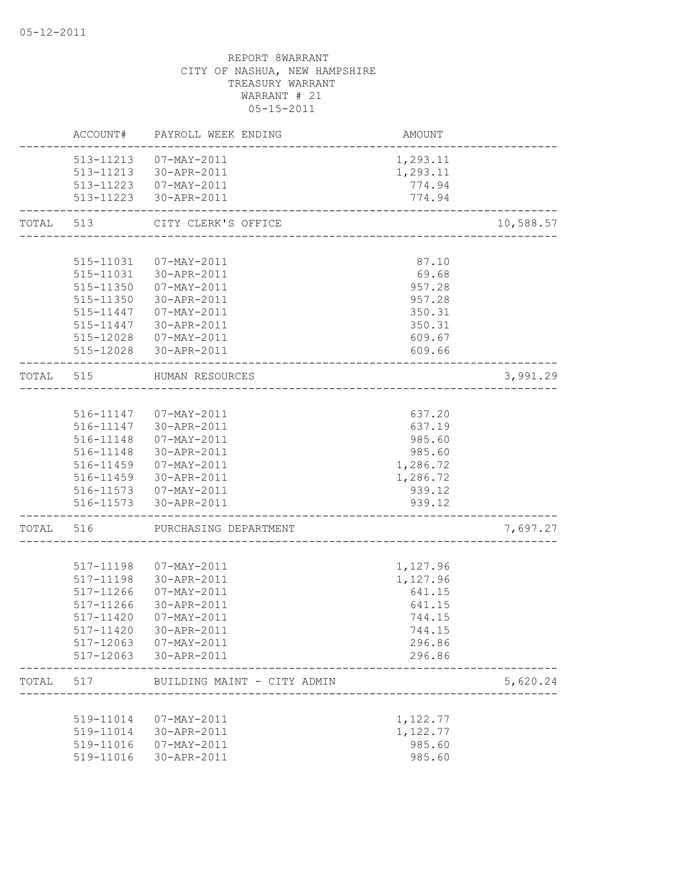|           | ACCOUNT#  | PAYROLL WEEK ENDING                             | AMOUNT           |           |
|-----------|-----------|-------------------------------------------------|------------------|-----------|
|           |           | 513-11213  07-MAY-2011                          | 1,293.11         |           |
|           |           | 513-11213 30-APR-2011                           | 1,293.11         |           |
|           |           | 513-11223  07-MAY-2011                          | 774.94           |           |
|           |           | 513-11223 30-APR-2011                           | 774.94           |           |
| TOTAL     | 513       | CITY CLERK'S OFFICE                             |                  | 10,588.57 |
|           |           |                                                 |                  |           |
|           | 515-11031 | 07-MAY-2011                                     | 87.10            |           |
|           |           | 515-11031 30-APR-2011                           | 69.68            |           |
|           |           | 515-11350 07-MAY-2011                           | 957.28           |           |
|           |           | 515-11350 30-APR-2011                           | 957.28           |           |
|           | 515-11447 | 07-MAY-2011                                     | 350.31           |           |
|           | 515-11447 | 30-APR-2011                                     | 350.31           |           |
|           | 515-12028 | 07-MAY-2011                                     | 609.67           |           |
|           |           | 515-12028 30-APR-2011                           | 609.66           |           |
| TOTAL 515 |           | HUMAN RESOURCES<br>--------------------------   |                  | 3,991.29  |
|           |           |                                                 |                  |           |
|           |           | 516-11147  07-MAY-2011                          | 637.20           |           |
|           |           | 516-11147 30-APR-2011                           | 637.19           |           |
|           | 516-11148 | 07-MAY-2011                                     | 985.60           |           |
|           | 516-11148 | $30 - APR - 2011$                               | 985.60           |           |
|           | 516-11459 | 07-MAY-2011                                     | 1,286.72         |           |
|           | 516-11459 | 30-APR-2011                                     | 1,286.72         |           |
|           |           | 516-11573  07-MAY-2011<br>516-11573 30-APR-2011 | 939.12<br>939.12 |           |
|           |           |                                                 |                  |           |
| TOTAL     | 516       | PURCHASING DEPARTMENT                           |                  | 7,697.27  |
|           |           |                                                 |                  |           |
|           | 517-11198 | 07-MAY-2011                                     | 1,127.96         |           |
|           | 517-11198 | 30-APR-2011                                     | 1,127.96         |           |
|           | 517-11266 | 07-MAY-2011                                     | 641.15           |           |
|           | 517-11266 | 30-APR-2011                                     | 641.15           |           |
|           | 517-11420 | 07-MAY-2011                                     | 744.15           |           |
|           | 517-11420 | 30-APR-2011                                     | 744.15           |           |
|           |           | 517-12063 07-MAY-2011<br>517-12063 30-APR-2011  | 296.86<br>296.86 |           |
| TOTAL     | 517       | BUILDING MAINT - CITY ADMIN                     |                  | 5,620.24  |
|           |           |                                                 |                  |           |
|           | 519-11014 | 07-MAY-2011                                     | 1,122.77         |           |
|           | 519-11014 | 30-APR-2011                                     | 1,122.77         |           |
|           | 519-11016 | $07 - MAY - 2011$                               | 985.60           |           |
|           | 519-11016 | 30-APR-2011                                     | 985.60           |           |
|           |           |                                                 |                  |           |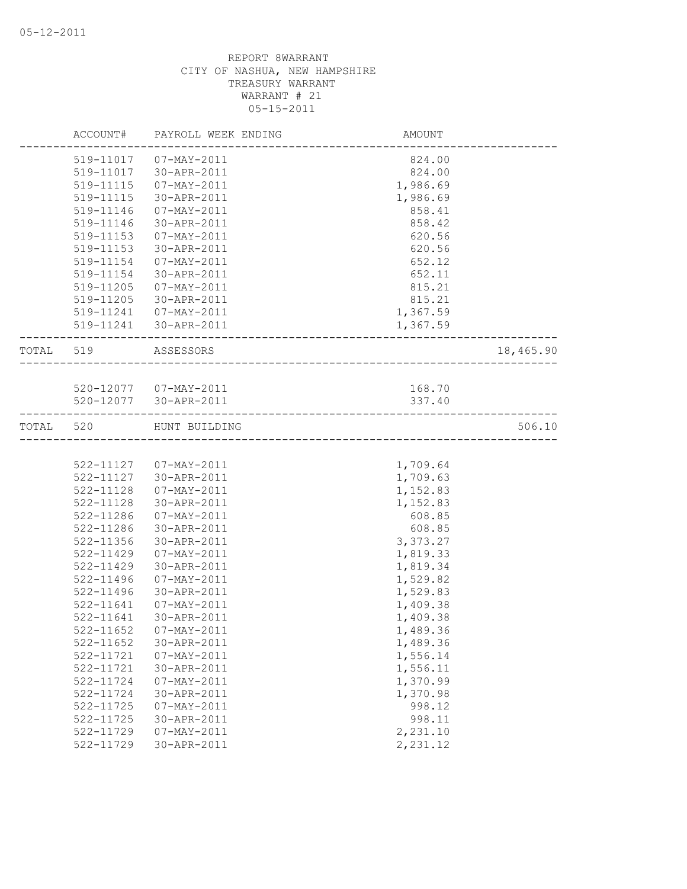|           |           | ACCOUNT# PAYROLL WEEK ENDING | AMOUNT                 |           |
|-----------|-----------|------------------------------|------------------------|-----------|
|           |           | 519-11017  07-MAY-2011       | 824.00                 |           |
|           |           | 519-11017 30-APR-2011        | 824.00                 |           |
|           | 519-11115 | 07-MAY-2011                  | 1,986.69               |           |
|           | 519-11115 | 30-APR-2011                  | 1,986.69               |           |
|           | 519-11146 | 07-MAY-2011                  | 858.41                 |           |
|           | 519-11146 | 30-APR-2011                  | 858.42                 |           |
|           | 519-11153 | 07-MAY-2011                  | 620.56                 |           |
|           | 519-11153 | 30-APR-2011                  | 620.56                 |           |
|           | 519-11154 | 07-MAY-2011                  | 652.12                 |           |
|           | 519-11154 | 30-APR-2011                  | 652.11                 |           |
|           | 519-11205 | 07-MAY-2011                  | 815.21                 |           |
|           |           | 519-11205 30-APR-2011        | 815.21                 |           |
|           |           | 519-11241  07-MAY-2011       | 1,367.59               |           |
|           |           | 519-11241 30-APR-2011        | 1,367.59               |           |
| TOTAL 519 |           | ASSESSORS                    |                        | 18,465.90 |
|           |           |                              | ______________________ |           |
|           |           | 520-12077  07-MAY-2011       | 168.70                 |           |
|           |           | 520-12077 30-APR-2011        | 337.40                 |           |
|           |           |                              |                        |           |
| TOTAL     | 520       | HUNT BUILDING                |                        | 506.10    |
|           |           |                              |                        |           |
|           |           | 522-11127  07-MAY-2011       | 1,709.64               |           |
|           | 522-11127 | 30-APR-2011                  | 1,709.63               |           |
|           | 522-11128 | 07-MAY-2011                  | 1,152.83               |           |
|           | 522-11128 | 30-APR-2011                  | 1,152.83               |           |
|           | 522-11286 | 07-MAY-2011                  | 608.85                 |           |
|           | 522-11286 | 30-APR-2011                  | 608.85                 |           |
|           | 522-11356 | 30-APR-2011                  | 3,373.27               |           |
|           | 522-11429 | 07-MAY-2011                  | 1,819.33               |           |
|           | 522-11429 | 30-APR-2011                  | 1,819.34               |           |
|           | 522-11496 | 07-MAY-2011                  | 1,529.82               |           |
|           | 522-11496 | 30-APR-2011                  | 1,529.83               |           |
|           | 522-11641 | $07 - MAX - 2011$            | 1,409.38               |           |
|           | 522-11641 | 30-APR-2011                  | 1,409.38               |           |
|           |           | 522-11652 07-MAY-2011        | 1,489.36               |           |
|           | 522-11652 | 30-APR-2011                  | 1,489.36               |           |
|           | 522-11721 | $07 - MAX - 2011$            | 1,556.14               |           |
|           | 522-11721 | 30-APR-2011                  | 1,556.11               |           |
|           | 522-11724 | 07-MAY-2011                  | 1,370.99               |           |
|           | 522-11724 | 30-APR-2011                  | 1,370.98               |           |
|           | 522-11725 | 07-MAY-2011                  | 998.12                 |           |
|           | 522-11725 | 30-APR-2011                  | 998.11                 |           |
|           | 522-11729 | $07 - MAX - 2011$            | 2,231.10               |           |
|           | 522-11729 | 30-APR-2011                  | 2,231.12               |           |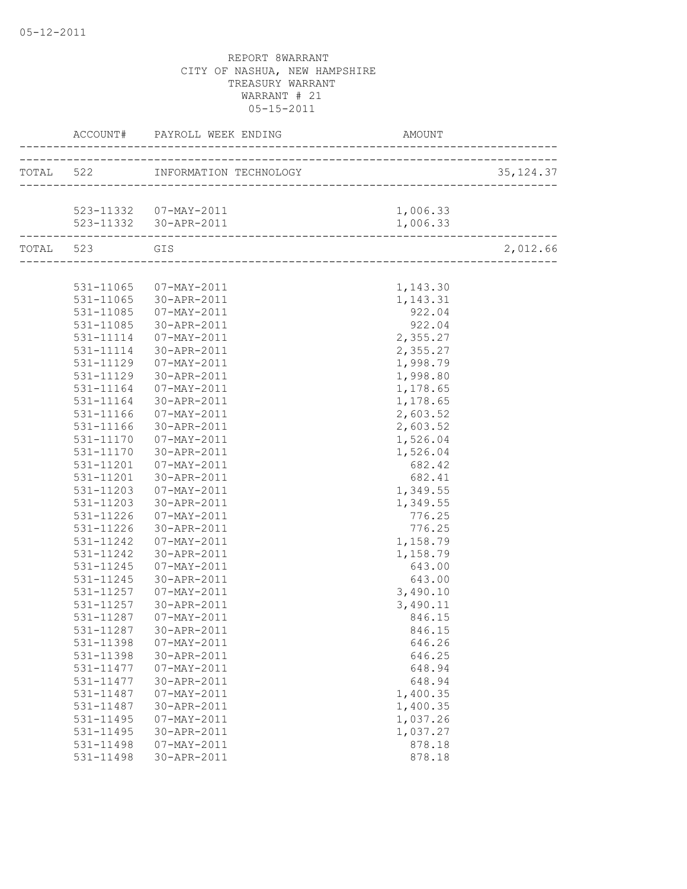|               |                        |          | 35, 124.37 |
|---------------|------------------------|----------|------------|
|               |                        |          |            |
|               | 523-11332  07-MAY-2011 | 1,006.33 |            |
|               |                        |          |            |
| TOTAL 523 GIS |                        |          | 2,012.66   |
|               |                        |          |            |
|               | 531-11065  07-MAY-2011 | 1,143.30 |            |
|               | 531-11065 30-APR-2011  | 1,143.31 |            |
| 531-11085     | 07-MAY-2011            | 922.04   |            |
| 531-11085     | 30-APR-2011            | 922.04   |            |
| 531-11114     | 07-MAY-2011            | 2,355.27 |            |
| 531-11114     | 30-APR-2011            | 2,355.27 |            |
| 531-11129     | 07-MAY-2011            | 1,998.79 |            |
| 531-11129     | 30-APR-2011            | 1,998.80 |            |
| 531-11164     | 07-MAY-2011            | 1,178.65 |            |
| 531-11164     | 30-APR-2011            | 1,178.65 |            |
| 531-11166     | 07-MAY-2011            | 2,603.52 |            |
| 531-11166     | 30-APR-2011            | 2,603.52 |            |
| 531-11170     | 07-MAY-2011            | 1,526.04 |            |
| 531-11170     | 30-APR-2011            | 1,526.04 |            |
| 531-11201     | 07-MAY-2011            | 682.42   |            |
| 531-11201     | 30-APR-2011            | 682.41   |            |
| 531-11203     | 07-MAY-2011            | 1,349.55 |            |
| 531-11203     | 30-APR-2011            | 1,349.55 |            |
| 531-11226     | 07-MAY-2011            | 776.25   |            |
| 531-11226     | 30-APR-2011            | 776.25   |            |
| 531-11242     | 07-MAY-2011            | 1,158.79 |            |
| 531-11242     | 30-APR-2011            | 1,158.79 |            |
| 531-11245     | 07-MAY-2011            | 643.00   |            |
| 531-11245     | 30-APR-2011            | 643.00   |            |
| 531-11257     | 07-MAY-2011            | 3,490.10 |            |
| 531-11257     | 30-APR-2011            | 3,490.11 |            |
| 531-11287     | 07-MAY-2011            | 846.15   |            |
|               | 531-11287 30-APR-2011  | 846.15   |            |
| 531-11398     | $07 - MAX - 2011$      | 646.26   |            |
| 531-11398     | 30-APR-2011            | 646.25   |            |
| 531-11477     | $07 - MAX - 2011$      | 648.94   |            |
| 531-11477     | 30-APR-2011            | 648.94   |            |
| 531-11487     | $07 - MAX - 2011$      | 1,400.35 |            |
| 531-11487     | 30-APR-2011            | 1,400.35 |            |
| 531-11495     | $07 - MAX - 2011$      | 1,037.26 |            |
| 531-11495     | 30-APR-2011            | 1,037.27 |            |
| 531-11498     | 07-MAY-2011            | 878.18   |            |
| 531-11498     | 30-APR-2011            | 878.18   |            |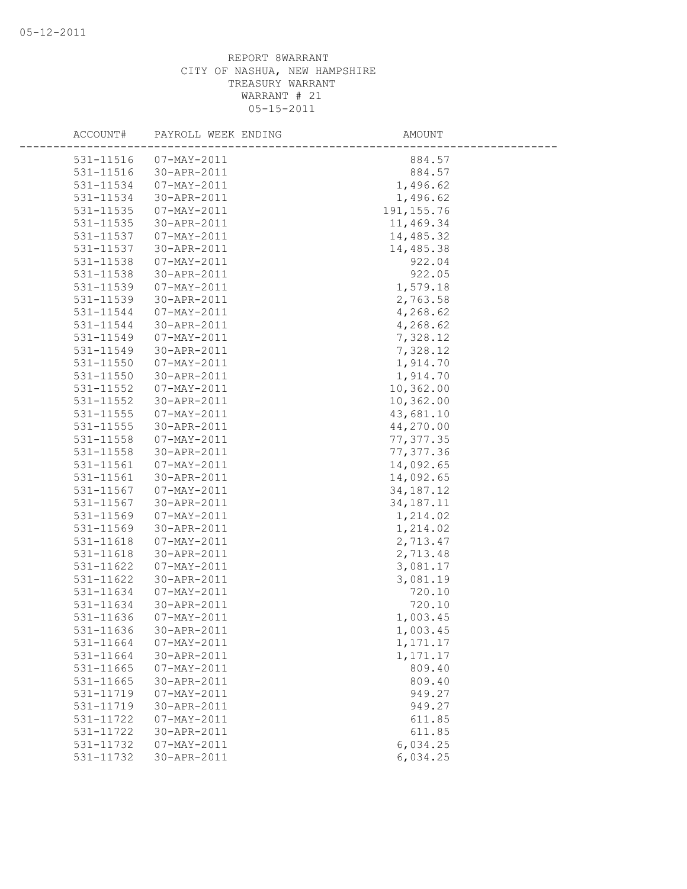| ACCOUNT#                   | PAYROLL WEEK ENDING              | AMOUNT               |
|----------------------------|----------------------------------|----------------------|
|                            |                                  |                      |
| 531-11516                  | 07-MAY-2011                      | 884.57               |
| 531-11516                  | 30-APR-2011                      | 884.57               |
| 531-11534                  | $07 - \text{MAX} - 2011$         | 1,496.62             |
| 531-11534                  | 30-APR-2011                      | 1,496.62             |
| 531-11535                  | $07 - MAX - 2011$                | 191, 155.76          |
| 531-11535                  | 30-APR-2011                      | 11,469.34            |
| 531-11537                  | $07 - MAY - 2011$                | 14,485.32            |
| 531-11537                  | 30-APR-2011                      | 14,485.38            |
| 531-11538                  | $07 - MAX - 2011$                | 922.04               |
| 531-11538<br>531-11539     | 30-APR-2011<br>$07 - MAX - 2011$ | 922.05               |
|                            |                                  | 1,579.18             |
| 531-11539                  | 30-APR-2011<br>$07 - MAX - 2011$ | 2,763.58             |
| 531-11544                  |                                  | 4,268.62             |
| 531-11544                  | 30-APR-2011                      | 4,268.62             |
| 531-11549                  | 07-MAY-2011                      | 7,328.12             |
| 531-11549                  | 30-APR-2011                      | 7,328.12             |
| 531-11550                  | $07 - MAX - 2011$                | 1,914.70<br>1,914.70 |
| $531 - 11550$<br>531-11552 | 30-APR-2011<br>07-MAY-2011       | 10,362.00            |
| 531-11552                  | 30-APR-2011                      | 10,362.00            |
| 531-11555                  | 07-MAY-2011                      | 43,681.10            |
| 531-11555                  | 30-APR-2011                      | 44,270.00            |
| 531-11558                  | $07 - MAX - 2011$                | 77, 377.35           |
| 531-11558                  | 30-APR-2011                      | 77,377.36            |
| 531-11561                  | $07 - MAY - 2011$                | 14,092.65            |
| 531-11561                  | 30-APR-2011                      | 14,092.65            |
| 531-11567                  | $07 - MAX - 2011$                | 34, 187. 12          |
| 531-11567                  | 30-APR-2011                      | 34, 187. 11          |
| 531-11569                  | 07-MAY-2011                      | 1,214.02             |
| 531-11569                  | 30-APR-2011                      | 1,214.02             |
| 531-11618                  | $07 - MAX - 2011$                | 2,713.47             |
| 531-11618                  | 30-APR-2011                      | 2,713.48             |
| 531-11622                  | $07 - MAX - 2011$                | 3,081.17             |
| 531-11622                  | 30-APR-2011                      | 3,081.19             |
| 531-11634                  | $07 - MAX - 2011$                | 720.10               |
| 531-11634                  | 30-APR-2011                      | 720.10               |
| 531-11636                  | $07 - MAX - 2011$                | 1,003.45             |
| 531-11636                  | 30-APR-2011                      | 1,003.45             |
| 531-11664                  | $07 - MAX - 2011$                | 1,171.17             |
| 531-11664                  | 30-APR-2011                      | 1,171.17             |
| 531-11665                  | 07-MAY-2011                      | 809.40               |
| 531-11665                  | 30-APR-2011                      | 809.40               |
| 531-11719                  | $07 - MAX - 2011$                | 949.27               |
| 531-11719                  | 30-APR-2011                      | 949.27               |
| 531-11722                  | $07 - MAX - 2011$                | 611.85               |
| 531-11722                  | 30-APR-2011                      | 611.85               |
| 531-11732                  | $07 - MAY - 2011$                | 6,034.25             |
| 531-11732                  | 30-APR-2011                      | 6,034.25             |
|                            |                                  |                      |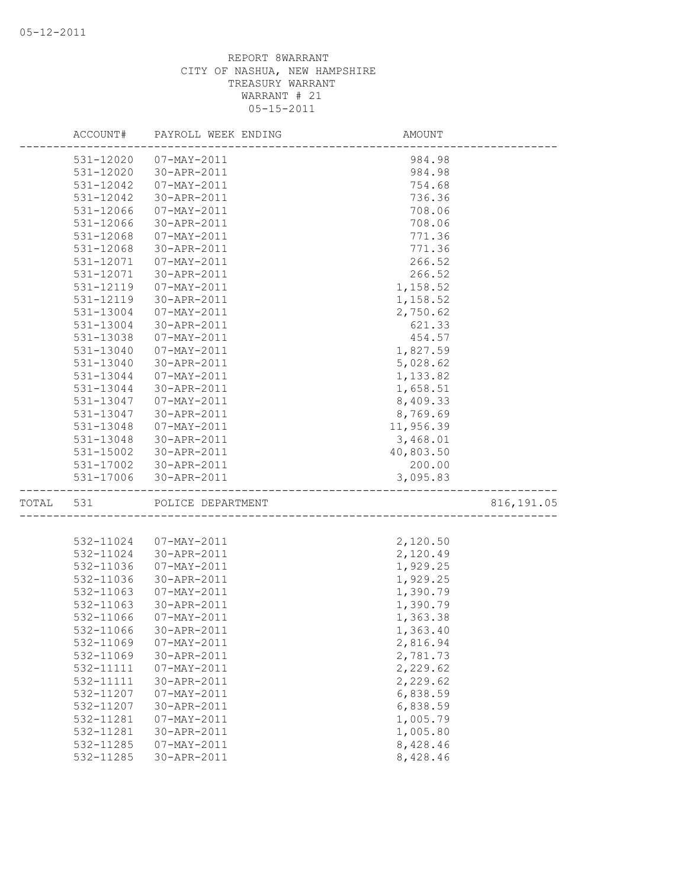|       | ACCOUNT#               | PAYROLL WEEK ENDING        | AMOUNT               |             |
|-------|------------------------|----------------------------|----------------------|-------------|
|       | 531-12020              | 07-MAY-2011                | 984.98               |             |
|       | $531 - 12020$          | 30-APR-2011                | 984.98               |             |
|       | 531-12042              | 07-MAY-2011                | 754.68               |             |
|       | 531-12042              | 30-APR-2011                | 736.36               |             |
|       | 531-12066              | 07-MAY-2011                | 708.06               |             |
|       | 531-12066              | 30-APR-2011                | 708.06               |             |
|       | 531-12068              | 07-MAY-2011                | 771.36               |             |
|       | 531-12068              | 30-APR-2011                | 771.36               |             |
|       | 531-12071              | 07-MAY-2011                | 266.52               |             |
|       | 531-12071              | 30-APR-2011                | 266.52               |             |
|       | 531-12119              | 07-MAY-2011                | 1,158.52             |             |
|       | 531-12119              | 30-APR-2011                | 1,158.52             |             |
|       | 531-13004              | 07-MAY-2011                | 2,750.62             |             |
|       | 531-13004              | 30-APR-2011                | 621.33               |             |
|       | 531-13038              | 07-MAY-2011                | 454.57               |             |
|       | 531-13040              | $07 - MAY - 2011$          | 1,827.59             |             |
|       | 531-13040              | 30-APR-2011                | 5,028.62             |             |
|       | 531-13044              | $07 - MAY - 2011$          | 1,133.82             |             |
|       | 531-13044              | 30-APR-2011                | 1,658.51             |             |
|       | 531-13047              | 07-MAY-2011                | 8,409.33             |             |
|       | 531-13047              | 30-APR-2011                | 8,769.69             |             |
|       | 531-13048              | 07-MAY-2011                | 11,956.39            |             |
|       | 531-13048              | 30-APR-2011                | 3,468.01             |             |
|       | 531-15002              | 30-APR-2011                | 40,803.50            |             |
|       | 531-17002              | 30-APR-2011                | 200.00               |             |
|       | 531-17006              | 30-APR-2011                | 3,095.83             |             |
| TOTAL | 531                    | POLICE DEPARTMENT          |                      | 816, 191.05 |
|       |                        |                            |                      |             |
|       | 532-11024              | 07-MAY-2011<br>30-APR-2011 | 2,120.50             |             |
|       | 532-11024<br>532-11036 | 07-MAY-2011                | 2,120.49<br>1,929.25 |             |
|       | 532-11036              | 30-APR-2011                | 1,929.25             |             |
|       | 532-11063              | 07-MAY-2011                | 1,390.79             |             |
|       | 532-11063              | 30-APR-2011                | 1,390.79             |             |
|       | 532-11066              | 07-MAY-2011                | 1,363.38             |             |
|       | 532-11066              | 30-APR-2011                | 1,363.40             |             |
|       | 532-11069              | 07-MAY-2011                | 2,816.94             |             |
|       | 532-11069              | 30-APR-2011                | 2,781.73             |             |
|       | 532-11111              | $07 - MAY - 2011$          | 2,229.62             |             |
|       | 532-11111              | 30-APR-2011                | 2,229.62             |             |
|       | 532-11207              | $07 - MAX - 2011$          | 6,838.59             |             |
|       | 532-11207              | 30-APR-2011                | 6,838.59             |             |
|       | 532-11281              | $07 - MAX - 2011$          | 1,005.79             |             |
|       | 532-11281              | 30-APR-2011                | 1,005.80             |             |
|       | 532-11285              | 07-MAY-2011                | 8,428.46             |             |
|       | 532-11285              | 30-APR-2011                | 8,428.46             |             |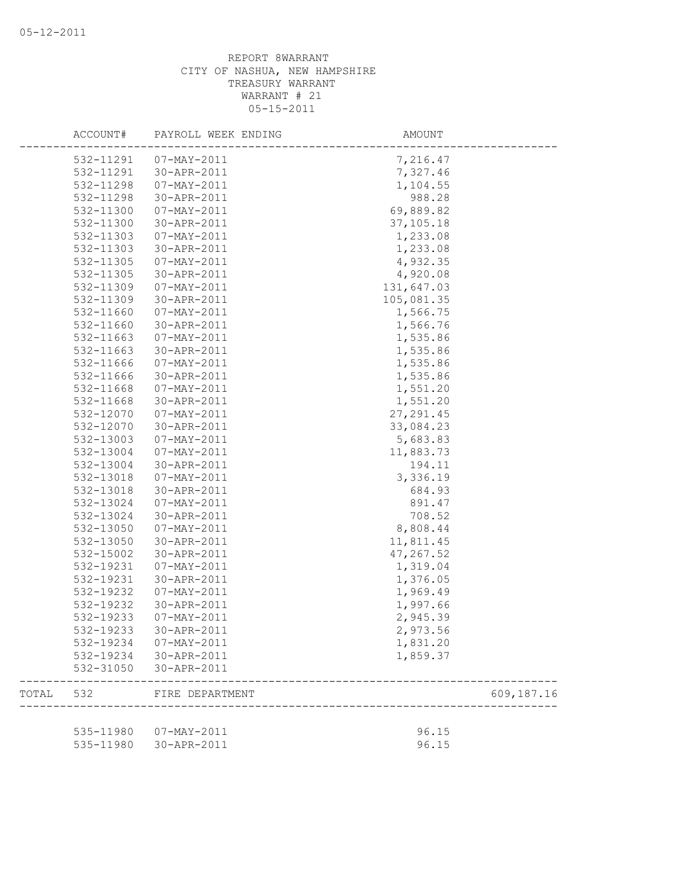|       | ACCOUNT#  | PAYROLL WEEK ENDING    | AMOUNT     |            |
|-------|-----------|------------------------|------------|------------|
|       | 532-11291 | 07-MAY-2011            | 7,216.47   |            |
|       | 532-11291 | 30-APR-2011            | 7,327.46   |            |
|       | 532-11298 | 07-MAY-2011            | 1,104.55   |            |
|       | 532-11298 | 30-APR-2011            | 988.28     |            |
|       | 532-11300 | 07-MAY-2011            | 69,889.82  |            |
|       | 532-11300 | 30-APR-2011            | 37,105.18  |            |
|       | 532-11303 | 07-MAY-2011            | 1,233.08   |            |
|       | 532-11303 | 30-APR-2011            | 1,233.08   |            |
|       | 532-11305 | 07-MAY-2011            | 4,932.35   |            |
|       | 532-11305 | 30-APR-2011            | 4,920.08   |            |
|       | 532-11309 | 07-MAY-2011            | 131,647.03 |            |
|       | 532-11309 | 30-APR-2011            | 105,081.35 |            |
|       | 532-11660 | 07-MAY-2011            | 1,566.75   |            |
|       | 532-11660 | 30-APR-2011            | 1,566.76   |            |
|       | 532-11663 | 07-MAY-2011            | 1,535.86   |            |
|       | 532-11663 | 30-APR-2011            | 1,535.86   |            |
|       | 532-11666 | 07-MAY-2011            | 1,535.86   |            |
|       | 532-11666 | 30-APR-2011            | 1,535.86   |            |
|       | 532-11668 | 07-MAY-2011            | 1,551.20   |            |
|       | 532-11668 | 30-APR-2011            | 1,551.20   |            |
|       | 532-12070 | 07-MAY-2011            | 27, 291.45 |            |
|       | 532-12070 | 30-APR-2011            | 33,084.23  |            |
|       | 532-13003 | $07 - MAX - 2011$      | 5,683.83   |            |
|       | 532-13004 | 07-MAY-2011            | 11,883.73  |            |
|       | 532-13004 | 30-APR-2011            | 194.11     |            |
|       | 532-13018 | 07-MAY-2011            | 3,336.19   |            |
|       | 532-13018 | 30-APR-2011            | 684.93     |            |
|       | 532-13024 | $07 - MAX - 2011$      | 891.47     |            |
|       | 532-13024 | 30-APR-2011            | 708.52     |            |
|       | 532-13050 | 07-MAY-2011            | 8,808.44   |            |
|       | 532-13050 | 30-APR-2011            | 11,811.45  |            |
|       | 532-15002 | 30-APR-2011            | 47,267.52  |            |
|       | 532-19231 | $07 - MAY - 2011$      | 1,319.04   |            |
|       | 532-19231 | 30-APR-2011            | 1,376.05   |            |
|       | 532-19232 | 07-MAY-2011            | 1,969.49   |            |
|       | 532-19232 | 30-APR-2011            | 1,997.66   |            |
|       | 532-19233 | 07-MAY-2011            | 2,945.39   |            |
|       | 532-19233 | 30-APR-2011            | 2,973.56   |            |
|       |           | 532-19234 07-MAY-2011  | 1,831.20   |            |
|       |           | 532-19234 30-APR-2011  | 1,859.37   |            |
|       | 532-31050 | 30-APR-2011            |            |            |
| TOTAL | 532       | FIRE DEPARTMENT        |            | 609,187.16 |
|       |           |                        |            |            |
|       |           | 535-11980  07-MAY-2011 | 96.15      |            |
|       | 535-11980 | 30-APR-2011            | 96.15      |            |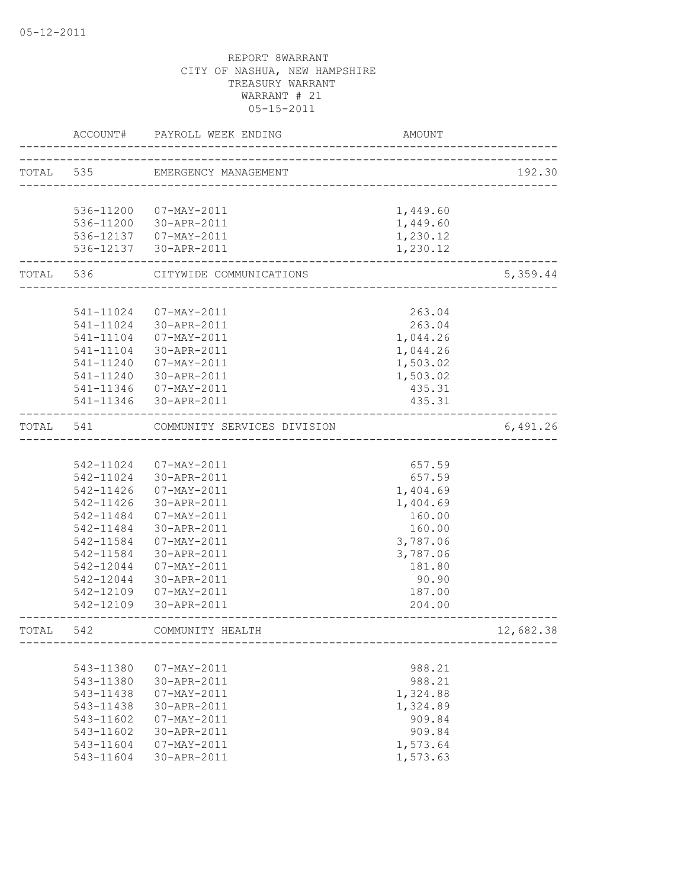|           | ACCOUNT#  | PAYROLL WEEK ENDING         | AMOUNT                             |           |
|-----------|-----------|-----------------------------|------------------------------------|-----------|
| TOTAL 535 |           | EMERGENCY MANAGEMENT        |                                    | 192.30    |
|           |           |                             |                                    |           |
|           |           | 536-11200 07-MAY-2011       | 1,449.60                           |           |
|           |           | 536-11200 30-APR-2011       | 1,449.60                           |           |
|           |           | 536-12137  07-MAY-2011      | 1,230.12                           |           |
|           |           | 536-12137 30-APR-2011       | 1,230.12                           |           |
|           | TOTAL 536 | CITYWIDE COMMUNICATIONS     |                                    | 5,359.44  |
|           |           |                             |                                    |           |
|           | 541-11024 | 07-MAY-2011                 | 263.04                             |           |
|           | 541-11024 | 30-APR-2011                 | 263.04                             |           |
|           | 541-11104 | 07-MAY-2011                 | 1,044.26                           |           |
|           | 541-11104 | 30-APR-2011                 | 1,044.26                           |           |
|           | 541-11240 | 07-MAY-2011                 | 1,503.02                           |           |
|           |           | 541-11240 30-APR-2011       | 1,503.02                           |           |
|           |           | 541-11346 07-MAY-2011       | 435.31                             |           |
|           |           | 541-11346 30-APR-2011       | 435.31                             |           |
| TOTAL 541 |           | COMMUNITY SERVICES DIVISION | __________________________________ | 6,491.26  |
|           |           |                             |                                    |           |
|           |           | 542-11024 07-MAY-2011       | 657.59                             |           |
|           |           | 542-11024 30-APR-2011       | 657.59                             |           |
|           |           | 542-11426  07-MAY-2011      | 1,404.69                           |           |
|           | 542-11426 | 30-APR-2011                 | 1,404.69                           |           |
|           | 542-11484 | $07 - MAX - 2011$           | 160.00                             |           |
|           | 542-11484 | 30-APR-2011                 | 160.00                             |           |
|           | 542-11584 | 07-MAY-2011                 | 3,787.06                           |           |
|           | 542-11584 | 30-APR-2011                 | 3,787.06                           |           |
|           | 542-12044 | 07-MAY-2011                 | 181.80                             |           |
|           | 542-12044 | 30-APR-2011                 | 90.90                              |           |
|           | 542-12109 | 07-MAY-2011                 | 187.00                             |           |
|           | 542-12109 | 30-APR-2011                 | 204.00                             |           |
| TOTAL 542 |           | COMMUNITY HEALTH            |                                    | 12,682.38 |
|           |           |                             |                                    |           |
|           | 543-11380 | 07-MAY-2011                 | 988.21                             |           |
|           | 543-11380 | 30-APR-2011                 | 988.21                             |           |
|           | 543-11438 | $07 - MAX - 2011$           | 1,324.88                           |           |
|           | 543-11438 | 30-APR-2011                 | 1,324.89                           |           |
|           | 543-11602 | 07-MAY-2011                 | 909.84                             |           |
|           | 543-11602 | 30-APR-2011                 | 909.84                             |           |
|           | 543-11604 | $07 - MAY - 2011$           | 1,573.64                           |           |
|           | 543-11604 | 30-APR-2011                 | 1,573.63                           |           |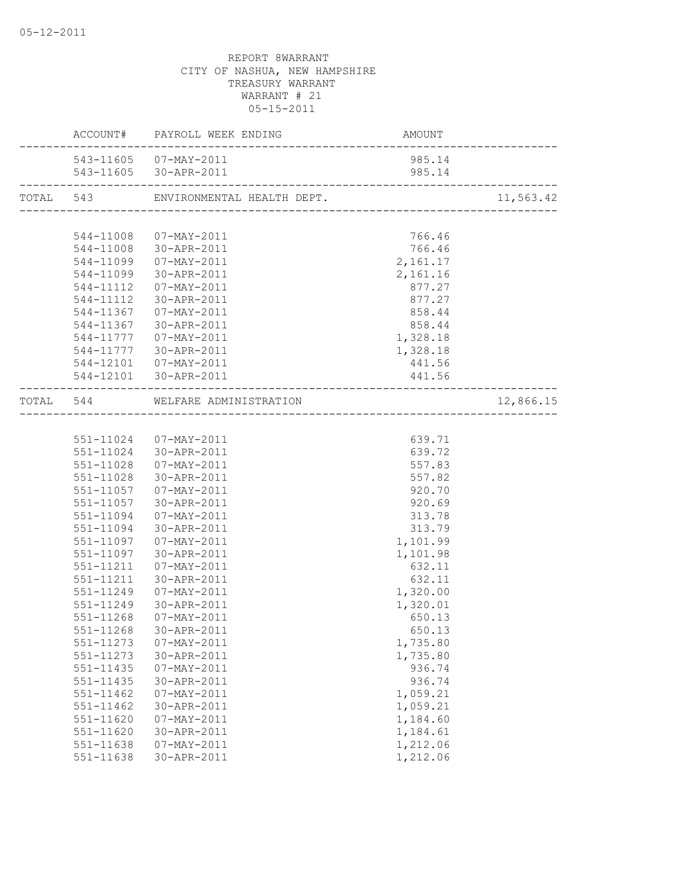|           | ACCOUNT# PAYROLL WEEK ENDING         | <b>AMOUNT</b> |           |
|-----------|--------------------------------------|---------------|-----------|
|           | 543-11605  07-MAY-2011               | 985.14        |           |
|           | 543-11605 30-APR-2011                | 985.14        |           |
|           | TOTAL 543 ENVIRONMENTAL HEALTH DEPT. |               | 11,563.42 |
|           |                                      |               |           |
|           | 544-11008  07-MAY-2011               | 766.46        |           |
|           | 544-11008 30-APR-2011                | 766.46        |           |
|           | 544-11099  07-MAY-2011               | 2,161.17      |           |
|           | 544-11099 30-APR-2011                | 2,161.16      |           |
|           | 544-11112  07-MAY-2011               | 877.27        |           |
|           | 544-11112 30-APR-2011                | 877.27        |           |
|           | 544-11367 07-MAY-2011                | 858.44        |           |
|           | 544-11367 30-APR-2011                | 858.44        |           |
|           | 544-11777  07-MAY-2011               | 1,328.18      |           |
|           | 544-11777 30-APR-2011                | 1,328.18      |           |
|           | 544-12101  07-MAY-2011               | 441.56        |           |
|           | 544-12101 30-APR-2011                | 441.56        |           |
|           | TOTAL 544 WELFARE ADMINISTRATION     |               | 12,866.15 |
|           |                                      |               |           |
|           | 551-11024 07-MAY-2011                | 639.71        |           |
|           | 551-11024 30-APR-2011                | 639.72        |           |
|           | 551-11028 07-MAY-2011                | 557.83        |           |
| 551-11028 | 30-APR-2011                          | 557.82        |           |
|           | 551-11057 07-MAY-2011                | 920.70        |           |
|           | 551-11057 30-APR-2011                | 920.69        |           |
| 551-11094 | $07 - \text{MAX} - 2011$             | 313.78        |           |
|           | 551-11094 30-APR-2011                | 313.79        |           |
|           | 551-11097  07-MAY-2011               | 1,101.99      |           |
| 551-11097 | 30-APR-2011                          | 1,101.98      |           |
| 551-11211 | 07-MAY-2011                          | 632.11        |           |
| 551-11211 | 30-APR-2011                          | 632.11        |           |
| 551-11249 | 07-MAY-2011                          | 1,320.00      |           |
| 551-11249 | 30-APR-2011                          | 1,320.01      |           |
| 551-11268 | 07-MAY-2011                          | 650.13        |           |
| 551-11268 | 30-APR-2011                          | 650.13        |           |
| 551-11273 | $07 - MAX - 2011$                    | 1,735.80      |           |
|           | 30-APR-2011                          |               |           |
| 551-11273 |                                      | 1,735.80      |           |
| 551-11435 | $07 - MAX - 2011$                    | 936.74        |           |
| 551-11435 | 30-APR-2011                          | 936.74        |           |
| 551-11462 | $07 - MAX - 2011$                    | 1,059.21      |           |
| 551-11462 | 30-APR-2011                          | 1,059.21      |           |
| 551-11620 | $07 - MAX - 2011$                    | 1,184.60      |           |
| 551-11620 | 30-APR-2011                          | 1,184.61      |           |
| 551-11638 | 07-MAY-2011                          | 1,212.06      |           |
| 551-11638 | 30-APR-2011                          | 1,212.06      |           |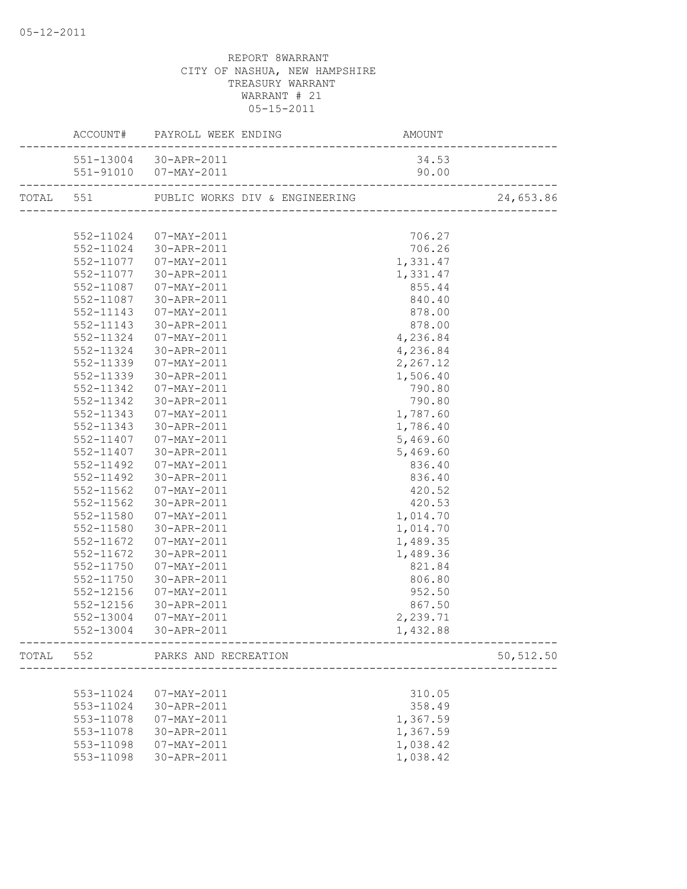|           | ACCOUNT# PAYROLL WEEK ENDING AMOUNT |          |            |
|-----------|-------------------------------------|----------|------------|
|           | 551-13004 30-APR-2011               | 34.53    |            |
|           |                                     |          |            |
|           |                                     |          | 24,653.86  |
|           |                                     |          |            |
|           | 552-11024 07-MAY-2011               | 706.27   |            |
|           | 552-11024 30-APR-2011               | 706.26   |            |
|           | 552-11077  07-MAY-2011              | 1,331.47 |            |
|           | 552-11077 30-APR-2011               | 1,331.47 |            |
|           | 552-11087  07-MAY-2011              | 855.44   |            |
|           | 552-11087 30-APR-2011               | 840.40   |            |
|           | 552-11143  07-MAY-2011              | 878.00   |            |
|           | 552-11143 30-APR-2011               | 878.00   |            |
| 552-11324 | 07-MAY-2011                         | 4,236.84 |            |
| 552-11324 | 30-APR-2011                         | 4,236.84 |            |
| 552-11339 | 07-MAY-2011                         | 2,267.12 |            |
| 552-11339 | 30-APR-2011                         | 1,506.40 |            |
| 552-11342 | 07-MAY-2011                         | 790.80   |            |
| 552-11342 | 30-APR-2011                         | 790.80   |            |
|           | 552-11343  07-MAY-2011              | 1,787.60 |            |
|           | 552-11343 30-APR-2011               | 1,786.40 |            |
|           | 552-11407  07-MAY-2011              | 5,469.60 |            |
|           | 552-11407 30-APR-2011               | 5,469.60 |            |
|           | 552-11492  07-MAY-2011              | 836.40   |            |
| 552-11492 | 30-APR-2011                         | 836.40   |            |
| 552-11562 | 07-MAY-2011                         | 420.52   |            |
|           | 552-11562 30-APR-2011               | 420.53   |            |
| 552-11580 | 07-MAY-2011                         | 1,014.70 |            |
|           | 552-11580 30-APR-2011               | 1,014.70 |            |
|           | 552-11672  07-MAY-2011              | 1,489.35 |            |
| 552-11672 | 30-APR-2011                         | 1,489.36 |            |
| 552-11750 | 07-MAY-2011                         | 821.84   |            |
| 552-11750 | 30-APR-2011                         | 806.80   |            |
| 552-12156 | 07-MAY-2011                         | 952.50   |            |
| 552-12156 | 30-APR-2011                         | 867.50   |            |
| 552-13004 | 07-MAY-2011                         | 2,239.71 |            |
| 552-13004 | 30-APR-2011                         | 1,432.88 |            |
|           | TOTAL 552 PARKS AND RECREATION      |          | 50, 512.50 |
|           |                                     |          |            |
| 553-11024 | 07-MAY-2011                         | 310.05   |            |
| 553-11024 | 30-APR-2011                         | 358.49   |            |
| 553-11078 | 07-MAY-2011                         | 1,367.59 |            |
| 553-11078 | 30-APR-2011                         | 1,367.59 |            |
|           | 553-11098  07-MAY-2011              | 1,038.42 |            |
| 553-11098 | 30-APR-2011                         | 1,038.42 |            |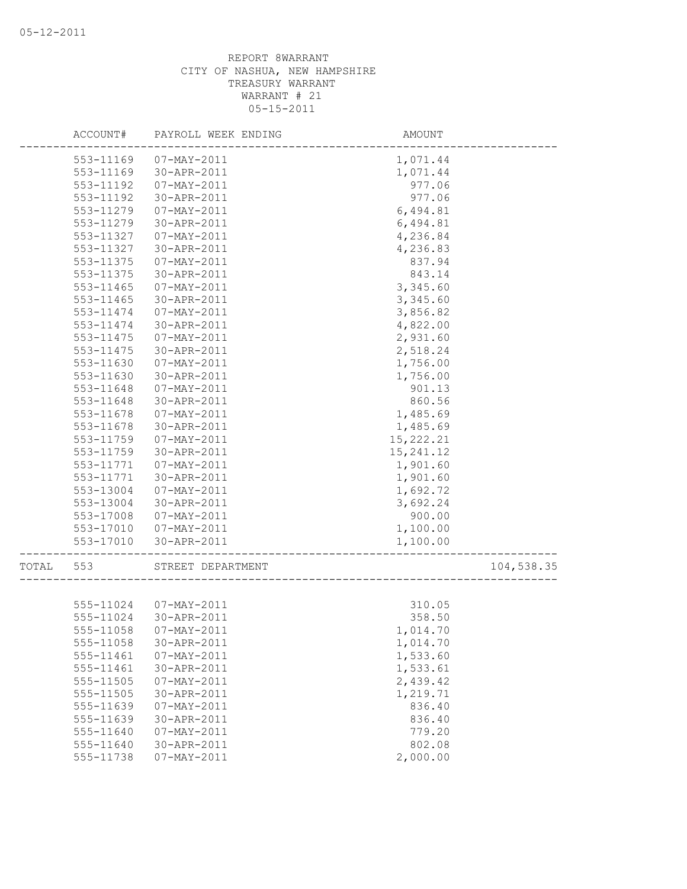|       | ACCOUNT#  | PAYROLL WEEK ENDING   | AMOUNT     |            |
|-------|-----------|-----------------------|------------|------------|
|       | 553-11169 | $07 - MAX - 2011$     | 1,071.44   |            |
|       | 553-11169 | 30-APR-2011           | 1,071.44   |            |
|       | 553-11192 | 07-MAY-2011           | 977.06     |            |
|       | 553-11192 | 30-APR-2011           | 977.06     |            |
|       | 553-11279 | $07 - MAY - 2011$     | 6,494.81   |            |
|       | 553-11279 | 30-APR-2011           | 6,494.81   |            |
|       | 553-11327 | 07-MAY-2011           | 4,236.84   |            |
|       | 553-11327 | 30-APR-2011           | 4,236.83   |            |
|       | 553-11375 | 07-MAY-2011           | 837.94     |            |
|       | 553-11375 | 30-APR-2011           | 843.14     |            |
|       | 553-11465 | 07-MAY-2011           | 3,345.60   |            |
|       | 553-11465 | 30-APR-2011           | 3,345.60   |            |
|       | 553-11474 | 07-MAY-2011           | 3,856.82   |            |
|       | 553-11474 | 30-APR-2011           | 4,822.00   |            |
|       | 553-11475 | 07-MAY-2011           | 2,931.60   |            |
|       | 553-11475 | 30-APR-2011           | 2,518.24   |            |
|       | 553-11630 | 07-MAY-2011           | 1,756.00   |            |
|       | 553-11630 | 30-APR-2011           | 1,756.00   |            |
|       | 553-11648 | 07-MAY-2011           | 901.13     |            |
|       | 553-11648 | 30-APR-2011           | 860.56     |            |
|       | 553-11678 | 07-MAY-2011           | 1,485.69   |            |
|       | 553-11678 | 30-APR-2011           | 1,485.69   |            |
|       | 553-11759 | 07-MAY-2011           | 15, 222.21 |            |
|       | 553-11759 | 30-APR-2011           | 15, 241.12 |            |
|       | 553-11771 | 07-MAY-2011           | 1,901.60   |            |
|       | 553-11771 | 30-APR-2011           | 1,901.60   |            |
|       | 553-13004 | 07-MAY-2011           | 1,692.72   |            |
|       | 553-13004 | 30-APR-2011           | 3,692.24   |            |
|       | 553-17008 | 07-MAY-2011           | 900.00     |            |
|       | 553-17010 | 07-MAY-2011           |            |            |
|       |           |                       | 1,100.00   |            |
|       | 553-17010 | 30-APR-2011           | 1,100.00   |            |
| TOTAL | 553       | STREET DEPARTMENT     |            | 104,538.35 |
|       |           |                       |            |            |
|       |           | 555-11024 07-MAY-2011 | 310.05     |            |
|       | 555-11024 | 30-APR-2011           | 358.50     |            |
|       |           |                       | 1,014.70   |            |
|       | 555-11058 | 30-APR-2011           | 1,014.70   |            |
|       | 555-11461 | $07 - MAX - 2011$     | 1,533.60   |            |
|       | 555-11461 | 30-APR-2011           | 1,533.61   |            |
|       | 555-11505 | $07 - MAX - 2011$     | 2,439.42   |            |
|       | 555-11505 | 30-APR-2011           | 1,219.71   |            |
|       | 555-11639 | $07 - MAX - 2011$     | 836.40     |            |
|       | 555-11639 | 30-APR-2011           | 836.40     |            |
|       | 555-11640 | 07-MAY-2011           | 779.20     |            |
|       | 555-11640 | 30-APR-2011           | 802.08     |            |
|       | 555-11738 | $07 - MAX - 2011$     | 2,000.00   |            |
|       |           |                       |            |            |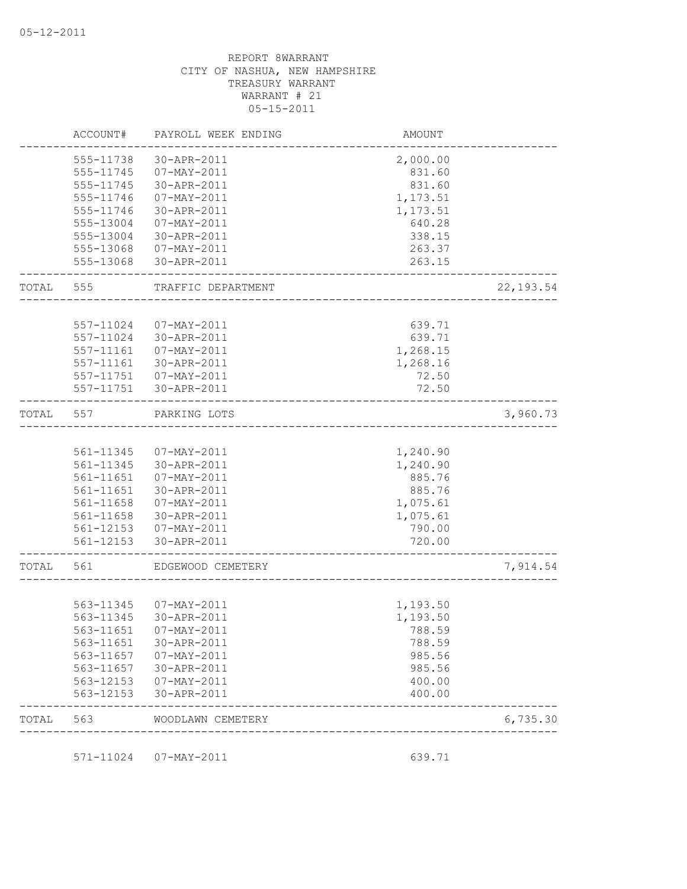|       | ACCOUNT#  | PAYROLL WEEK ENDING    | <b>AMOUNT</b> |            |
|-------|-----------|------------------------|---------------|------------|
|       | 555-11738 | 30-APR-2011            | 2,000.00      |            |
|       |           | 555-11745 07-MAY-2011  | 831.60        |            |
|       | 555-11745 | 30-APR-2011            | 831.60        |            |
|       | 555-11746 | 07-MAY-2011            | 1,173.51      |            |
|       | 555-11746 | 30-APR-2011            | 1,173.51      |            |
|       | 555-13004 | 07-MAY-2011            | 640.28        |            |
|       | 555-13004 | 30-APR-2011            | 338.15        |            |
|       |           | 555-13068 07-MAY-2011  | 263.37        |            |
|       |           | 555-13068 30-APR-2011  | 263.15        |            |
| TOTAL | 555       | TRAFFIC DEPARTMENT     |               | 22, 193.54 |
|       |           |                        |               |            |
|       | 557-11024 | 07-MAY-2011            | 639.71        |            |
|       | 557-11024 | 30-APR-2011            | 639.71        |            |
|       | 557-11161 | 07-MAY-2011            | 1,268.15      |            |
|       | 557-11161 | 30-APR-2011            | 1,268.16      |            |
|       |           | 557-11751 07-MAY-2011  | 72.50         |            |
|       |           | 557-11751 30-APR-2011  | 72.50         |            |
| TOTAL | 557       | PARKING LOTS           |               | 3,960.73   |
|       |           |                        |               |            |
|       |           | 561-11345  07-MAY-2011 | 1,240.90      |            |
|       | 561-11345 | 30-APR-2011            | 1,240.90      |            |
|       | 561-11651 | 07-MAY-2011            | 885.76        |            |
|       | 561-11651 | 30-APR-2011            | 885.76        |            |
|       |           | 561-11658  07-MAY-2011 | 1,075.61      |            |
|       |           | 561-11658 30-APR-2011  | 1,075.61      |            |
|       |           | 561-12153  07-MAY-2011 | 790.00        |            |
|       |           | 561-12153 30-APR-2011  | 720.00        |            |
| TOTAL | 561       | EDGEWOOD CEMETERY      |               | 7,914.54   |
|       |           |                        |               |            |
|       |           | 563-11345 07-MAY-2011  | 1,193.50      |            |
|       |           | 563-11345 30-APR-2011  | 1,193.50      |            |
|       | 563-11651 | $07 - MAY - 2011$      | 788.59        |            |
|       | 563-11651 | 30-APR-2011            | 788.59        |            |
|       | 563-11657 | $07 - MAY - 2011$      | 985.56        |            |
|       | 563-11657 | 30-APR-2011            | 985.56        |            |
|       | 563-12153 | $07 - MAY - 2011$      | 400.00        |            |
|       | 563-12153 | 30-APR-2011            | 400.00        |            |
| TOTAL | 563       | WOODLAWN CEMETERY      |               | 6,735.30   |

571-11024 07-MAY-2011 639.71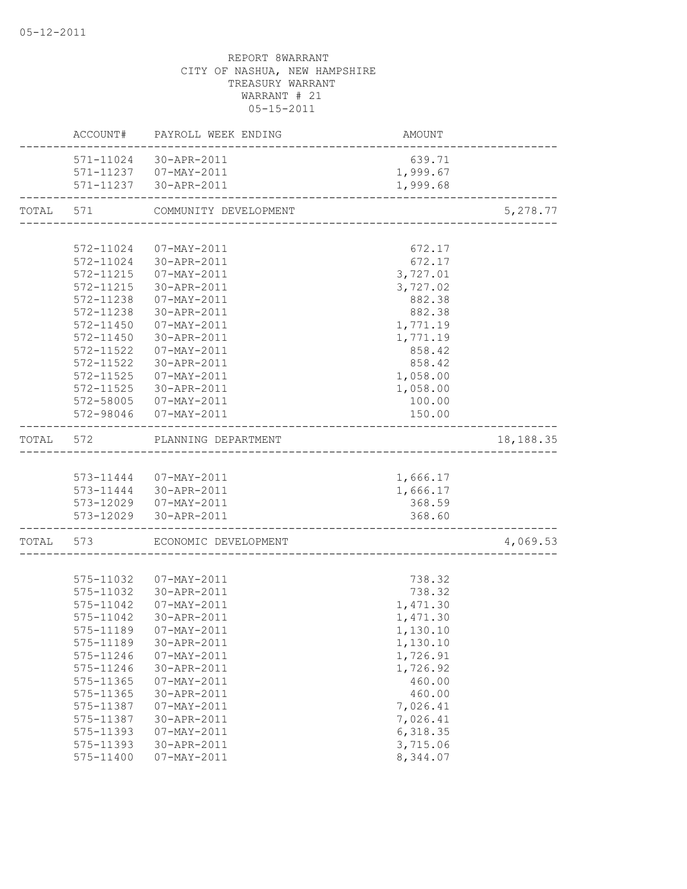|           |           | ACCOUNT# PAYROLL WEEK ENDING                                | AMOUNT                                      |           |
|-----------|-----------|-------------------------------------------------------------|---------------------------------------------|-----------|
|           |           | 571-11024 30-APR-2011                                       | 639.71                                      |           |
|           |           | 571-11237  07-MAY-2011                                      | 1,999.67                                    |           |
|           |           | 571-11237 30-APR-2011<br>---------------------------------- | 1,999.68                                    |           |
| TOTAL 571 |           | COMMUNITY DEVELOPMENT                                       |                                             | 5,278.77  |
|           |           |                                                             |                                             |           |
|           |           | 572-11024 07-MAY-2011                                       | 672.17                                      |           |
|           |           | 572-11024 30-APR-2011                                       | 672.17                                      |           |
|           |           | 572-11215  07-MAY-2011                                      | 3,727.01                                    |           |
|           |           | 572-11215 30-APR-2011                                       | 3,727.02                                    |           |
|           |           | 572-11238  07-MAY-2011                                      | 882.38                                      |           |
|           |           | 572-11238 30-APR-2011                                       | 882.38                                      |           |
|           |           | 572-11450 07-MAY-2011                                       | 1,771.19                                    |           |
|           | 572-11450 | 30-APR-2011                                                 | 1,771.19                                    |           |
|           | 572-11522 | 07-MAY-2011                                                 | 858.42                                      |           |
|           | 572-11522 | 30-APR-2011                                                 | 858.42                                      |           |
|           | 572-11525 | 07-MAY-2011                                                 | 1,058.00                                    |           |
|           | 572-11525 | 30-APR-2011                                                 | 1,058.00                                    |           |
|           |           | 572-58005 07-MAY-2011                                       | 100.00                                      |           |
|           |           | 572-98046 07-MAY-2011                                       | 150.00                                      |           |
| TOTAL 572 |           | PLANNING DEPARTMENT                                         |                                             | 18,188.35 |
|           |           |                                                             |                                             |           |
|           |           | 573-11444  07-MAY-2011                                      | 1,666.17                                    |           |
|           |           | 573-11444 30-APR-2011                                       | 1,666.17                                    |           |
|           |           | 573-12029  07-MAY-2011                                      | 368.59                                      |           |
|           |           | 573-12029 30-APR-2011                                       | 368.60<br>_________________________________ |           |
|           |           | TOTAL 573 ECONOMIC DEVELOPMENT                              |                                             | 4,069.53  |
|           |           |                                                             |                                             |           |
|           |           | 575-11032  07-MAY-2011                                      | 738.32                                      |           |
|           |           | 575-11032 30-APR-2011                                       | 738.32                                      |           |
|           | 575-11042 | 07-MAY-2011                                                 | 1,471.30                                    |           |
|           | 575-11042 | 30-APR-2011                                                 | 1,471.30                                    |           |
|           |           | 575-11189  07-MAY-2011                                      | 1,130.10                                    |           |
|           | 575-11189 | 30-APR-2011                                                 | 1,130.10                                    |           |
|           | 575-11246 | $07 - MAY - 2011$                                           | 1,726.91                                    |           |
|           | 575-11246 | 30-APR-2011                                                 | 1,726.92                                    |           |
|           | 575-11365 | $07 - MAX - 2011$                                           | 460.00                                      |           |
|           | 575-11365 | 30-APR-2011                                                 | 460.00                                      |           |
|           | 575-11387 | $07 - MAX - 2011$                                           | 7,026.41                                    |           |
|           | 575-11387 | 30-APR-2011                                                 | 7,026.41                                    |           |
|           | 575-11393 | $07 - MAY - 2011$                                           | 6,318.35                                    |           |
|           | 575-11393 | 30-APR-2011                                                 | 3,715.06                                    |           |
|           | 575-11400 | $07 - MAY - 2011$                                           | 8,344.07                                    |           |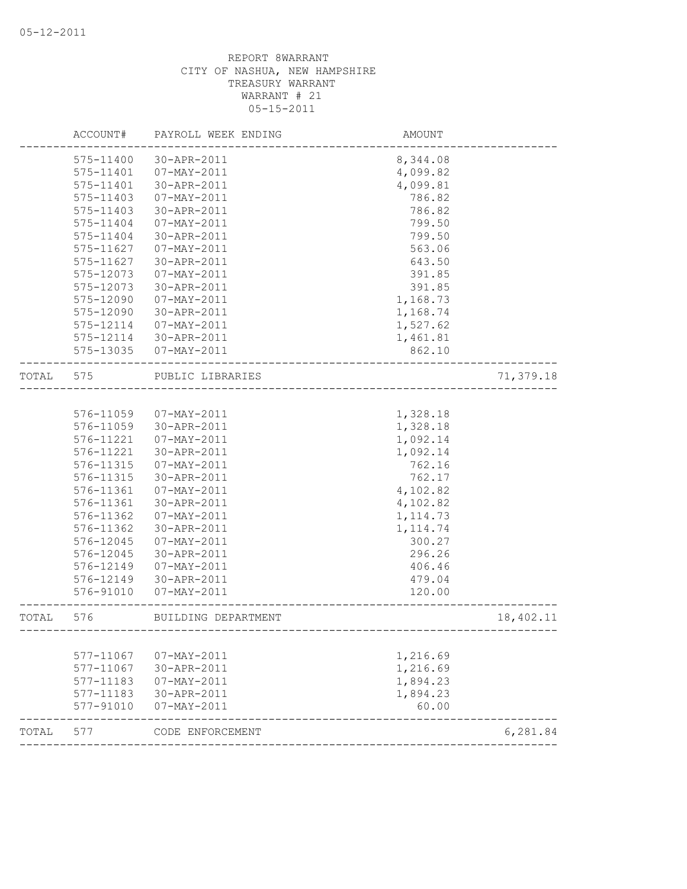|       | ACCOUNT#  | PAYROLL WEEK ENDING | AMOUNT                                 |           |
|-------|-----------|---------------------|----------------------------------------|-----------|
|       | 575-11400 | 30-APR-2011         | 8,344.08                               |           |
|       | 575-11401 | 07-MAY-2011         | 4,099.82                               |           |
|       | 575-11401 | 30-APR-2011         | 4,099.81                               |           |
|       | 575-11403 | $07 - MAX - 2011$   | 786.82                                 |           |
|       | 575-11403 | 30-APR-2011         | 786.82                                 |           |
|       | 575-11404 | $07 - MAY - 2011$   | 799.50                                 |           |
|       | 575-11404 | 30-APR-2011         | 799.50                                 |           |
|       | 575-11627 | 07-MAY-2011         | 563.06                                 |           |
|       | 575-11627 | 30-APR-2011         | 643.50                                 |           |
|       | 575-12073 | 07-MAY-2011         | 391.85                                 |           |
|       | 575-12073 | 30-APR-2011         | 391.85                                 |           |
|       | 575-12090 | $07 - MAX - 2011$   | 1,168.73                               |           |
|       | 575-12090 | 30-APR-2011         | 1,168.74                               |           |
|       | 575-12114 | 07-MAY-2011         | 1,527.62                               |           |
|       | 575-12114 | 30-APR-2011         | 1,461.81                               |           |
|       | 575-13035 | 07-MAY-2011         | 862.10                                 |           |
| TOTAL | 575       | PUBLIC LIBRARIES    | ---------------------                  | 71,379.18 |
|       |           |                     |                                        |           |
|       | 576-11059 | 07-MAY-2011         | 1,328.18                               |           |
|       | 576-11059 | 30-APR-2011         | 1,328.18                               |           |
|       | 576-11221 | 07-MAY-2011         | 1,092.14                               |           |
|       | 576-11221 | 30-APR-2011         | 1,092.14                               |           |
|       | 576-11315 | 07-MAY-2011         | 762.16                                 |           |
|       | 576-11315 | 30-APR-2011         | 762.17                                 |           |
|       | 576-11361 | 07-MAY-2011         | 4,102.82                               |           |
|       | 576-11361 | 30-APR-2011         | 4,102.82                               |           |
|       | 576-11362 | $07 - MAX - 2011$   | 1, 114.73                              |           |
|       | 576-11362 | 30-APR-2011         | 1, 114.74                              |           |
|       | 576-12045 | 07-MAY-2011         | 300.27                                 |           |
|       | 576-12045 | 30-APR-2011         | 296.26                                 |           |
|       | 576-12149 | 07-MAY-2011         | 406.46                                 |           |
|       | 576-12149 | 30-APR-2011         | 479.04                                 |           |
|       | 576-91010 | 07-MAY-2011         | 120.00                                 |           |
| TOTAL | 576       | BUILDING DEPARTMENT | -------------------------------------- | 18,402.11 |
|       |           |                     |                                        |           |
|       | 577-11067 | 07-MAY-2011         | 1,216.69                               |           |
|       | 577-11067 | 30-APR-2011         | 1,216.69                               |           |
|       | 577-11183 | $07 - MAX - 2011$   | 1,894.23                               |           |
|       | 577-11183 | 30-APR-2011         | 1,894.23                               |           |
|       | 577-91010 | 07-MAY-2011         | 60.00                                  |           |
| TOTAL | 577       | CODE ENFORCEMENT    |                                        | 6,281.84  |
|       |           |                     |                                        |           |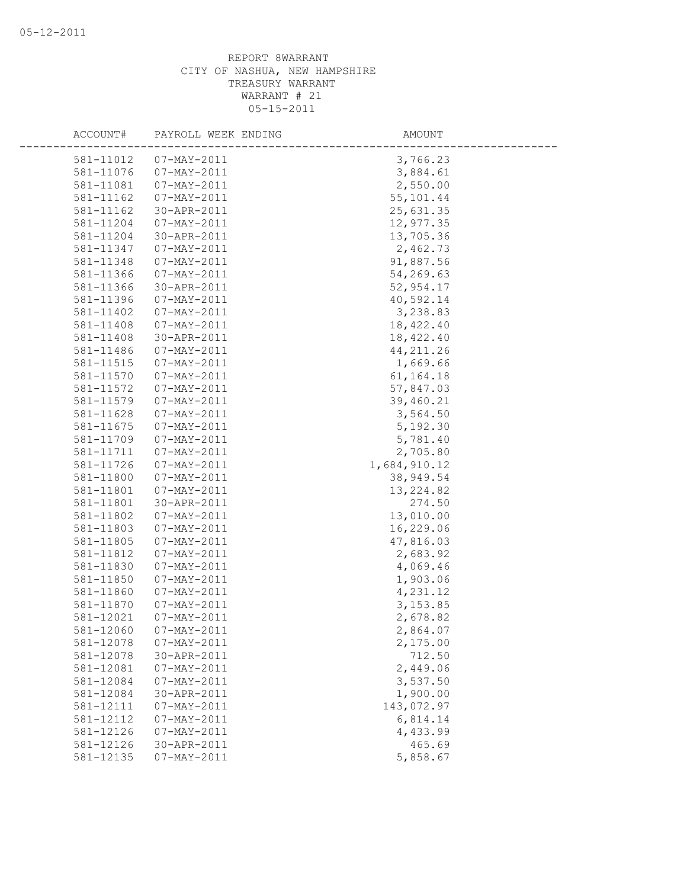| ACCOUNT#  | PAYROLL WEEK ENDING      | AMOUNT       |
|-----------|--------------------------|--------------|
| 581-11012 | $07 - MAX - 2011$        | 3,766.23     |
| 581-11076 | $07 - \text{MAX} - 2011$ | 3,884.61     |
| 581-11081 | $07 - MAX - 2011$        | 2,550.00     |
| 581-11162 | $07 - MAX - 2011$        | 55,101.44    |
| 581-11162 | 30-APR-2011              | 25,631.35    |
| 581-11204 | 07-MAY-2011              | 12,977.35    |
| 581-11204 | 30-APR-2011              | 13,705.36    |
| 581-11347 | $07 - MAX - 2011$        | 2,462.73     |
| 581-11348 | $07 - MAX - 2011$        | 91,887.56    |
| 581-11366 | 07-MAY-2011              | 54,269.63    |
| 581-11366 | 30-APR-2011              | 52,954.17    |
| 581-11396 | $07 - MAY - 2011$        | 40,592.14    |
| 581-11402 | $07 - MAX - 2011$        | 3,238.83     |
| 581-11408 | $07 - MAX - 2011$        | 18,422.40    |
| 581-11408 | 30-APR-2011              | 18,422.40    |
| 581-11486 | $07 - MAY - 2011$        | 44, 211.26   |
| 581-11515 | $07 - MAX - 2011$        | 1,669.66     |
| 581-11570 | $07 - MAX - 2011$        | 61, 164. 18  |
| 581-11572 | 07-MAY-2011              | 57,847.03    |
| 581-11579 | 07-MAY-2011              | 39,460.21    |
| 581-11628 | 07-MAY-2011              | 3,564.50     |
| 581-11675 | $07 - MAX - 2011$        | 5,192.30     |
| 581-11709 | $07 - MAX - 2011$        | 5,781.40     |
| 581-11711 | 07-MAY-2011              | 2,705.80     |
| 581-11726 | $07 - MAY - 2011$        | 1,684,910.12 |
| 581-11800 | $07 - MAX - 2011$        | 38,949.54    |
| 581-11801 | $07 - MAX - 2011$        | 13, 224.82   |
| 581-11801 | 30-APR-2011              | 274.50       |
| 581-11802 | 07-MAY-2011              | 13,010.00    |
| 581-11803 | 07-MAY-2011              | 16,229.06    |
| 581-11805 | $07 - MAX - 2011$        | 47,816.03    |
| 581-11812 | $07 - MAX - 2011$        | 2,683.92     |
| 581-11830 | $07 - MAX - 2011$        | 4,069.46     |
| 581-11850 | 07-MAY-2011              | 1,903.06     |
| 581-11860 | $07 - MAX - 2011$        | 4,231.12     |
| 581-11870 | $07 - MAX - 2011$        | 3, 153.85    |
| 581-12021 | $07 - MAX - 2011$        | 2,678.82     |
| 581-12060 | $07 - MAX - 2011$        | 2,864.07     |
| 581-12078 | $07 - MAY - 2011$        | 2,175.00     |
| 581-12078 | 30-APR-2011              | 712.50       |
| 581-12081 | $07 - MAX - 2011$        | 2,449.06     |
| 581-12084 | 07-MAY-2011              | 3,537.50     |
| 581-12084 | 30-APR-2011              | 1,900.00     |
| 581-12111 | 07-MAY-2011              | 143,072.97   |
| 581-12112 | 07-MAY-2011              | 6,814.14     |
| 581-12126 | 07-MAY-2011              | 4,433.99     |
| 581-12126 | 30-APR-2011              | 465.69       |
| 581-12135 | $07 - MAY - 2011$        | 5,858.67     |
|           |                          |              |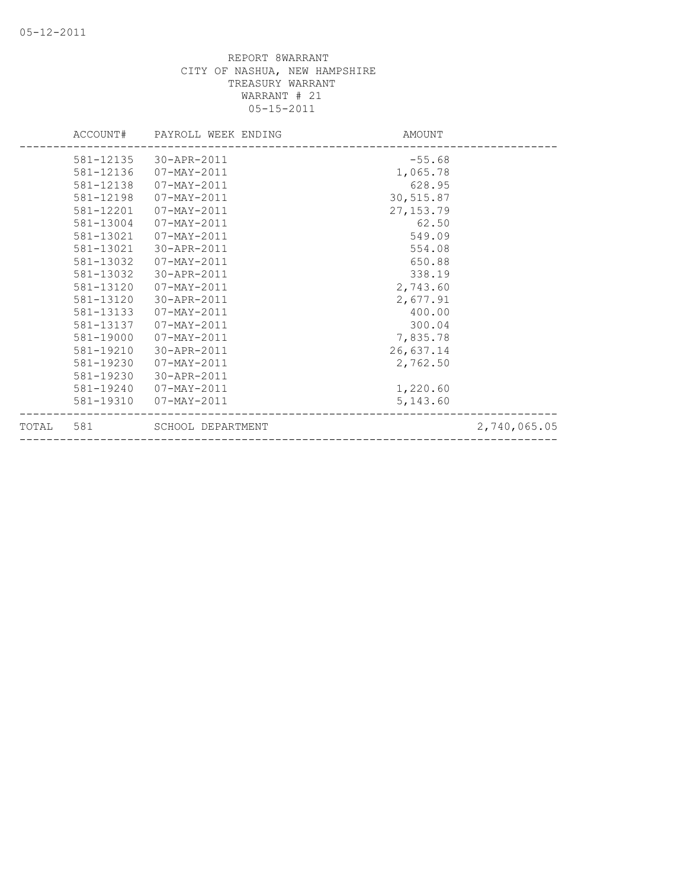|       | ACCOUNT#  | PAYROLL WEEK ENDING | AMOUNT     |              |
|-------|-----------|---------------------|------------|--------------|
|       | 581-12135 | 30-APR-2011         | $-55.68$   |              |
|       | 581-12136 | 07-MAY-2011         | 1,065.78   |              |
|       | 581-12138 | 07-MAY-2011         | 628.95     |              |
|       | 581-12198 | 07-MAY-2011         | 30,515.87  |              |
|       | 581-12201 | 07-MAY-2011         | 27, 153.79 |              |
|       | 581-13004 | $07 - MAX - 2011$   | 62.50      |              |
|       | 581-13021 | 07-MAY-2011         | 549.09     |              |
|       | 581-13021 | 30-APR-2011         | 554.08     |              |
|       | 581-13032 | 07-MAY-2011         | 650.88     |              |
|       | 581-13032 | 30-APR-2011         | 338.19     |              |
|       | 581-13120 | 07-MAY-2011         | 2,743.60   |              |
|       | 581-13120 | 30-APR-2011         | 2,677.91   |              |
|       | 581-13133 | $07 - MAX - 2011$   | 400.00     |              |
|       | 581-13137 | 07-MAY-2011         | 300.04     |              |
|       | 581-19000 | $07 - MAX - 2011$   | 7,835.78   |              |
|       | 581-19210 | 30-APR-2011         | 26,637.14  |              |
|       | 581-19230 | 07-MAY-2011         | 2,762.50   |              |
|       | 581-19230 | 30-APR-2011         |            |              |
|       | 581-19240 | 07-MAY-2011         | 1,220.60   |              |
|       | 581-19310 | 07-MAY-2011         | 5,143.60   |              |
| TOTAL | 581       | SCHOOL DEPARTMENT   |            | 2,740,065.05 |
|       |           |                     |            |              |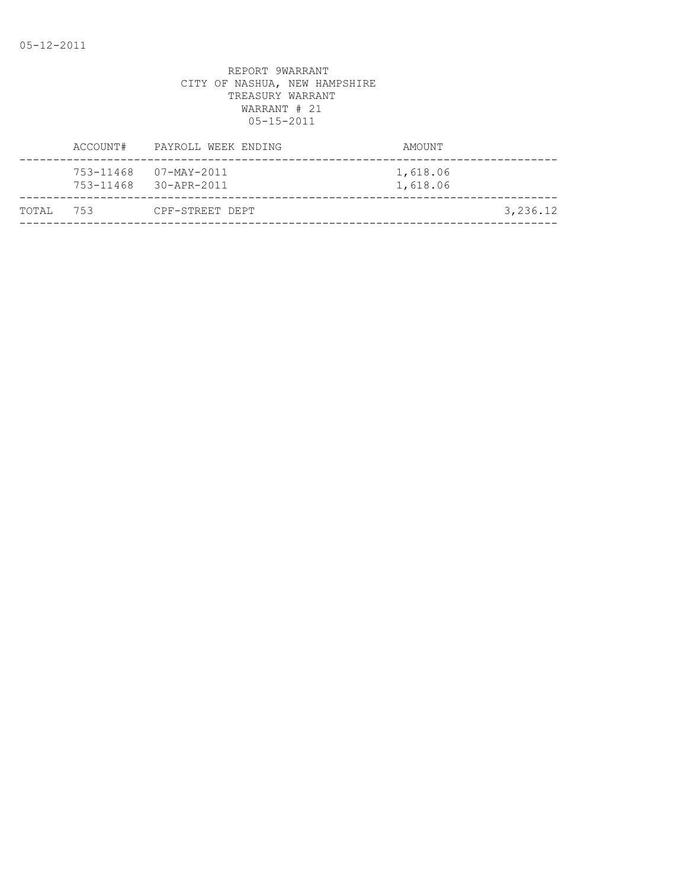| ACCOUNT#      | PAYROLL WEEK ENDING                  | AMOUNT               |
|---------------|--------------------------------------|----------------------|
| 753-11468     | 07-MAY-2011<br>753-11468 30-APR-2011 | 1,618.06<br>1,618.06 |
| 753<br>TOTAI, | CPF-STREET DEPT                      | 3,236.12             |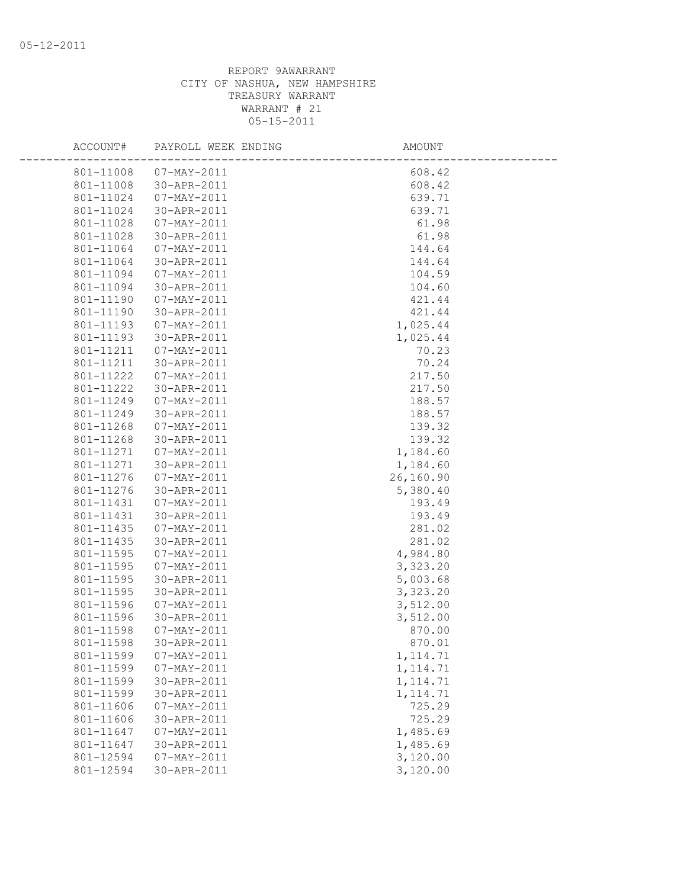| ACCOUNT#  | PAYROLL WEEK ENDING | AMOUNT    |  |
|-----------|---------------------|-----------|--|
| 801-11008 | 07-MAY-2011         | 608.42    |  |
| 801-11008 | 30-APR-2011         | 608.42    |  |
| 801-11024 | 07-MAY-2011         | 639.71    |  |
| 801-11024 | 30-APR-2011         | 639.71    |  |
| 801-11028 | 07-MAY-2011         | 61.98     |  |
| 801-11028 | 30-APR-2011         | 61.98     |  |
| 801-11064 | 07-MAY-2011         | 144.64    |  |
| 801-11064 | 30-APR-2011         | 144.64    |  |
| 801-11094 | 07-MAY-2011         | 104.59    |  |
| 801-11094 | 30-APR-2011         | 104.60    |  |
| 801-11190 | 07-MAY-2011         | 421.44    |  |
| 801-11190 | 30-APR-2011         | 421.44    |  |
| 801-11193 | 07-MAY-2011         | 1,025.44  |  |
| 801-11193 | 30-APR-2011         | 1,025.44  |  |
| 801-11211 | 07-MAY-2011         | 70.23     |  |
| 801-11211 | 30-APR-2011         | 70.24     |  |
| 801-11222 | 07-MAY-2011         | 217.50    |  |
| 801-11222 | 30-APR-2011         | 217.50    |  |
| 801-11249 | 07-MAY-2011         | 188.57    |  |
| 801-11249 | 30-APR-2011         | 188.57    |  |
| 801-11268 | 07-MAY-2011         | 139.32    |  |
| 801-11268 | 30-APR-2011         | 139.32    |  |
| 801-11271 | 07-MAY-2011         | 1,184.60  |  |
| 801-11271 | 30-APR-2011         | 1,184.60  |  |
| 801-11276 | 07-MAY-2011         | 26,160.90 |  |
| 801-11276 | 30-APR-2011         | 5,380.40  |  |
| 801-11431 | 07-MAY-2011         | 193.49    |  |
| 801-11431 | 30-APR-2011         | 193.49    |  |
| 801-11435 | 07-MAY-2011         | 281.02    |  |
| 801-11435 | 30-APR-2011         | 281.02    |  |
| 801-11595 | $07 - MAY - 2011$   | 4,984.80  |  |
| 801-11595 | 07-MAY-2011         | 3,323.20  |  |
| 801-11595 | 30-APR-2011         | 5,003.68  |  |
| 801-11595 | 30-APR-2011         | 3,323.20  |  |
| 801-11596 | 07-MAY-2011         | 3,512.00  |  |
| 801-11596 | 30-APR-2011         | 3,512.00  |  |
| 801-11598 | 07-MAY-2011         | 870.00    |  |
| 801-11598 | 30-APR-2011         | 870.01    |  |
| 801-11599 | $07 - MAY - 2011$   | 1, 114.71 |  |
| 801-11599 | $07 - MAX - 2011$   | 1, 114.71 |  |
| 801-11599 | 30-APR-2011         | 1, 114.71 |  |
| 801-11599 | 30-APR-2011         | 1, 114.71 |  |
| 801-11606 | $07 - MAY - 2011$   | 725.29    |  |
| 801-11606 | 30-APR-2011         | 725.29    |  |
| 801-11647 | $07 - MAY - 2011$   | 1,485.69  |  |
| 801-11647 | 30-APR-2011         | 1,485.69  |  |
| 801-12594 | $07 - MAY - 2011$   | 3,120.00  |  |
| 801-12594 | 30-APR-2011         | 3,120.00  |  |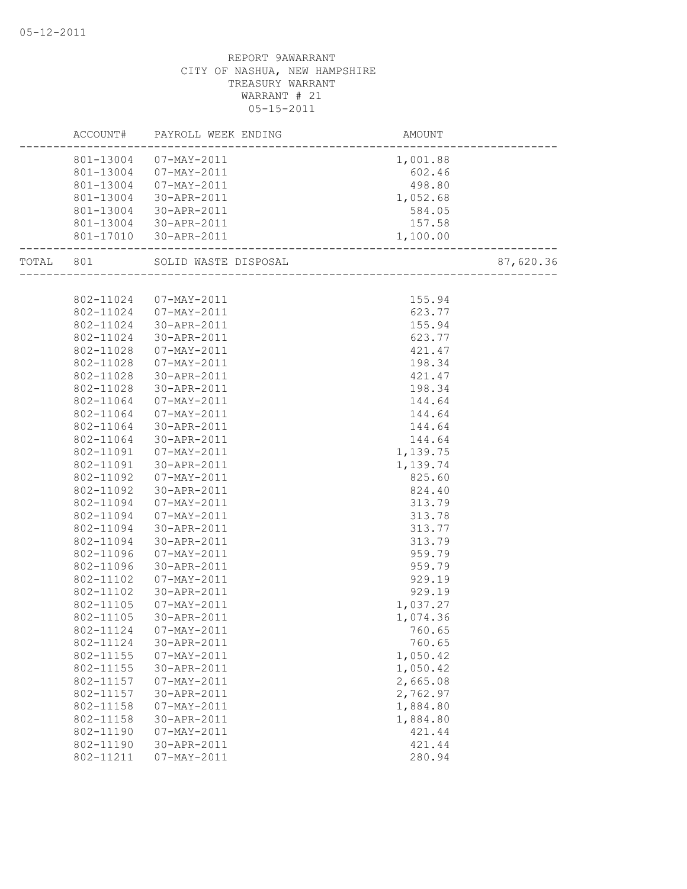|           |           | ACCOUNT# PAYROLL WEEK ENDING | AMOUNT                             |           |
|-----------|-----------|------------------------------|------------------------------------|-----------|
|           |           | 801-13004 07-MAY-2011        | 1,001.88                           |           |
|           |           | 801-13004  07-MAY-2011       | 602.46                             |           |
|           |           | 801-13004 07-MAY-2011        | $602.46$<br>$498.80$<br>$1,052.68$ |           |
|           |           | 801-13004 30-APR-2011        |                                    |           |
|           | 801-13004 | 30-APR-2011                  | 584.05                             |           |
|           | 801-13004 | 30-APR-2011                  | 157.58                             |           |
|           | 801-17010 | 30-APR-2011                  | 1,100.00                           |           |
| TOTAL 801 |           | SOLID WASTE DISPOSAL         |                                    | 87,620.36 |
|           |           |                              |                                    |           |
|           | 802-11024 | 07-MAY-2011                  | 155.94                             |           |
|           | 802-11024 | 07-MAY-2011                  | 623.77                             |           |
|           | 802-11024 | 30-APR-2011                  | 155.94                             |           |
|           | 802-11024 | 30-APR-2011                  | 623.77                             |           |
|           | 802-11028 | 07-MAY-2011                  | 421.47                             |           |
|           | 802-11028 | 07-MAY-2011                  | 198.34                             |           |
|           | 802-11028 | 30-APR-2011                  | 421.47                             |           |
|           | 802-11028 | 30-APR-2011                  | 198.34                             |           |
|           | 802-11064 | 07-MAY-2011                  | 144.64                             |           |
|           | 802-11064 | 07-MAY-2011                  | 144.64                             |           |
|           | 802-11064 | 30-APR-2011                  | 144.64                             |           |
|           | 802-11064 | 30-APR-2011                  | 144.64                             |           |
|           | 802-11091 | 07-MAY-2011                  | 1,139.75                           |           |
|           | 802-11091 | 30-APR-2011                  | 1,139.74                           |           |
|           | 802-11092 | 07-MAY-2011                  | 825.60                             |           |
|           | 802-11092 | 30-APR-2011                  | 824.40                             |           |
|           | 802-11094 | 07-MAY-2011                  | 313.79                             |           |
|           | 802-11094 | 07-MAY-2011                  | 313.78                             |           |
|           | 802-11094 | 30-APR-2011                  | 313.77                             |           |
|           | 802-11094 | 30-APR-2011                  | 313.79                             |           |
|           | 802-11096 | 07-MAY-2011                  | 959.79                             |           |
|           | 802-11096 | 30-APR-2011                  | 959.79                             |           |
|           | 802-11102 | 07-MAY-2011                  | 929.19                             |           |
|           | 802-11102 | 30-APR-2011                  | 929.19                             |           |
|           | 802-11105 | 07-MAY-2011                  | 1,037.27                           |           |
|           | 802-11105 | 30-APR-2011                  | 1,074.36                           |           |
|           | 802-11124 | 07-MAY-2011                  | 760.65                             |           |
|           | 802-11124 | 30-APR-2011                  | 760.65                             |           |
|           | 802-11155 | $07 - MAX - 2011$            | 1,050.42                           |           |
|           | 802-11155 | 30-APR-2011                  | 1,050.42                           |           |
|           | 802-11157 | $07 - MAX - 2011$            | 2,665.08                           |           |
|           | 802-11157 | 30-APR-2011                  | 2,762.97                           |           |
|           | 802-11158 | $07 - MAX - 2011$            | 1,884.80                           |           |
|           | 802-11158 | 30-APR-2011                  | 1,884.80                           |           |
|           | 802-11190 | $07 - MAX - 2011$            | 421.44                             |           |
|           | 802-11190 | 30-APR-2011                  | 421.44                             |           |
|           | 802-11211 | $07 - MAX - 2011$            | 280.94                             |           |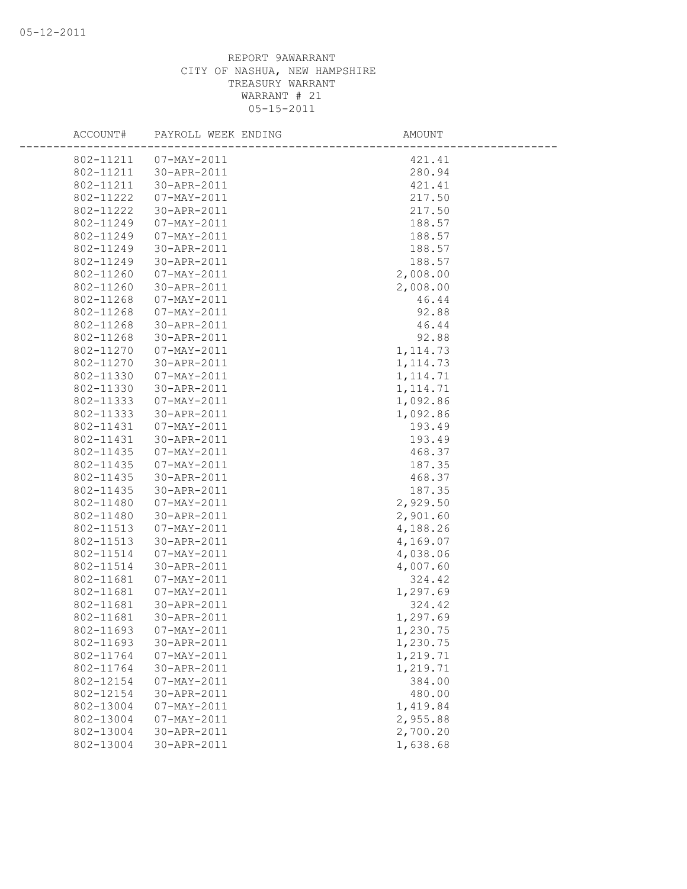| ACCOUNT#  | PAYROLL WEEK ENDING | AMOUNT    |  |
|-----------|---------------------|-----------|--|
| 802-11211 | 07-MAY-2011         | 421.41    |  |
| 802-11211 | 30-APR-2011         | 280.94    |  |
| 802-11211 | 30-APR-2011         | 421.41    |  |
| 802-11222 | $07 - MAX - 2011$   | 217.50    |  |
| 802-11222 | 30-APR-2011         | 217.50    |  |
| 802-11249 | 07-MAY-2011         | 188.57    |  |
| 802-11249 | 07-MAY-2011         | 188.57    |  |
| 802-11249 | 30-APR-2011         | 188.57    |  |
| 802-11249 | 30-APR-2011         | 188.57    |  |
| 802-11260 | 07-MAY-2011         | 2,008.00  |  |
| 802-11260 | 30-APR-2011         | 2,008.00  |  |
| 802-11268 | 07-MAY-2011         | 46.44     |  |
| 802-11268 | 07-MAY-2011         | 92.88     |  |
| 802-11268 | 30-APR-2011         | 46.44     |  |
| 802-11268 | 30-APR-2011         | 92.88     |  |
| 802-11270 | $07 - MAX - 2011$   | 1, 114.73 |  |
| 802-11270 | 30-APR-2011         | 1, 114.73 |  |
| 802-11330 | 07-MAY-2011         | 1, 114.71 |  |
| 802-11330 | 30-APR-2011         | 1, 114.71 |  |
| 802-11333 | 07-MAY-2011         | 1,092.86  |  |
| 802-11333 | 30-APR-2011         | 1,092.86  |  |
| 802-11431 | 07-MAY-2011         | 193.49    |  |
| 802-11431 | 30-APR-2011         | 193.49    |  |
| 802-11435 | 07-MAY-2011         | 468.37    |  |
| 802-11435 | 07-MAY-2011         | 187.35    |  |
| 802-11435 | 30-APR-2011         | 468.37    |  |
| 802-11435 | 30-APR-2011         | 187.35    |  |
| 802-11480 | 07-MAY-2011         | 2,929.50  |  |
| 802-11480 | 30-APR-2011         | 2,901.60  |  |
| 802-11513 | $07 - MAX - 2011$   | 4,188.26  |  |
| 802-11513 | 30-APR-2011         | 4,169.07  |  |
| 802-11514 | 07-MAY-2011         | 4,038.06  |  |
| 802-11514 | 30-APR-2011         | 4,007.60  |  |
| 802-11681 | $07 - MAX - 2011$   | 324.42    |  |
| 802-11681 | $07 - MAX - 2011$   | 1,297.69  |  |
| 802-11681 | 30-APR-2011         | 324.42    |  |
| 802-11681 | 30-APR-2011         | 1,297.69  |  |
| 802-11693 | $07 - MAY - 2011$   | 1,230.75  |  |
| 802-11693 | 30-APR-2011         | 1,230.75  |  |
| 802-11764 | $07 - MAX - 2011$   | 1,219.71  |  |
| 802-11764 | 30-APR-2011         | 1,219.71  |  |
| 802-12154 | $07 - MAX - 2011$   | 384.00    |  |
| 802-12154 | 30-APR-2011         | 480.00    |  |
| 802-13004 | $07 - MAX - 2011$   | 1,419.84  |  |
| 802-13004 | 07-MAY-2011         | 2,955.88  |  |
| 802-13004 | 30-APR-2011         | 2,700.20  |  |
| 802-13004 | 30-APR-2011         | 1,638.68  |  |
|           |                     |           |  |